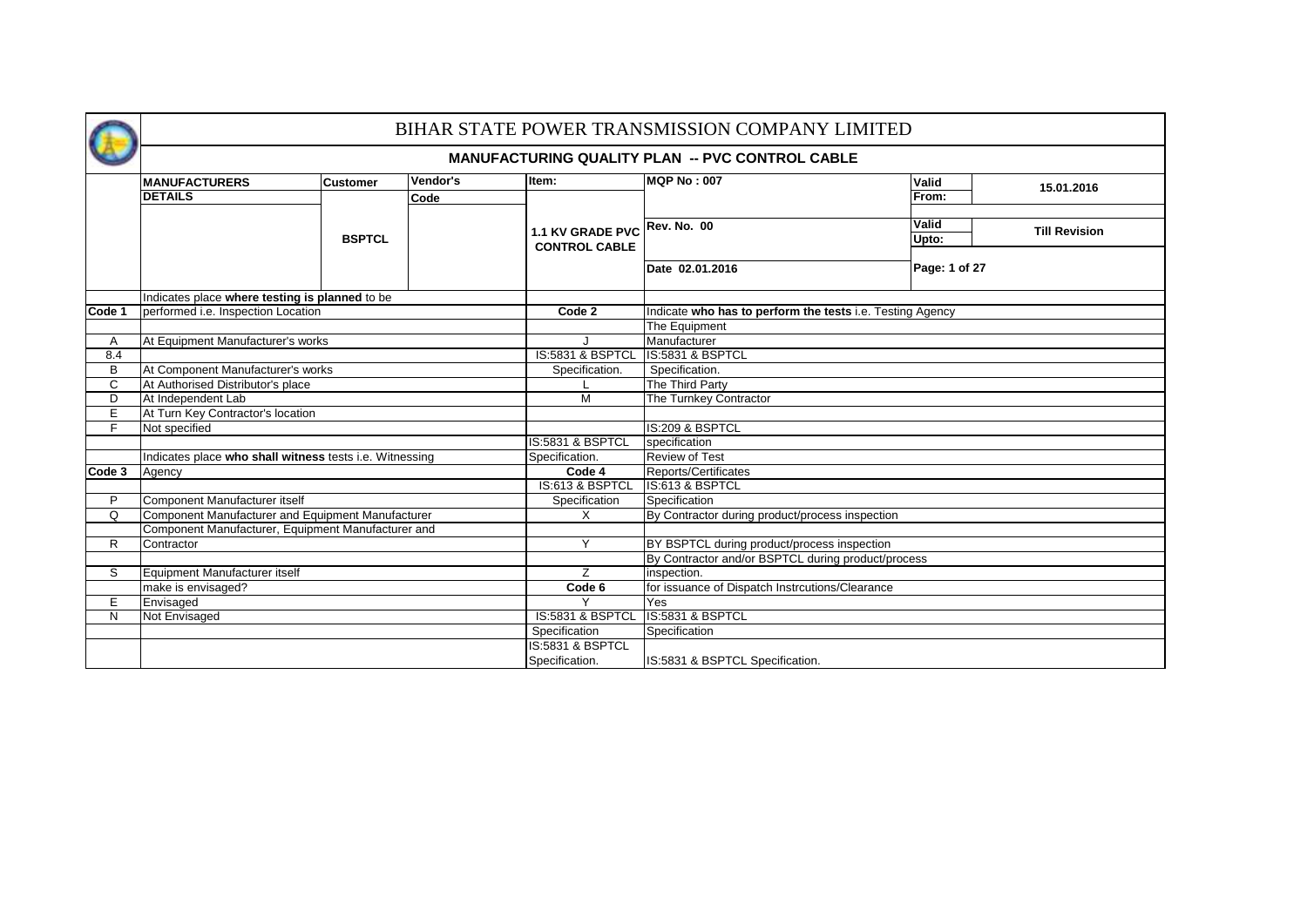

## BIHAR STATE POWER TRANSMISSION COMPANY LIMITED

#### **MANUFACTURING QUALITY PLAN -- PVC CONTROL CABLE**

|        | <b>MANUFACTURERS</b>                                    | <b>Customer</b> | Vendor's | Item:                       | <b>MQP No: 007</b>                                        | Valid         | 15.01.2016           |  |  |  |  |  |  |  |  |
|--------|---------------------------------------------------------|-----------------|----------|-----------------------------|-----------------------------------------------------------|---------------|----------------------|--|--|--|--|--|--|--|--|
|        | <b>DETAILS</b>                                          |                 | Code     |                             |                                                           | From:         |                      |  |  |  |  |  |  |  |  |
|        |                                                         |                 |          |                             |                                                           |               |                      |  |  |  |  |  |  |  |  |
|        |                                                         |                 |          | 1.1 KV GRADE PVC            | <b>Rev. No. 00</b>                                        | <b>Valid</b>  | <b>Till Revision</b> |  |  |  |  |  |  |  |  |
|        |                                                         | <b>BSPTCL</b>   |          | <b>CONTROL CABLE</b>        |                                                           | Upto:         |                      |  |  |  |  |  |  |  |  |
|        |                                                         |                 |          |                             |                                                           |               |                      |  |  |  |  |  |  |  |  |
|        |                                                         |                 |          |                             | Date 02.01.2016                                           | Page: 1 of 27 |                      |  |  |  |  |  |  |  |  |
|        |                                                         |                 |          |                             |                                                           |               |                      |  |  |  |  |  |  |  |  |
|        | Indicates place where testing is planned to be          |                 |          |                             |                                                           |               |                      |  |  |  |  |  |  |  |  |
| Code 1 | performed i.e. Inspection Location                      |                 |          | Code 2                      | Indicate who has to perform the tests i.e. Testing Agency |               |                      |  |  |  |  |  |  |  |  |
|        |                                                         |                 |          |                             | The Equipment                                             |               |                      |  |  |  |  |  |  |  |  |
| Α      | At Equipment Manufacturer's works                       |                 |          |                             | Manufacturer                                              |               |                      |  |  |  |  |  |  |  |  |
| 8.4    |                                                         |                 |          | <b>IS:5831 &amp; BSPTCL</b> | IS:5831 & BSPTCL                                          |               |                      |  |  |  |  |  |  |  |  |
| B      | At Component Manufacturer's works                       |                 |          | Specification.              | Specification.                                            |               |                      |  |  |  |  |  |  |  |  |
| С      | At Authorised Distributor's place                       |                 |          |                             | The Third Party                                           |               |                      |  |  |  |  |  |  |  |  |
| D      | At Independent Lab                                      |                 |          | M                           | The Turnkey Contractor                                    |               |                      |  |  |  |  |  |  |  |  |
| E      | At Turn Key Contractor's location                       |                 |          |                             |                                                           |               |                      |  |  |  |  |  |  |  |  |
| F.     | Not specified                                           |                 |          |                             | IS:209 & BSPTCL                                           |               |                      |  |  |  |  |  |  |  |  |
|        |                                                         |                 |          | IS:5831 & BSPTCL            | specification                                             |               |                      |  |  |  |  |  |  |  |  |
|        | Indicates place who shall witness tests i.e. Witnessing |                 |          | Specification.              | <b>Review of Test</b>                                     |               |                      |  |  |  |  |  |  |  |  |
| Code 3 | Agency                                                  |                 |          | Code 4                      | Reports/Certificates                                      |               |                      |  |  |  |  |  |  |  |  |
|        |                                                         |                 |          | IS:613 & BSPTCL             | IS:613 & BSPTCL                                           |               |                      |  |  |  |  |  |  |  |  |
| P      | Component Manufacturer itself                           |                 |          | Specification               | Specification                                             |               |                      |  |  |  |  |  |  |  |  |
| Q      | Component Manufacturer and Equipment Manufacturer       |                 |          | X                           | By Contractor during product/process inspection           |               |                      |  |  |  |  |  |  |  |  |
|        | Component Manufacturer, Equipment Manufacturer and      |                 |          |                             |                                                           |               |                      |  |  |  |  |  |  |  |  |
| R      | Contractor                                              |                 |          | Y                           | BY BSPTCL during product/process inspection               |               |                      |  |  |  |  |  |  |  |  |
|        |                                                         |                 |          |                             | By Contractor and/or BSPTCL during product/process        |               |                      |  |  |  |  |  |  |  |  |
| S      | Equipment Manufacturer itself                           |                 |          | Z                           | inspection.                                               |               |                      |  |  |  |  |  |  |  |  |
|        | make is envisaged?                                      |                 |          | Code 6                      | for issuance of Dispatch Instrcutions/Clearance           |               |                      |  |  |  |  |  |  |  |  |
| E      | Envisaged                                               |                 |          |                             | Yes                                                       |               |                      |  |  |  |  |  |  |  |  |
| N      | Not Envisaged                                           |                 |          | IS:5831 & BSPTCL            | IS:5831 & BSPTCL                                          |               |                      |  |  |  |  |  |  |  |  |
|        |                                                         |                 |          | Specification               | Specification                                             |               |                      |  |  |  |  |  |  |  |  |
|        |                                                         |                 |          | IS:5831 & BSPTCL            |                                                           |               |                      |  |  |  |  |  |  |  |  |
|        |                                                         |                 |          | Specification.              | IS:5831 & BSPTCL Specification.                           |               |                      |  |  |  |  |  |  |  |  |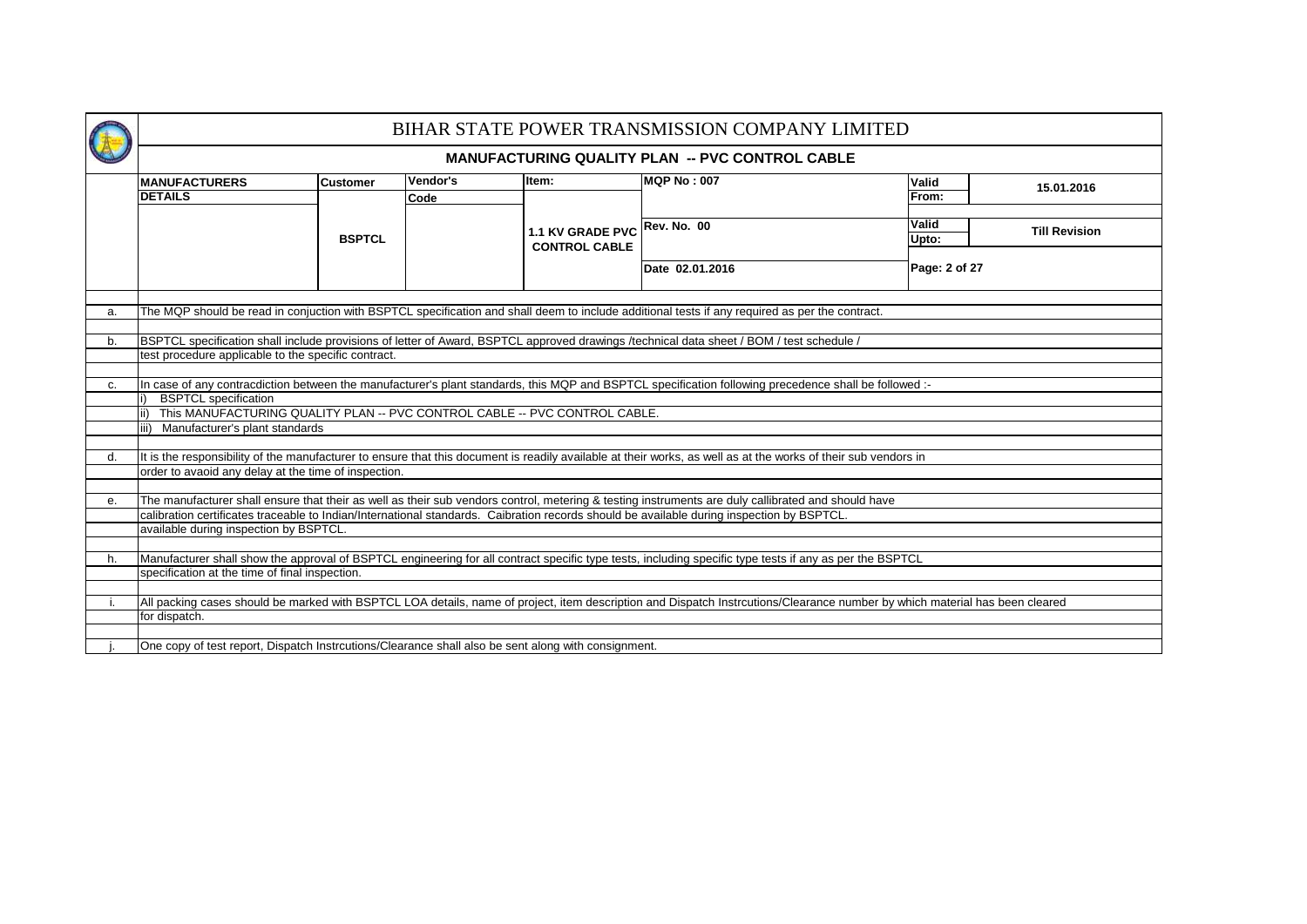|    |                                                                                                                                                                                                                                                                                                 |                 |                  |                                                 | BIHAR STATE POWER TRANSMISSION COMPANY LIMITED         |  |                |                      |  |  |  |  |  |  |
|----|-------------------------------------------------------------------------------------------------------------------------------------------------------------------------------------------------------------------------------------------------------------------------------------------------|-----------------|------------------|-------------------------------------------------|--------------------------------------------------------|--|----------------|----------------------|--|--|--|--|--|--|
|    |                                                                                                                                                                                                                                                                                                 |                 |                  |                                                 | <b>MANUFACTURING QUALITY PLAN -- PVC CONTROL CABLE</b> |  |                |                      |  |  |  |  |  |  |
|    | <b>MANUFACTURERS</b><br><b>DETAILS</b>                                                                                                                                                                                                                                                          | <b>Customer</b> | Vendor's<br>Code | Item:                                           | <b>MQP No: 007</b>                                     |  | Valid<br>From: | 15.01.2016           |  |  |  |  |  |  |
|    |                                                                                                                                                                                                                                                                                                 |                 |                  |                                                 |                                                        |  | <b>Valid</b>   |                      |  |  |  |  |  |  |
|    |                                                                                                                                                                                                                                                                                                 | <b>BSPTCL</b>   |                  | <b>1.1 KV GRADE PVC</b><br><b>CONTROL CABLE</b> | <b>Rev. No. 00</b>                                     |  | Upto:          | <b>Till Revision</b> |  |  |  |  |  |  |
|    |                                                                                                                                                                                                                                                                                                 |                 |                  |                                                 | Date 02.01.2016                                        |  | Page: 2 of 27  |                      |  |  |  |  |  |  |
|    | The MQP should be read in conjuction with BSPTCL specification and shall deem to include additional tests if any required as per the contract.<br>a.                                                                                                                                            |                 |                  |                                                 |                                                        |  |                |                      |  |  |  |  |  |  |
|    |                                                                                                                                                                                                                                                                                                 |                 |                  |                                                 |                                                        |  |                |                      |  |  |  |  |  |  |
| b. | BSPTCL specification shall include provisions of letter of Award, BSPTCL approved drawings /technical data sheet / BOM / test schedule /                                                                                                                                                        |                 |                  |                                                 |                                                        |  |                |                      |  |  |  |  |  |  |
|    | test procedure applicable to the specific contract.                                                                                                                                                                                                                                             |                 |                  |                                                 |                                                        |  |                |                      |  |  |  |  |  |  |
|    |                                                                                                                                                                                                                                                                                                 |                 |                  |                                                 |                                                        |  |                |                      |  |  |  |  |  |  |
| c. | In case of any contracdiction between the manufacturer's plant standards, this MQP and BSPTCL specification following precedence shall be followed :-                                                                                                                                           |                 |                  |                                                 |                                                        |  |                |                      |  |  |  |  |  |  |
|    | <b>BSPTCL</b> specification<br>ii) This MANUFACTURING QUALITY PLAN -- PVC CONTROL CABLE -- PVC CONTROL CABLE.                                                                                                                                                                                   |                 |                  |                                                 |                                                        |  |                |                      |  |  |  |  |  |  |
|    | iii) Manufacturer's plant standards                                                                                                                                                                                                                                                             |                 |                  |                                                 |                                                        |  |                |                      |  |  |  |  |  |  |
|    |                                                                                                                                                                                                                                                                                                 |                 |                  |                                                 |                                                        |  |                |                      |  |  |  |  |  |  |
| d. | It is the responsibility of the manufacturer to ensure that this document is readily available at their works, as well as at the works of their sub vendors in                                                                                                                                  |                 |                  |                                                 |                                                        |  |                |                      |  |  |  |  |  |  |
|    | order to avaoid any delay at the time of inspection.                                                                                                                                                                                                                                            |                 |                  |                                                 |                                                        |  |                |                      |  |  |  |  |  |  |
|    |                                                                                                                                                                                                                                                                                                 |                 |                  |                                                 |                                                        |  |                |                      |  |  |  |  |  |  |
| е. | The manufacturer shall ensure that their as well as their sub vendors control, metering & testing instruments are duly callibrated and should have<br>calibration certificates traceable to Indian/International standards. Caibration records should be available during inspection by BSPTCL. |                 |                  |                                                 |                                                        |  |                |                      |  |  |  |  |  |  |
|    | available during inspection by BSPTCL.                                                                                                                                                                                                                                                          |                 |                  |                                                 |                                                        |  |                |                      |  |  |  |  |  |  |
|    |                                                                                                                                                                                                                                                                                                 |                 |                  |                                                 |                                                        |  |                |                      |  |  |  |  |  |  |
| h. | Manufacturer shall show the approval of BSPTCL engineering for all contract specific type tests, including specific type tests if any as per the BSPTCL                                                                                                                                         |                 |                  |                                                 |                                                        |  |                |                      |  |  |  |  |  |  |
|    | specification at the time of final inspection.                                                                                                                                                                                                                                                  |                 |                  |                                                 |                                                        |  |                |                      |  |  |  |  |  |  |
|    |                                                                                                                                                                                                                                                                                                 |                 |                  |                                                 |                                                        |  |                |                      |  |  |  |  |  |  |
|    | All packing cases should be marked with BSPTCL LOA details, name of project, item description and Dispatch Instrcutions/Clearance number by which material has been cleared<br>for dispatch.                                                                                                    |                 |                  |                                                 |                                                        |  |                |                      |  |  |  |  |  |  |
|    |                                                                                                                                                                                                                                                                                                 |                 |                  |                                                 |                                                        |  |                |                      |  |  |  |  |  |  |
|    | One copy of test report, Dispatch Instrcutions/Clearance shall also be sent along with consignment.                                                                                                                                                                                             |                 |                  |                                                 |                                                        |  |                |                      |  |  |  |  |  |  |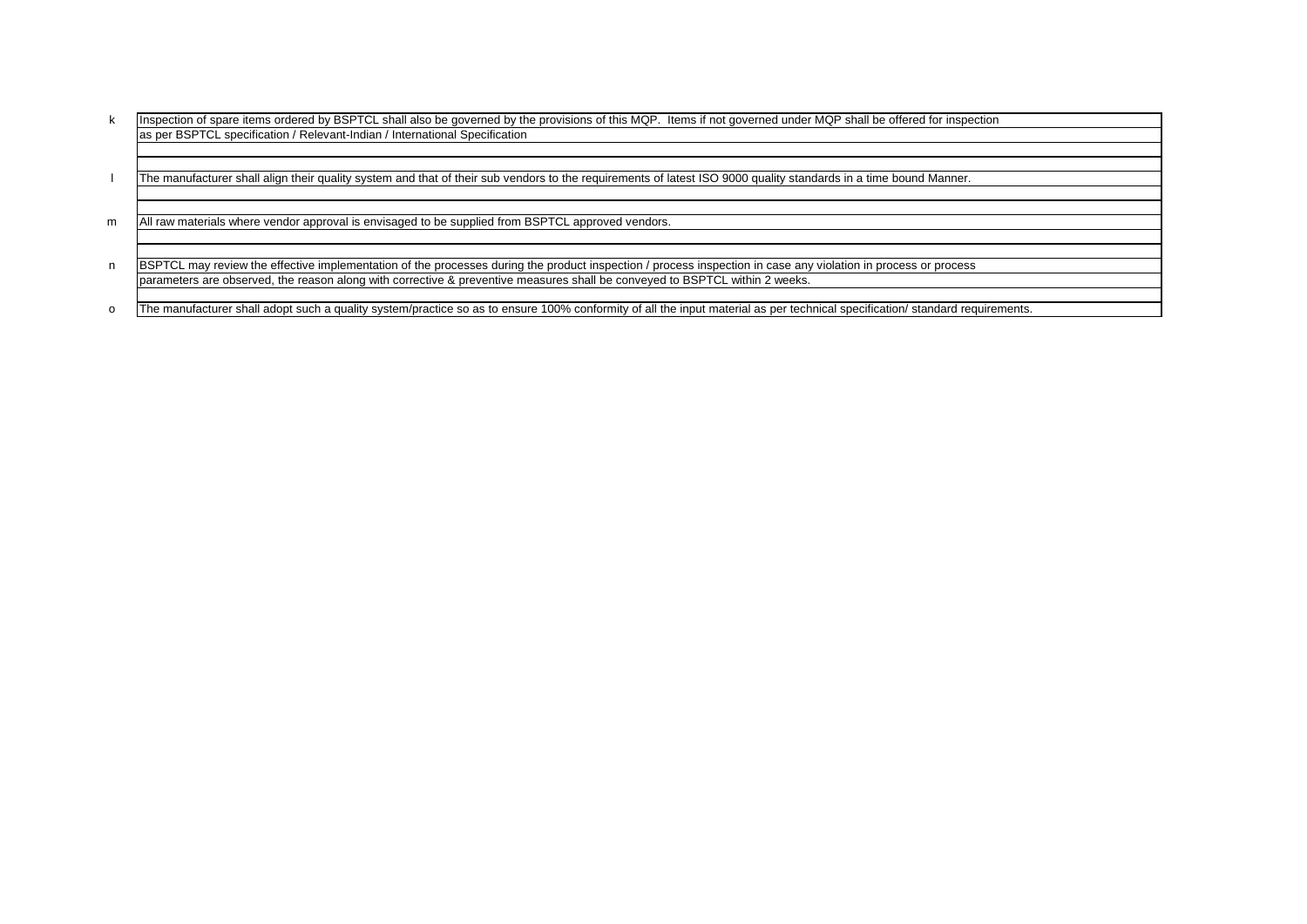k Inspection of spare items ordered by BSPTCL shall also be governed by the provisions of this MQP. Items if not governed under MQP shall be offered for inspection as per BSPTCL specification / Relevant-Indian / International Specification

l The manufacturer shall align their quality system and that of their sub vendors to the requirements of latest ISO 9000 quality standards in a time bound Manner.

m All raw materials where vendor approval is envisaged to be supplied from BSPTCL approved vendors.

n BSPTCL may review the effective implementation of the processes during the product inspection / process inspection in case any violation in process or process parameters are observed, the reason along with corrective & preventive measures shall be conveyed to BSPTCL within 2 weeks.

o The manufacturer shall adopt such a quality system/practice so as to ensure 100% conformity of all the input material as per technical specification/ standard requirements.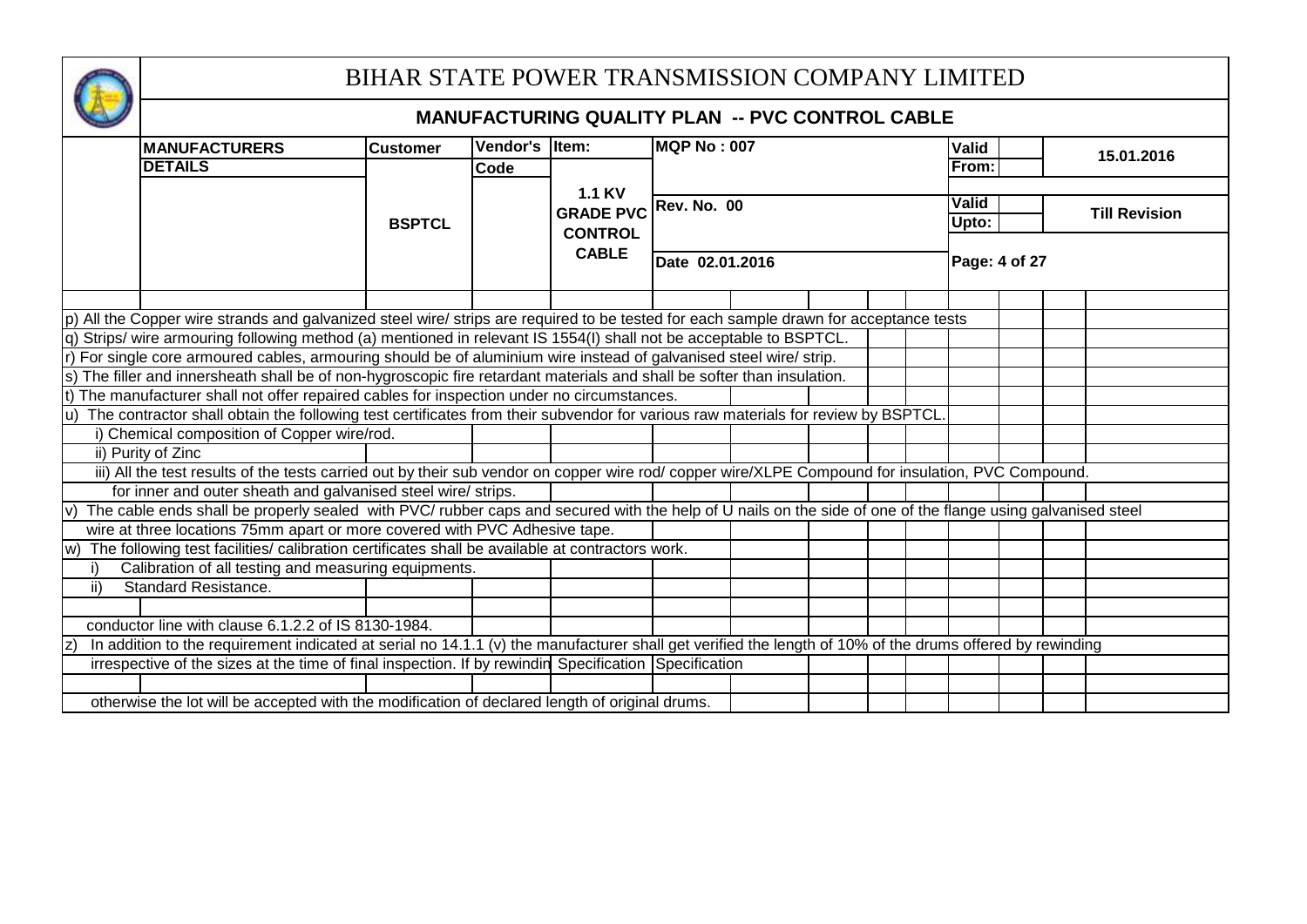

# BIHAR STATE POWER TRANSMISSION COMPANY LIMITED

|               |                                                                                                                                                            |                 |                 | <b>MANUFACTURING QUALITY PLAN -- PVC CONTROL CABLE</b> |                 |  |  |               |  |                      |
|---------------|------------------------------------------------------------------------------------------------------------------------------------------------------------|-----------------|-----------------|--------------------------------------------------------|-----------------|--|--|---------------|--|----------------------|
|               | <b>MANUFACTURERS</b>                                                                                                                                       | <b>Customer</b> | <b>Vendor's</b> | ltem:                                                  | MQP No : 007    |  |  | <b>Valid</b>  |  |                      |
|               | <b>DETAILS</b>                                                                                                                                             |                 | <b>Code</b>     |                                                        |                 |  |  | From:         |  | 15.01.2016           |
|               |                                                                                                                                                            |                 |                 | <b>1.1 KV</b>                                          |                 |  |  |               |  |                      |
|               |                                                                                                                                                            |                 |                 | GRADE PVC Rev. No. 00                                  |                 |  |  | Valid         |  | <b>Till Revision</b> |
|               |                                                                                                                                                            | <b>BSPTCL</b>   |                 | <b>CONTROL</b>                                         |                 |  |  | Upto:         |  |                      |
|               |                                                                                                                                                            |                 |                 | <b>CABLE</b>                                           |                 |  |  |               |  |                      |
|               |                                                                                                                                                            |                 |                 |                                                        | Date 02.01.2016 |  |  | Page: 4 of 27 |  |                      |
|               |                                                                                                                                                            |                 |                 |                                                        |                 |  |  |               |  |                      |
|               | p) All the Copper wire strands and galvanized steel wire/ strips are required to be tested for each sample drawn for acceptance tests                      |                 |                 |                                                        |                 |  |  |               |  |                      |
|               | q) Strips/ wire armouring following method (a) mentioned in relevant IS 1554(I) shall not be acceptable to BSPTCL.                                         |                 |                 |                                                        |                 |  |  |               |  |                      |
|               | For single core armoured cables, armouring should be of aluminium wire instead of galvanised steel wire/ strip.                                            |                 |                 |                                                        |                 |  |  |               |  |                      |
|               | s) The filler and innersheath shall be of non-hygroscopic fire retardant materials and shall be softer than insulation.                                    |                 |                 |                                                        |                 |  |  |               |  |                      |
|               | t) The manufacturer shall not offer repaired cables for inspection under no circumstances.                                                                 |                 |                 |                                                        |                 |  |  |               |  |                      |
|               | The contractor shall obtain the following test certificates from their subvendor for various raw materials for review by BSPTCL                            |                 |                 |                                                        |                 |  |  |               |  |                      |
|               | i) Chemical composition of Copper wire/rod.                                                                                                                |                 |                 |                                                        |                 |  |  |               |  |                      |
|               | ii) Purity of Zinc                                                                                                                                         |                 |                 |                                                        |                 |  |  |               |  |                      |
|               | iii) All the test results of the tests carried out by their sub vendor on copper wire rod/ copper wire/XLPE Compound for insulation, PVC Compound.         |                 |                 |                                                        |                 |  |  |               |  |                      |
|               | for inner and outer sheath and galvanised steel wire/ strips.                                                                                              |                 |                 |                                                        |                 |  |  |               |  |                      |
|               | The cable ends shall be properly sealed with PVC/ rubber caps and secured with the help of U nails on the side of one of the flange using galvanised steel |                 |                 |                                                        |                 |  |  |               |  |                      |
|               | wire at three locations 75mm apart or more covered with PVC Adhesive tape.                                                                                 |                 |                 |                                                        |                 |  |  |               |  |                      |
| w)            | The following test facilities/ calibration certificates shall be available at contractors work.                                                            |                 |                 |                                                        |                 |  |  |               |  |                      |
|               | Calibration of all testing and measuring equipments.                                                                                                       |                 |                 |                                                        |                 |  |  |               |  |                      |
| $\mathsf{ii}$ | <b>Standard Resistance.</b>                                                                                                                                |                 |                 |                                                        |                 |  |  |               |  |                      |
|               |                                                                                                                                                            |                 |                 |                                                        |                 |  |  |               |  |                      |
|               | conductor line with clause 6.1.2.2 of IS 8130-1984.                                                                                                        |                 |                 |                                                        |                 |  |  |               |  |                      |
|               | In addition to the requirement indicated at serial no 14.1.1 (v) the manufacturer shall get verified the length of 10% of the drums offered by rewinding   |                 |                 |                                                        |                 |  |  |               |  |                      |
|               | irrespective of the sizes at the time of final inspection. If by rewindin Specification Specification                                                      |                 |                 |                                                        |                 |  |  |               |  |                      |
|               |                                                                                                                                                            |                 |                 |                                                        |                 |  |  |               |  |                      |
|               | otherwise the lot will be accepted with the modification of declared length of original drums.                                                             |                 |                 |                                                        |                 |  |  |               |  |                      |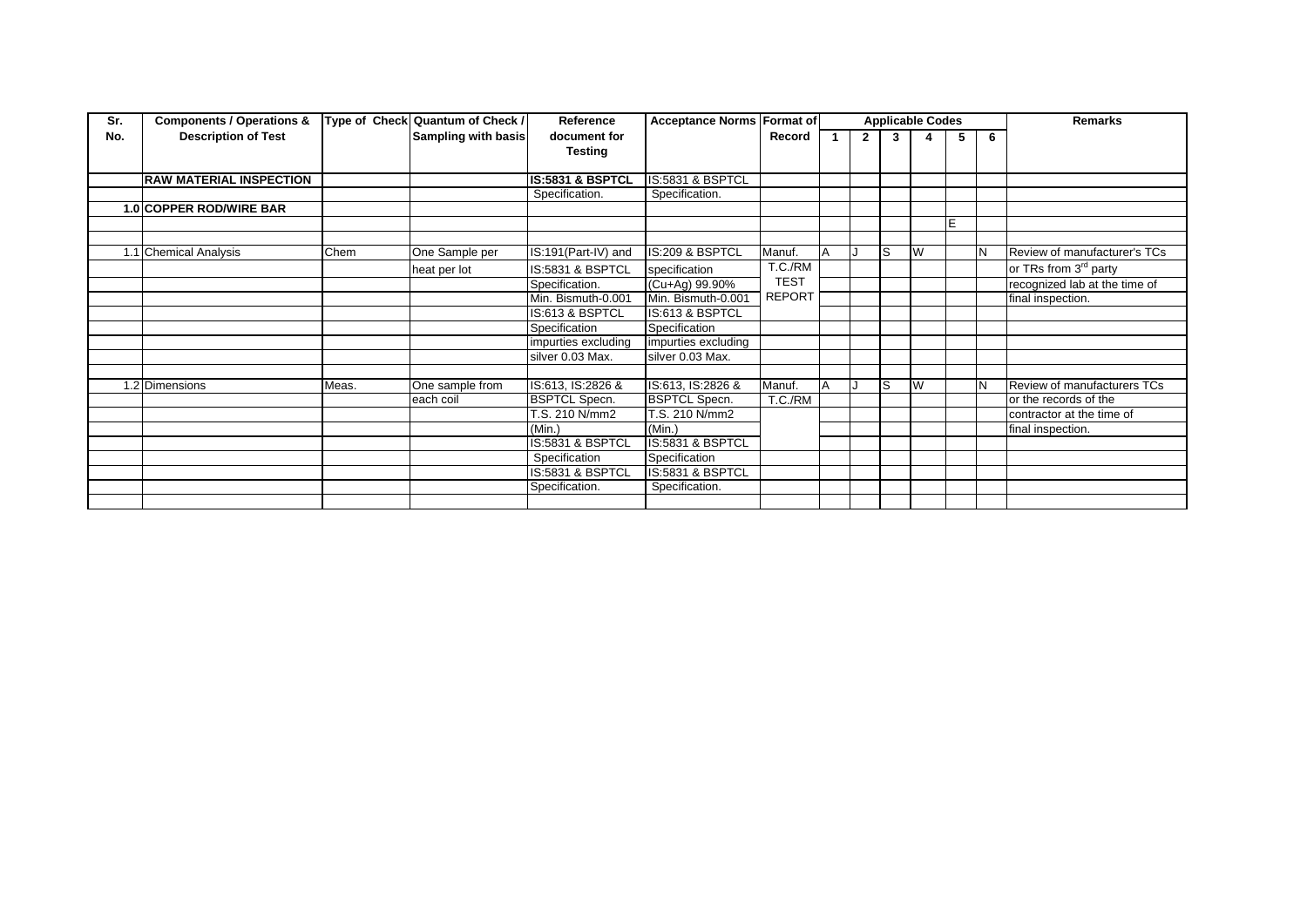| Sr. | <b>Components / Operations &amp;</b> |       | Type of Check Quantum of Check / | Reference                   | <b>Acceptance Norms Format of</b> |               |                |    | <b>Applicable Codes</b> |   |          | <b>Remarks</b>                     |
|-----|--------------------------------------|-------|----------------------------------|-----------------------------|-----------------------------------|---------------|----------------|----|-------------------------|---|----------|------------------------------------|
| No. | <b>Description of Test</b>           |       | Sampling with basis              | document for                |                                   | Record        | $\overline{2}$ | 3  |                         | 5 | 6        |                                    |
|     |                                      |       |                                  | <b>Testing</b>              |                                   |               |                |    |                         |   |          |                                    |
|     |                                      |       |                                  |                             |                                   |               |                |    |                         |   |          |                                    |
|     | <b>RAW MATERIAL INSPECTION</b>       |       |                                  | <b>IS:5831 &amp; BSPTCL</b> | <b>IS:5831 &amp; BSPTCL</b>       |               |                |    |                         |   |          |                                    |
|     |                                      |       |                                  | Specification.              | Specification.                    |               |                |    |                         |   |          |                                    |
|     | 1.0 COPPER ROD/WIRE BAR              |       |                                  |                             |                                   |               |                |    |                         |   |          |                                    |
|     |                                      |       |                                  |                             |                                   |               |                |    |                         | E |          |                                    |
|     |                                      |       |                                  |                             |                                   |               |                |    |                         |   |          |                                    |
|     | 1.1 Chemical Analysis                | Chem  | One Sample per                   | IS:191(Part-IV) and         | IS:209 & BSPTCL                   | Manuf.        |                | ls | W                       |   | <b>N</b> | Review of manufacturer's TCs       |
|     |                                      |       | heat per lot                     | IS:5831 & BSPTCL            | specification                     | T.C./RM       |                |    |                         |   |          | or TRs from 3 <sup>rd</sup> party  |
|     |                                      |       |                                  | Specification.              | (Cu+Ag) 99.90%                    | <b>TEST</b>   |                |    |                         |   |          | recognized lab at the time of      |
|     |                                      |       |                                  | Min. Bismuth-0.001          | Min. Bismuth-0.001                | <b>REPORT</b> |                |    |                         |   |          | final inspection.                  |
|     |                                      |       |                                  | IS:613 & BSPTCL             | IS:613 & BSPTCL                   |               |                |    |                         |   |          |                                    |
|     |                                      |       |                                  | Specification               | Specification                     |               |                |    |                         |   |          |                                    |
|     |                                      |       |                                  | impurties excluding         | impurties excluding               |               |                |    |                         |   |          |                                    |
|     |                                      |       |                                  | silver 0.03 Max.            | silver 0.03 Max.                  |               |                |    |                         |   |          |                                    |
|     |                                      |       |                                  |                             |                                   |               |                |    |                         |   |          |                                    |
|     | 1.2 Dimensions                       | Meas. | One sample from                  | IS:613, IS:2826 &           | IS:613, IS:2826 &                 | Manuf.        |                | ls | W                       |   | N        | <b>Review of manufacturers TCs</b> |
|     |                                      |       | each coil                        | <b>BSPTCL Specn.</b>        | <b>BSPTCL Specn.</b>              | T.C./RM       |                |    |                         |   |          | or the records of the              |
|     |                                      |       |                                  | T.S. 210 N/mm2              | T.S. 210 N/mm2                    |               |                |    |                         |   |          | contractor at the time of          |
|     |                                      |       |                                  | (Min.)                      | (Min.)                            |               |                |    |                         |   |          | final inspection.                  |
|     |                                      |       |                                  | IS:5831 & BSPTCL            | IS:5831 & BSPTCL                  |               |                |    |                         |   |          |                                    |
|     |                                      |       |                                  | Specification               | Specification                     |               |                |    |                         |   |          |                                    |
|     |                                      |       |                                  | IS:5831 & BSPTCL            | IS:5831 & BSPTCL                  |               |                |    |                         |   |          |                                    |
|     |                                      |       |                                  | Specification.              | Specification.                    |               |                |    |                         |   |          |                                    |
|     |                                      |       |                                  |                             |                                   |               |                |    |                         |   |          |                                    |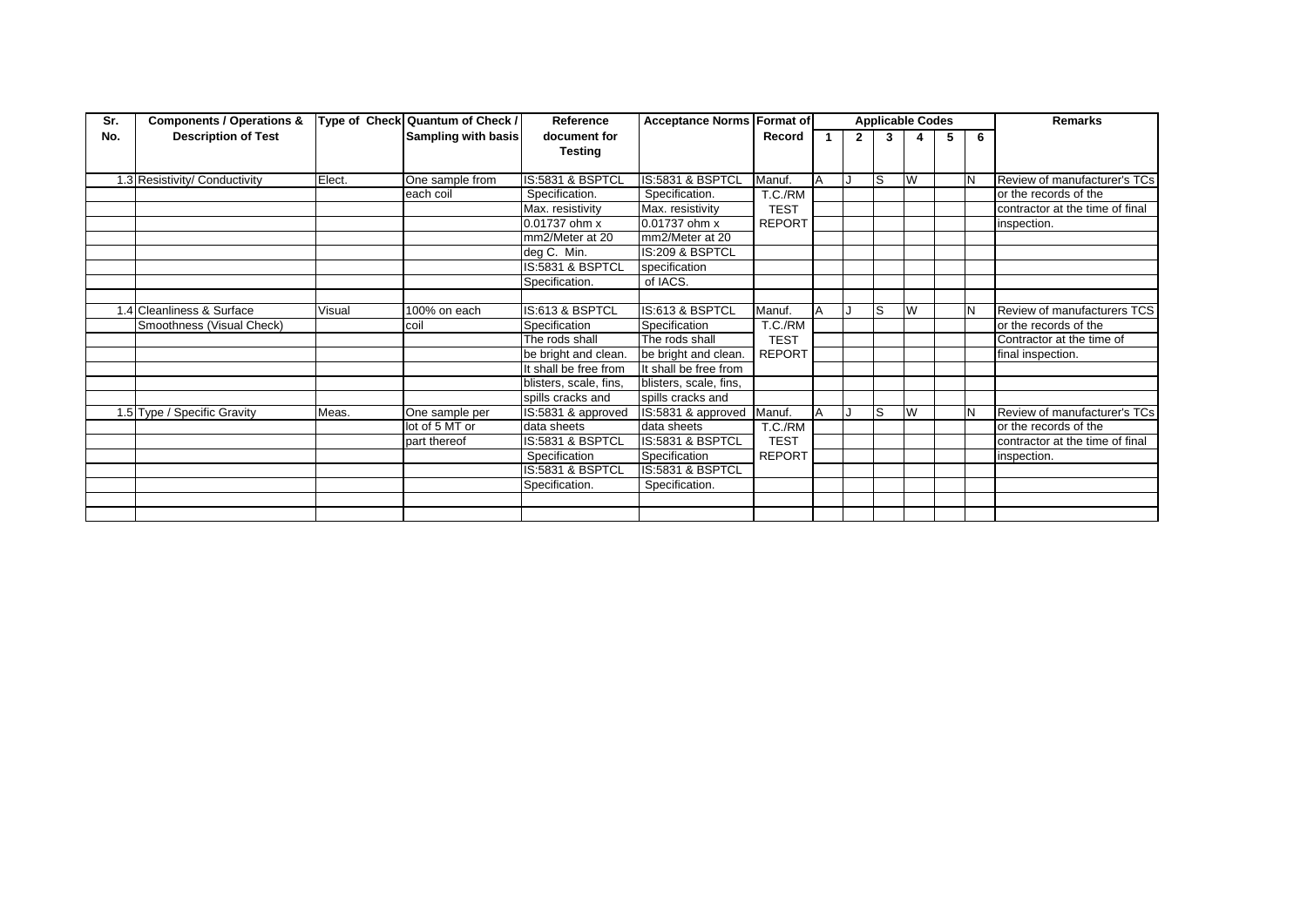| Sr. | <b>Components / Operations &amp;</b> | Type of Check | Quantum of Check /  | Reference              | <b>Acceptance Norms Format of</b> |               |   |              |     | <b>Applicable Codes</b> |   |          | <b>Remarks</b>                  |
|-----|--------------------------------------|---------------|---------------------|------------------------|-----------------------------------|---------------|---|--------------|-----|-------------------------|---|----------|---------------------------------|
| No. | <b>Description of Test</b>           |               | Sampling with basis | document for           |                                   | Record        |   | $\mathbf{2}$ | 3   |                         | 5 | 6        |                                 |
|     |                                      |               |                     | <b>Testing</b>         |                                   |               |   |              |     |                         |   |          |                                 |
|     |                                      |               |                     |                        |                                   |               |   |              |     |                         |   |          |                                 |
|     | 1.3 Resistivity/ Conductivity        | Elect.        | One sample from     | IS:5831 & BSPTCL       | IS:5831 & BSPTCL                  | Manuf.        | A |              | ls. | W                       |   | IN       | Review of manufacturer's TCs    |
|     |                                      |               | each coil           | Specification.         | Specification.                    | T.C./RM       |   |              |     |                         |   |          | or the records of the           |
|     |                                      |               |                     | Max. resistivity       | Max. resistivity                  | <b>TEST</b>   |   |              |     |                         |   |          | contractor at the time of final |
|     |                                      |               |                     | $0.01737$ ohm x        | $0.01737$ ohm x                   | <b>REPORT</b> |   |              |     |                         |   |          | inspection.                     |
|     |                                      |               |                     | mm2/Meter at 20        | mm2/Meter at 20                   |               |   |              |     |                         |   |          |                                 |
|     |                                      |               |                     | deg C. Min.            | IS:209 & BSPTCL                   |               |   |              |     |                         |   |          |                                 |
|     |                                      |               |                     | IS:5831 & BSPTCL       | specification                     |               |   |              |     |                         |   |          |                                 |
|     |                                      |               |                     | Specification.         | of IACS.                          |               |   |              |     |                         |   |          |                                 |
|     |                                      |               |                     |                        |                                   |               |   |              |     |                         |   |          |                                 |
|     | 1.4 Cleanliness & Surface            | Visual        | 100% on each        | IS:613 & BSPTCL        | IS:613 & BSPTCL                   | Manuf.        | А |              | S   | W                       |   | N        | Review of manufacturers TCS     |
|     | Smoothness (Visual Check)            |               | coil                | Specification          | Specification                     | T.C./RM       |   |              |     |                         |   |          | or the records of the           |
|     |                                      |               |                     | The rods shall         | The rods shall                    | <b>TEST</b>   |   |              |     |                         |   |          | Contractor at the time of       |
|     |                                      |               |                     | be bright and clean.   | be bright and clean.              | <b>REPORT</b> |   |              |     |                         |   |          | final inspection.               |
|     |                                      |               |                     | It shall be free from  | It shall be free from             |               |   |              |     |                         |   |          |                                 |
|     |                                      |               |                     | blisters, scale, fins, | blisters, scale, fins,            |               |   |              |     |                         |   |          |                                 |
|     |                                      |               |                     | spills cracks and      | spills cracks and                 |               |   |              |     |                         |   |          |                                 |
|     | 1.5 Type / Specific Gravity          | Meas.         | One sample per      | IS:5831 & approved     | IS:5831 & approved                | Manuf.        | A |              | ls  | W                       |   | <b>N</b> | Review of manufacturer's TCs    |
|     |                                      |               | lot of 5 MT or      | data sheets            | data sheets                       | T.C./RM       |   |              |     |                         |   |          | or the records of the           |
|     |                                      |               | part thereof        | IS:5831 & BSPTCL       | IS:5831 & BSPTCL                  | <b>TEST</b>   |   |              |     |                         |   |          | contractor at the time of final |
|     |                                      |               |                     | Specification          | Specification                     | <b>REPORT</b> |   |              |     |                         |   |          | inspection.                     |
|     |                                      |               |                     | IS:5831 & BSPTCL       | IS:5831 & BSPTCL                  |               |   |              |     |                         |   |          |                                 |
|     |                                      |               |                     | Specification.         | Specification.                    |               |   |              |     |                         |   |          |                                 |
|     |                                      |               |                     |                        |                                   |               |   |              |     |                         |   |          |                                 |
|     |                                      |               |                     |                        |                                   |               |   |              |     |                         |   |          |                                 |
|     |                                      |               |                     |                        |                                   |               |   |              |     |                         |   |          |                                 |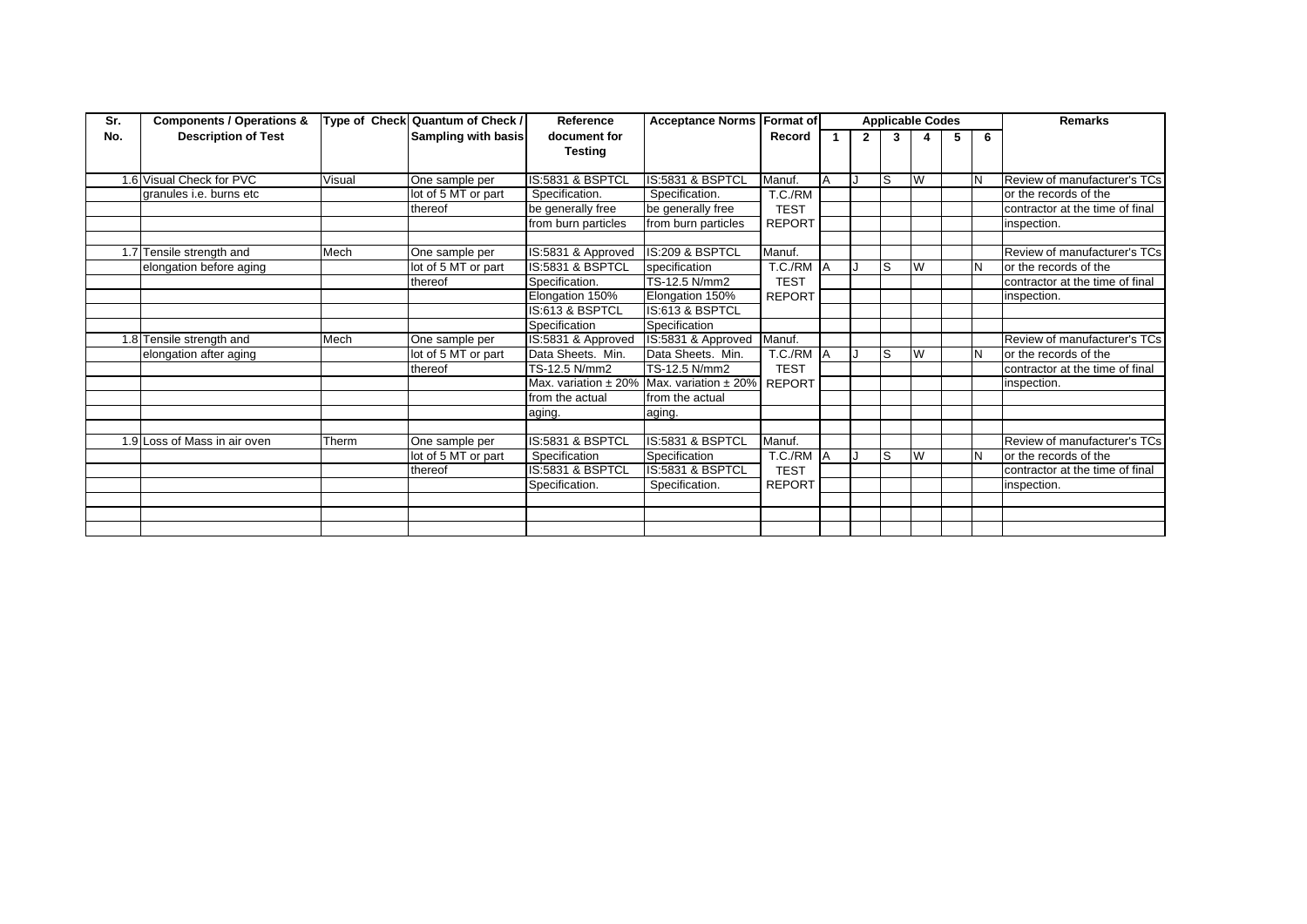| Sr. | <b>Components / Operations &amp;</b> |        | Type of Check Quantum of Check / | Reference               | <b>Acceptance Norms Format of</b> |               |           |              | <b>Applicable Codes</b> |   |   |   | <b>Remarks</b>                  |
|-----|--------------------------------------|--------|----------------------------------|-------------------------|-----------------------------------|---------------|-----------|--------------|-------------------------|---|---|---|---------------------------------|
| No. | <b>Description of Test</b>           |        | Sampling with basis              | document for            |                                   | Record        |           | $\mathbf{2}$ | 3                       |   | 5 | 6 |                                 |
|     |                                      |        |                                  | <b>Testing</b>          |                                   |               |           |              |                         |   |   |   |                                 |
|     |                                      |        |                                  |                         |                                   |               |           |              |                         |   |   |   |                                 |
|     | 1.6 Visual Check for PVC             | Visual | One sample per                   | IS:5831 & BSPTCL        | IS:5831 & BSPTCL                  | Manuf.        | A         |              | lS.                     | W |   |   | Review of manufacturer's TCs    |
|     | granules i.e. burns etc              |        | lot of 5 MT or part              | Specification.          | Specification.                    | T.C./RM       |           |              |                         |   |   |   | or the records of the           |
|     |                                      |        | thereof                          | be generally free       | be generally free                 | <b>TEST</b>   |           |              |                         |   |   |   | contractor at the time of final |
|     |                                      |        |                                  | from burn particles     | from burn particles               | <b>REPORT</b> |           |              |                         |   |   |   | inspection.                     |
|     |                                      |        |                                  |                         |                                   |               |           |              |                         |   |   |   |                                 |
|     | 1.7 Tensile strength and             | Mech   | One sample per                   | IS:5831 & Approved      | IS:209 & BSPTCL                   | Manuf.        |           |              |                         |   |   |   | Review of manufacturer's TCs    |
|     | elongation before aging              |        | lot of 5 MT or part              | IS:5831 & BSPTCL        | specification                     | T.C./RM       | <b>IA</b> |              | lS.                     | W |   |   | or the records of the           |
|     |                                      |        | thereof                          | Specification.          | TS-12.5 N/mm2                     | <b>TEST</b>   |           |              |                         |   |   |   | contractor at the time of final |
|     |                                      |        |                                  | Elongation 150%         | Elongation 150%                   | <b>REPORT</b> |           |              |                         |   |   |   | inspection.                     |
|     |                                      |        |                                  | IS:613 & BSPTCL         | IS:613 & BSPTCL                   |               |           |              |                         |   |   |   |                                 |
|     |                                      |        |                                  | Specification           | Specification                     |               |           |              |                         |   |   |   |                                 |
|     | 1.8 Tensile strength and             | Mech   | One sample per                   | IS:5831 & Approved      | IS:5831 & Approved                | Manuf.        |           |              |                         |   |   |   | Review of manufacturer's TCs    |
|     | elongation after aging               |        | lot of 5 MT or part              | Data Sheets. Min.       | Data Sheets. Min.                 | T.C./RM A     |           |              | lS.                     | W |   |   | or the records of the           |
|     |                                      |        | thereof                          | TS-12.5 N/mm2           | TS-12.5 N/mm2                     | <b>TEST</b>   |           |              |                         |   |   |   | contractor at the time of final |
|     |                                      |        |                                  | Max. variation $± 20\%$ | Max. variation $± 20\%$           | <b>REPORT</b> |           |              |                         |   |   |   | inspection.                     |
|     |                                      |        |                                  | from the actual         | from the actual                   |               |           |              |                         |   |   |   |                                 |
|     |                                      |        |                                  | aging.                  | aging.                            |               |           |              |                         |   |   |   |                                 |
|     |                                      |        |                                  |                         |                                   |               |           |              |                         |   |   |   |                                 |
|     | 1.9 Loss of Mass in air oven         | Therm  | One sample per                   | IS:5831 & BSPTCL        | IS:5831 & BSPTCL                  | Manuf.        |           |              |                         |   |   |   | Review of manufacturer's TCs    |
|     |                                      |        | lot of 5 MT or part              | Specification           | Specification                     | T.C./RM A     |           |              | l S                     | W |   |   | or the records of the           |
|     |                                      |        | thereof                          | IS:5831 & BSPTCL        | IS:5831 & BSPTCL                  | <b>TEST</b>   |           |              |                         |   |   |   | contractor at the time of final |
|     |                                      |        |                                  | Specification.          | Specification.                    | <b>REPORT</b> |           |              |                         |   |   |   | inspection.                     |
|     |                                      |        |                                  |                         |                                   |               |           |              |                         |   |   |   |                                 |
|     |                                      |        |                                  |                         |                                   |               |           |              |                         |   |   |   |                                 |
|     |                                      |        |                                  |                         |                                   |               |           |              |                         |   |   |   |                                 |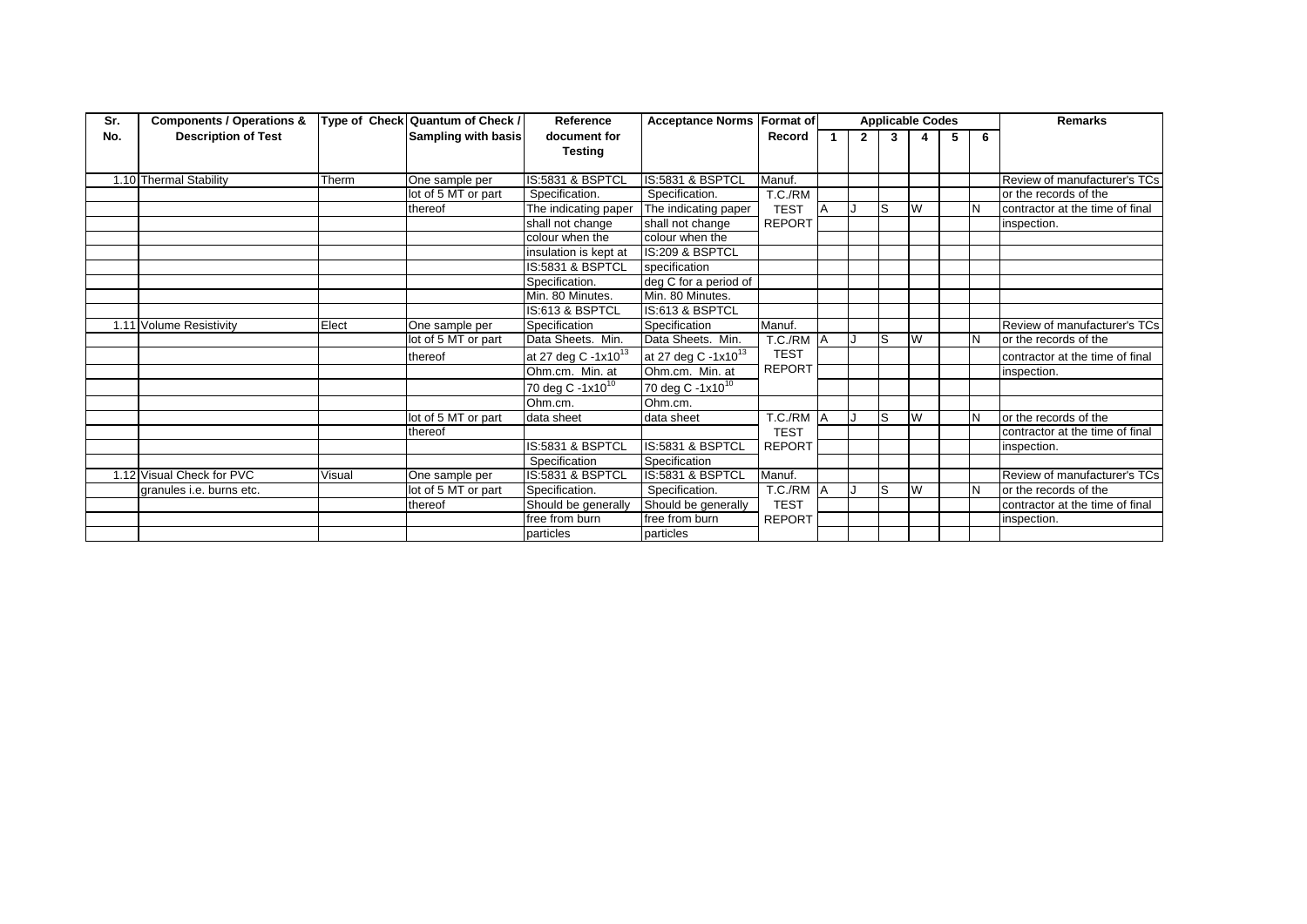| Sr. | <b>Components / Operations &amp;</b> |        | Type of Check Quantum of Check / | Reference                       | <b>Acceptance Norms Format of</b> |               |    |                | <b>Applicable Codes</b> |   |   |   | <b>Remarks</b>                  |
|-----|--------------------------------------|--------|----------------------------------|---------------------------------|-----------------------------------|---------------|----|----------------|-------------------------|---|---|---|---------------------------------|
| No. | <b>Description of Test</b>           |        | Sampling with basis              | document for                    |                                   | Record        |    | $\overline{2}$ | 3                       |   | 5 | 6 |                                 |
|     |                                      |        |                                  | <b>Testing</b>                  |                                   |               |    |                |                         |   |   |   |                                 |
|     |                                      |        |                                  |                                 |                                   |               |    |                |                         |   |   |   |                                 |
|     | 1.10 Thermal Stability               | Therm  | One sample per                   | IS:5831 & BSPTCL                | IS:5831 & BSPTCL                  | Manuf.        |    |                |                         |   |   |   | Review of manufacturer's TCs    |
|     |                                      |        | lot of 5 MT or part              | Specification.                  | Specification.                    | T.C./RM       |    |                |                         |   |   |   | or the records of the           |
|     |                                      |        | thereof                          | The indicating paper            | The indicating paper              | <b>TEST</b>   | ΙA |                | ls                      | W |   |   | contractor at the time of final |
|     |                                      |        |                                  | shall not change                | shall not change                  | <b>REPORT</b> |    |                |                         |   |   |   | inspection.                     |
|     |                                      |        |                                  | colour when the                 | colour when the                   |               |    |                |                         |   |   |   |                                 |
|     |                                      |        |                                  | insulation is kept at           | IS:209 & BSPTCL                   |               |    |                |                         |   |   |   |                                 |
|     |                                      |        |                                  | IS:5831 & BSPTCL                | specification                     |               |    |                |                         |   |   |   |                                 |
|     |                                      |        |                                  | Specification.                  | deg C for a period of             |               |    |                |                         |   |   |   |                                 |
|     |                                      |        |                                  | Min. 80 Minutes.                | Min. 80 Minutes.                  |               |    |                |                         |   |   |   |                                 |
|     |                                      |        |                                  | IS:613 & BSPTCL                 | IS:613 & BSPTCL                   |               |    |                |                         |   |   |   |                                 |
|     | 1.11 Volume Resistivity              | Elect  | One sample per                   | Specification                   | Specification                     | Manuf.        |    |                |                         |   |   |   | Review of manufacturer's TCs    |
|     |                                      |        | lot of 5 MT or part              | Data Sheets. Min.               | Data Sheets. Min.                 | T.C./RM A     |    |                | ls                      | W |   |   | or the records of the           |
|     |                                      |        | thereof                          | at 27 deg C -1x10 <sup>13</sup> | at 27 deg C -1x10 <sup>13</sup>   | <b>TEST</b>   |    |                |                         |   |   |   | contractor at the time of final |
|     |                                      |        |                                  | Ohm.cm. Min. at                 | Ohm.cm. Min. at                   | <b>REPORT</b> |    |                |                         |   |   |   | inspection.                     |
|     |                                      |        |                                  | 70 deg C -1x10 <sup>10</sup>    | 70 deg C -1x10 <sup>10</sup>      |               |    |                |                         |   |   |   |                                 |
|     |                                      |        |                                  | Ohm.cm.                         | Ohm.cm.                           |               |    |                |                         |   |   |   |                                 |
|     |                                      |        | lot of 5 MT or part              | data sheet                      | data sheet                        | T.C./RM A     |    |                | ls                      | W |   |   | or the records of the           |
|     |                                      |        | thereof                          |                                 |                                   | <b>TEST</b>   |    |                |                         |   |   |   | contractor at the time of final |
|     |                                      |        |                                  | IS:5831 & BSPTCL                | IS:5831 & BSPTCL                  | <b>REPORT</b> |    |                |                         |   |   |   | inspection.                     |
|     |                                      |        |                                  | Specification                   | Specification                     |               |    |                |                         |   |   |   |                                 |
|     | 1.12 Visual Check for PVC            | Visual | One sample per                   | IS:5831 & BSPTCL                | IS:5831 & BSPTCL                  | Manuf.        |    |                |                         |   |   |   | Review of manufacturer's TCs    |
|     | granules i.e. burns etc.             |        | lot of 5 MT or part              | Specification.                  | Specification.                    | T.C./RM A     |    |                | ls                      | W |   |   | or the records of the           |
|     |                                      |        | thereof                          | Should be generally             | Should be generally               | <b>TEST</b>   |    |                |                         |   |   |   | contractor at the time of final |
|     |                                      |        |                                  | free from burn                  | free from burn                    | <b>REPORT</b> |    |                |                         |   |   |   | inspection.                     |
|     |                                      |        |                                  | particles                       | particles                         |               |    |                |                         |   |   |   |                                 |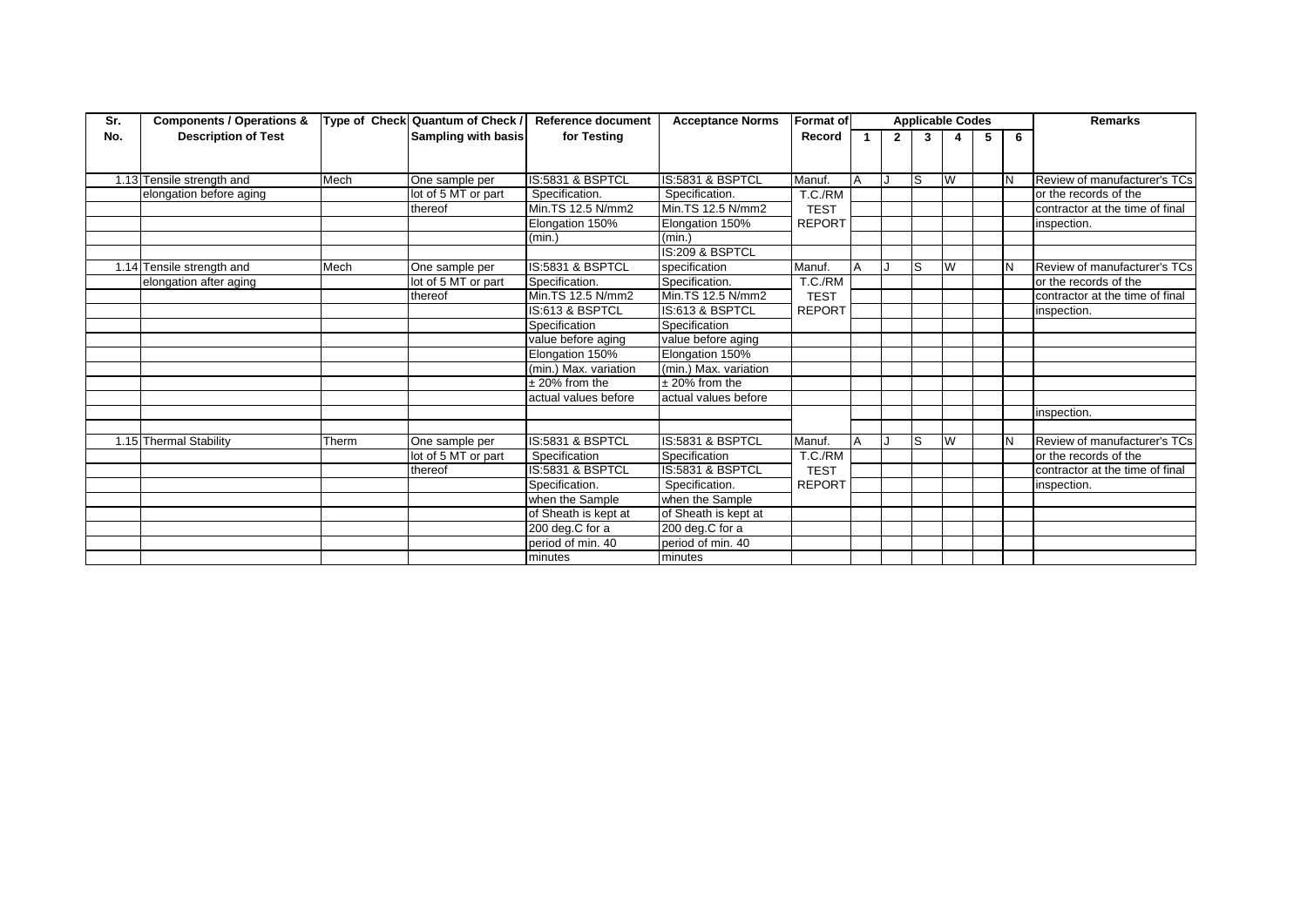| Sr. | <b>Components / Operations &amp;</b> | Type of Check | Quantum of Check /  | Reference document    | <b>Acceptance Norms</b>     | Format of     |   |              |     | <b>Applicable Codes</b> |   |   | <b>Remarks</b>                  |
|-----|--------------------------------------|---------------|---------------------|-----------------------|-----------------------------|---------------|---|--------------|-----|-------------------------|---|---|---------------------------------|
| No. | <b>Description of Test</b>           |               | Sampling with basis | for Testing           |                             | Record        | 1 | $\mathbf{2}$ | 3   |                         | 5 | 6 |                                 |
|     |                                      |               |                     |                       |                             |               |   |              |     |                         |   |   |                                 |
|     | 1.13 Tensile strength and            | Mech          | One sample per      | IS:5831 & BSPTCL      | IS:5831 & BSPTCL            | Manuf.        | Δ |              | IS  | W                       |   | N | Review of manufacturer's TCs    |
|     | elongation before aging              |               | lot of 5 MT or part | Specification.        | Specification.              | T.C./RM       |   |              |     |                         |   |   | or the records of the           |
|     |                                      |               | thereof             | Min.TS 12.5 N/mm2     | Min.TS 12.5 N/mm2           | <b>TEST</b>   |   |              |     |                         |   |   | contractor at the time of final |
|     |                                      |               |                     | Elongation 150%       | Elongation 150%             | <b>REPORT</b> |   |              |     |                         |   |   | inspection.                     |
|     |                                      |               |                     | (min.)                | (min.)                      |               |   |              |     |                         |   |   |                                 |
|     |                                      |               |                     |                       | IS:209 & BSPTCL             |               |   |              |     |                         |   |   |                                 |
|     | 1.14 Tensile strength and            | Mech          | One sample per      | IS:5831 & BSPTCL      | specification               | Manuf.        |   |              | IS. | W                       |   | N | Review of manufacturer's TCs    |
|     | elongation after aging               |               | lot of 5 MT or part | Specification.        | Specification.              | T.C./RM       |   |              |     |                         |   |   | or the records of the           |
|     |                                      |               | thereof             | Min.TS 12.5 N/mm2     | Min.TS 12.5 N/mm2           | <b>TEST</b>   |   |              |     |                         |   |   | contractor at the time of final |
|     |                                      |               |                     | IS:613 & BSPTCL       | IS:613 & BSPTCL             | <b>REPORT</b> |   |              |     |                         |   |   | inspection.                     |
|     |                                      |               |                     | Specification         | Specification               |               |   |              |     |                         |   |   |                                 |
|     |                                      |               |                     | value before aging    | value before aging          |               |   |              |     |                         |   |   |                                 |
|     |                                      |               |                     | Elongation 150%       | Elongation 150%             |               |   |              |     |                         |   |   |                                 |
|     |                                      |               |                     | (min.) Max. variation | (min.) Max. variation       |               |   |              |     |                         |   |   |                                 |
|     |                                      |               |                     | $\pm$ 20% from the    | $± 20\%$ from the           |               |   |              |     |                         |   |   |                                 |
|     |                                      |               |                     | actual values before  | actual values before        |               |   |              |     |                         |   |   |                                 |
|     |                                      |               |                     |                       |                             |               |   |              |     |                         |   |   | inspection.                     |
|     | 1.15 Thermal Stability               | Therm         | One sample per      | IS:5831 & BSPTCL      | IS:5831 & BSPTCL            | Manuf.        |   |              | ls  | W                       |   | N | Review of manufacturer's TCs    |
|     |                                      |               | lot of 5 MT or part | Specification         | Specification               | T.C./RM       |   |              |     |                         |   |   | or the records of the           |
|     |                                      |               | thereof             | IS:5831 & BSPTCL      | <b>IS:5831 &amp; BSPTCL</b> | <b>TEST</b>   |   |              |     |                         |   |   | contractor at the time of final |
|     |                                      |               |                     | Specification.        | Specification.              | <b>REPORT</b> |   |              |     |                         |   |   | inspection.                     |
|     |                                      |               |                     | when the Sample       | when the Sample             |               |   |              |     |                         |   |   |                                 |
|     |                                      |               |                     | of Sheath is kept at  | of Sheath is kept at        |               |   |              |     |                         |   |   |                                 |
|     |                                      |               |                     | 200 deg.C for a       | 200 deg.C for a             |               |   |              |     |                         |   |   |                                 |
|     |                                      |               |                     | period of min. 40     | period of min. 40           |               |   |              |     |                         |   |   |                                 |
|     |                                      |               |                     | minutes               | minutes                     |               |   |              |     |                         |   |   |                                 |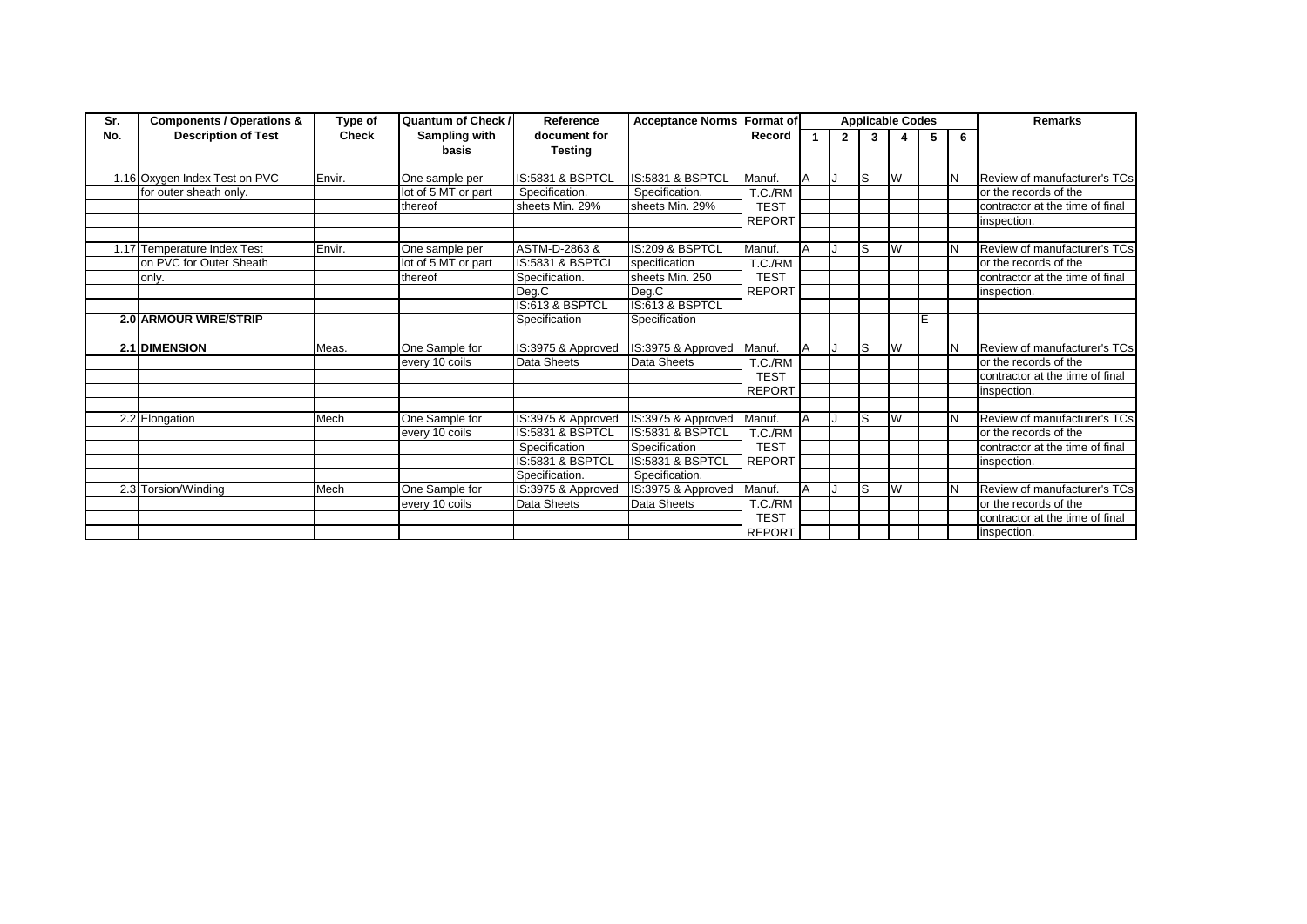| Sr. | <b>Components / Operations &amp;</b> | Type of      | <b>Quantum of Check /</b> | Reference                      | <b>Acceptance Norms Format of</b> |               |          |              |   | <b>Applicable Codes</b> |   |     | <b>Remarks</b>                  |
|-----|--------------------------------------|--------------|---------------------------|--------------------------------|-----------------------------------|---------------|----------|--------------|---|-------------------------|---|-----|---------------------------------|
| No. | <b>Description of Test</b>           | <b>Check</b> | Sampling with<br>basis    | document for<br><b>Testing</b> |                                   | Record        |          | $\mathbf{2}$ | 3 |                         | 5 | 6   |                                 |
|     | 1.16 Oxygen Index Test on PVC        | Envir.       | One sample per            | IS:5831 & BSPTCL               | IS:5831 & BSPTCL                  | Manuf.        | ΙA       |              | S | W                       |   | IN  | Review of manufacturer's TCs    |
|     | for outer sheath only.               |              | lot of 5 MT or part       | Specification.                 | Specification.                    | T.C./RM       |          |              |   |                         |   |     | or the records of the           |
|     |                                      |              | thereof                   | sheets Min. 29%                | sheets Min. 29%                   | <b>TEST</b>   |          |              |   |                         |   |     | contractor at the time of final |
|     |                                      |              |                           |                                |                                   | <b>REPORT</b> |          |              |   |                         |   |     | inspection.                     |
|     |                                      |              |                           |                                |                                   |               |          |              |   |                         |   |     |                                 |
|     | 1.17 Temperature Index Test          | Envir.       | One sample per            | ASTM-D-2863 &                  | IS:209 & BSPTCL                   | Manuf.        |          |              | S | W                       |   | IN. | Review of manufacturer's TCs    |
|     | on PVC for Outer Sheath              |              | lot of 5 MT or part       | IS:5831 & BSPTCL               | specification                     | T.C./RM       |          |              |   |                         |   |     | or the records of the           |
|     | only.                                |              | thereof                   | Specification.                 | sheets Min. 250                   | <b>TEST</b>   |          |              |   |                         |   |     | contractor at the time of final |
|     |                                      |              |                           | Deg.C                          | Deg.C                             | <b>REPORT</b> |          |              |   |                         |   |     | inspection.                     |
|     |                                      |              |                           | IS:613 & BSPTCL                | IS:613 & BSPTCL                   |               |          |              |   |                         |   |     |                                 |
|     | <b>2.0 ARMOUR WIRE/STRIP</b>         |              |                           | Specification                  | Specification                     |               |          |              |   |                         | E |     |                                 |
|     |                                      |              |                           |                                |                                   |               |          |              |   |                         |   |     |                                 |
|     | <b>2.1 DIMENSION</b>                 | Meas.        | One Sample for            | IS:3975 & Approved             | IS:3975 & Approved                | Manuf.        | A        |              | S | W                       |   | IN. | Review of manufacturer's TCs    |
|     |                                      |              | every 10 coils            | Data Sheets                    | Data Sheets                       | T.C./RM       |          |              |   |                         |   |     | or the records of the           |
|     |                                      |              |                           |                                |                                   | <b>TEST</b>   |          |              |   |                         |   |     | contractor at the time of final |
|     |                                      |              |                           |                                |                                   | <b>REPORT</b> |          |              |   |                         |   |     | inspection.                     |
|     |                                      |              |                           |                                |                                   |               |          |              |   |                         |   |     |                                 |
|     | 2.2 Elongation                       | Mech         | One Sample for            | IS:3975 & Approved             | IS:3975 & Approved                | Manuf.        | <b>A</b> |              | S | W                       |   | IN. | Review of manufacturer's TCs    |
|     |                                      |              | every 10 coils            | IS:5831 & BSPTCL               | IS:5831 & BSPTCL                  | T.C./RM       |          |              |   |                         |   |     | or the records of the           |
|     |                                      |              |                           | Specification                  | Specification                     | <b>TEST</b>   |          |              |   |                         |   |     | contractor at the time of final |
|     |                                      |              |                           | IS:5831 & BSPTCL               | IS:5831 & BSPTCL                  | <b>REPORT</b> |          |              |   |                         |   |     | inspection.                     |
|     |                                      |              |                           | Specification.                 | Specification.                    |               |          |              |   |                         |   |     |                                 |
|     | 2.3 Torsion/Winding                  | Mech         | One Sample for            | IS:3975 & Approved             | IS:3975 & Approved                | Manuf.        | A        |              | S | W                       |   | IN. | Review of manufacturer's TCs    |
|     |                                      |              | every 10 coils            | Data Sheets                    | Data Sheets                       | T.C./RM       |          |              |   |                         |   |     | or the records of the           |
|     |                                      |              |                           |                                |                                   | <b>TEST</b>   |          |              |   |                         |   |     | contractor at the time of final |
|     |                                      |              |                           |                                |                                   | <b>REPORT</b> |          |              |   |                         |   |     | inspection.                     |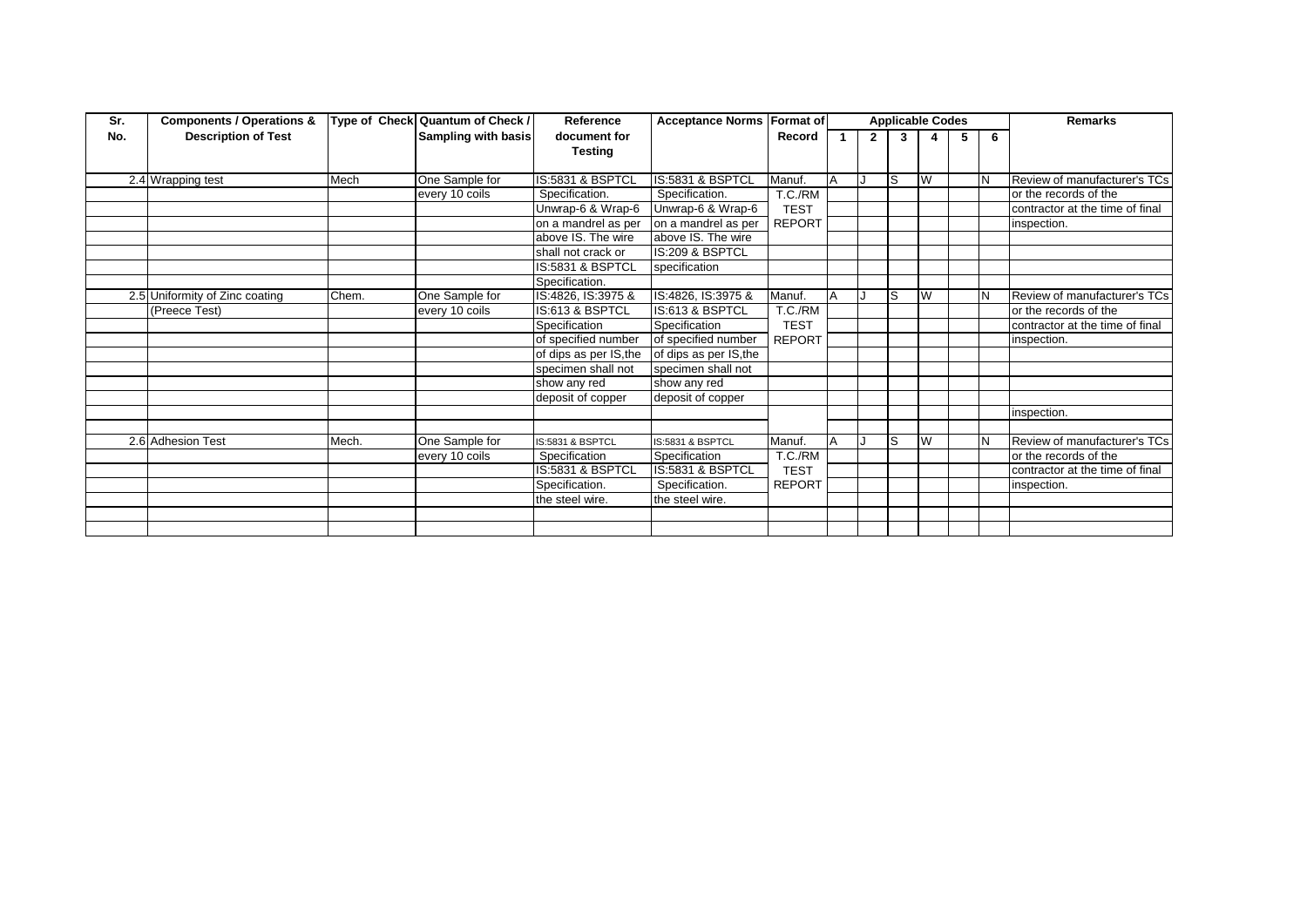| Sr. | <b>Components / Operations &amp;</b> |       | Type of Check Quantum of Check / | Reference              | Acceptance Norms Format of |               |                |              | <b>Applicable Codes</b> |   |   |    | <b>Remarks</b>                  |
|-----|--------------------------------------|-------|----------------------------------|------------------------|----------------------------|---------------|----------------|--------------|-------------------------|---|---|----|---------------------------------|
| No. | <b>Description of Test</b>           |       | Sampling with basis              | document for           |                            | Record        |                | $\mathbf{2}$ | 3                       |   | 5 | -6 |                                 |
|     |                                      |       |                                  | <b>Testing</b>         |                            |               |                |              |                         |   |   |    |                                 |
|     |                                      |       |                                  |                        |                            |               |                |              |                         |   |   |    |                                 |
|     | 2.4 Wrapping test                    | Mech  | One Sample for                   | IS:5831 & BSPTCL       | IS:5831 & BSPTCL           | Manuf.        | $\overline{A}$ |              | lS                      | W |   |    | Review of manufacturer's TCs    |
|     |                                      |       | every 10 coils                   | Specification.         | Specification.             | T.C./RM       |                |              |                         |   |   |    | or the records of the           |
|     |                                      |       |                                  | Unwrap-6 & Wrap-6      | Unwrap-6 & Wrap-6          | <b>TEST</b>   |                |              |                         |   |   |    | contractor at the time of final |
|     |                                      |       |                                  | on a mandrel as per    | on a mandrel as per        | <b>REPORT</b> |                |              |                         |   |   |    | inspection.                     |
|     |                                      |       |                                  | above IS. The wire     | above IS. The wire         |               |                |              |                         |   |   |    |                                 |
|     |                                      |       |                                  | shall not crack or     | IS:209 & BSPTCL            |               |                |              |                         |   |   |    |                                 |
|     |                                      |       |                                  | IS:5831 & BSPTCL       | specification              |               |                |              |                         |   |   |    |                                 |
|     |                                      |       |                                  | Specification.         |                            |               |                |              |                         |   |   |    |                                 |
|     | 2.5 Uniformity of Zinc coating       | Chem. | One Sample for                   | IS:4826, IS:3975 &     | IS:4826, IS:3975 &         | Manuf.        |                |              | ls                      | W |   |    | Review of manufacturer's TCs    |
|     | (Preece Test)                        |       | every 10 coils                   | IS:613 & BSPTCL        | IS:613 & BSPTCL            | T.C./RM       |                |              |                         |   |   |    | or the records of the           |
|     |                                      |       |                                  | Specification          | Specification              | <b>TEST</b>   |                |              |                         |   |   |    | contractor at the time of final |
|     |                                      |       |                                  | of specified number    | of specified number        | <b>REPORT</b> |                |              |                         |   |   |    | inspection.                     |
|     |                                      |       |                                  | of dips as per IS, the | of dips as per IS, the     |               |                |              |                         |   |   |    |                                 |
|     |                                      |       |                                  | specimen shall not     | specimen shall not         |               |                |              |                         |   |   |    |                                 |
|     |                                      |       |                                  | show any red           | show any red               |               |                |              |                         |   |   |    |                                 |
|     |                                      |       |                                  | deposit of copper      | deposit of copper          |               |                |              |                         |   |   |    |                                 |
|     |                                      |       |                                  |                        |                            |               |                |              |                         |   |   |    | inspection.                     |
|     |                                      |       |                                  |                        |                            |               |                |              |                         |   |   |    |                                 |
|     | 2.6 Adhesion Test                    | Mech. | One Sample for                   | IS:5831 & BSPTCL       | IS:5831 & BSPTCL           | Manuf.        | $\overline{A}$ |              | lS                      | W |   |    | Review of manufacturer's TCs    |
|     |                                      |       | every 10 coils                   | Specification          | Specification              | T.C./RM       |                |              |                         |   |   |    | or the records of the           |
|     |                                      |       |                                  | IS:5831 & BSPTCL       | IS:5831 & BSPTCL           | <b>TEST</b>   |                |              |                         |   |   |    | contractor at the time of final |
|     |                                      |       |                                  | Specification.         | Specification.             | <b>REPORT</b> |                |              |                         |   |   |    | inspection.                     |
|     |                                      |       |                                  | the steel wire.        | the steel wire.            |               |                |              |                         |   |   |    |                                 |
|     |                                      |       |                                  |                        |                            |               |                |              |                         |   |   |    |                                 |
|     |                                      |       |                                  |                        |                            |               |                |              |                         |   |   |    |                                 |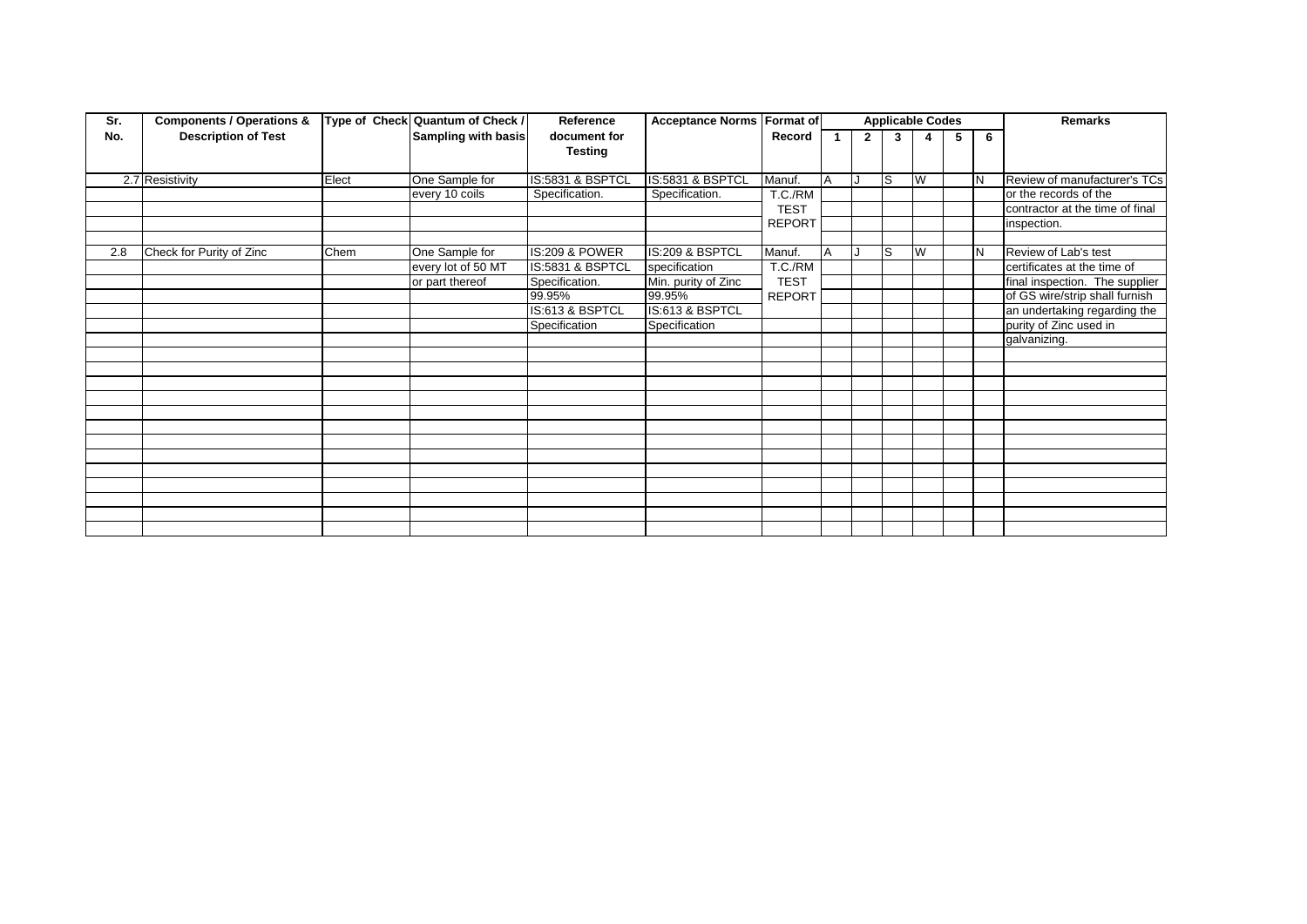| Sr. | <b>Components / Operations &amp;</b> |       | Type of Check Quantum of Check / | Reference                 | <b>Acceptance Norms Format of</b> |               |                |              | <b>Applicable Codes</b> |   |   |   | <b>Remarks</b>                  |
|-----|--------------------------------------|-------|----------------------------------|---------------------------|-----------------------------------|---------------|----------------|--------------|-------------------------|---|---|---|---------------------------------|
| No. | <b>Description of Test</b>           |       | <b>Sampling with basis</b>       | document for              |                                   | Record        | 1.             | $\mathbf{2}$ | 3                       |   | 5 | 6 |                                 |
|     |                                      |       |                                  | <b>Testing</b>            |                                   |               |                |              |                         |   |   |   |                                 |
|     |                                      |       |                                  |                           |                                   |               | A              |              | s                       | W |   |   |                                 |
|     | 2.7 Resistivity                      | Elect | One Sample for                   | IS:5831 & BSPTCL          | IS:5831 & BSPTCL                  | Manuf.        |                |              |                         |   |   |   | Review of manufacturer's TCs    |
|     |                                      |       | every 10 coils                   | Specification.            | Specification.                    | T.C./RM       |                |              |                         |   |   |   | or the records of the           |
|     |                                      |       |                                  |                           |                                   | <b>TEST</b>   |                |              |                         |   |   |   | contractor at the time of final |
|     |                                      |       |                                  |                           |                                   | <b>REPORT</b> |                |              |                         |   |   |   | inspection.                     |
|     |                                      |       |                                  |                           |                                   |               |                |              |                         |   |   |   |                                 |
| 2.8 | Check for Purity of Zinc             | Chem  | One Sample for                   | <b>IS:209 &amp; POWER</b> | IS:209 & BSPTCL                   | Manuf.        | $\overline{A}$ |              | S                       | W |   | N | Review of Lab's test            |
|     |                                      |       | every lot of 50 MT               | IS:5831 & BSPTCL          | specification                     | T.C./RM       |                |              |                         |   |   |   | certificates at the time of     |
|     |                                      |       | or part thereof                  | Specification.            | Min. purity of Zinc               | <b>TEST</b>   |                |              |                         |   |   |   | final inspection. The supplier  |
|     |                                      |       |                                  | 99.95%                    | 99.95%                            | <b>REPORT</b> |                |              |                         |   |   |   | of GS wire/strip shall furnish  |
|     |                                      |       |                                  | IS:613 & BSPTCL           | IS:613 & BSPTCL                   |               |                |              |                         |   |   |   | an undertaking regarding the    |
|     |                                      |       |                                  | Specification             | Specification                     |               |                |              |                         |   |   |   | purity of Zinc used in          |
|     |                                      |       |                                  |                           |                                   |               |                |              |                         |   |   |   | galvanizing.                    |
|     |                                      |       |                                  |                           |                                   |               |                |              |                         |   |   |   |                                 |
|     |                                      |       |                                  |                           |                                   |               |                |              |                         |   |   |   |                                 |
|     |                                      |       |                                  |                           |                                   |               |                |              |                         |   |   |   |                                 |
|     |                                      |       |                                  |                           |                                   |               |                |              |                         |   |   |   |                                 |
|     |                                      |       |                                  |                           |                                   |               |                |              |                         |   |   |   |                                 |
|     |                                      |       |                                  |                           |                                   |               |                |              |                         |   |   |   |                                 |
|     |                                      |       |                                  |                           |                                   |               |                |              |                         |   |   |   |                                 |
|     |                                      |       |                                  |                           |                                   |               |                |              |                         |   |   |   |                                 |
|     |                                      |       |                                  |                           |                                   |               |                |              |                         |   |   |   |                                 |
|     |                                      |       |                                  |                           |                                   |               |                |              |                         |   |   |   |                                 |
|     |                                      |       |                                  |                           |                                   |               |                |              |                         |   |   |   |                                 |
|     |                                      |       |                                  |                           |                                   |               |                |              |                         |   |   |   |                                 |
|     |                                      |       |                                  |                           |                                   |               |                |              |                         |   |   |   |                                 |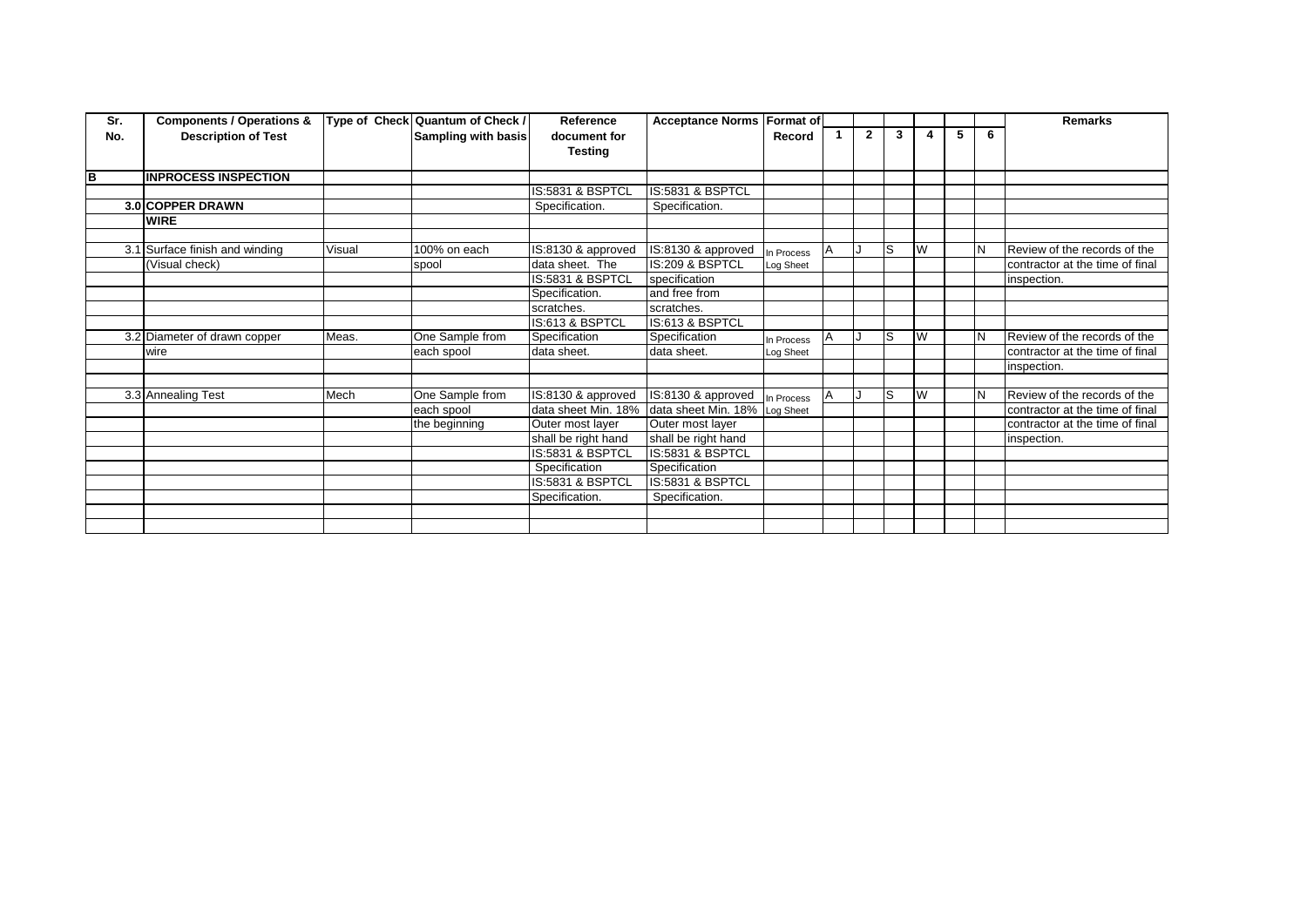| Sr. | <b>Components / Operations &amp;</b> |        | Type of Check Quantum of Check / | Reference                   | Acceptance Norms Format of |            |              |              |                         |   |   | <b>Remarks</b>                  |
|-----|--------------------------------------|--------|----------------------------------|-----------------------------|----------------------------|------------|--------------|--------------|-------------------------|---|---|---------------------------------|
| No. | <b>Description of Test</b>           |        | <b>Sampling with basis</b>       | document for                |                            | Record     | $\mathbf{2}$ | $\mathbf{3}$ | 4                       | 5 | 6 |                                 |
|     |                                      |        |                                  | <b>Testing</b>              |                            |            |              |              |                         |   |   |                                 |
|     |                                      |        |                                  |                             |                            |            |              |              |                         |   |   |                                 |
| В   | <b>INPROCESS INSPECTION</b>          |        |                                  |                             |                            |            |              |              |                         |   |   |                                 |
|     |                                      |        |                                  | <b>IS:5831 &amp; BSPTCL</b> | IS:5831 & BSPTCL           |            |              |              |                         |   |   |                                 |
|     | <b>3.0 COPPER DRAWN</b>              |        |                                  | Specification.              | Specification.             |            |              |              |                         |   |   |                                 |
|     | <b>WIRE</b>                          |        |                                  |                             |                            |            |              |              |                         |   |   |                                 |
|     |                                      |        |                                  |                             |                            |            |              |              |                         |   |   |                                 |
|     | 3.1 Surface finish and winding       | Visual | 100% on each                     | IS:8130 & approved          | IS:8130 & approved         | In Process |              | ls           | W                       |   |   | Review of the records of the    |
|     | (Visual check)                       |        | spool                            | data sheet. The             | IS:209 & BSPTCL            | Log Sheet  |              |              |                         |   |   | contractor at the time of final |
|     |                                      |        |                                  | IS:5831 & BSPTCL            | specification              |            |              |              |                         |   |   | inspection.                     |
|     |                                      |        |                                  | Specification.              | and free from              |            |              |              |                         |   |   |                                 |
|     |                                      |        |                                  | scratches.                  | scratches.                 |            |              |              |                         |   |   |                                 |
|     |                                      |        |                                  | IS:613 & BSPTCL             | IS:613 & BSPTCL            |            |              |              |                         |   |   |                                 |
|     | 3.2 Diameter of drawn copper         | Meas.  | One Sample from                  | Specification               | Specification              | In Process |              | S            | W                       |   | N | Review of the records of the    |
|     | wire                                 |        | each spool                       | data sheet.                 | data sheet.                | Log Sheet  |              |              |                         |   |   | contractor at the time of final |
|     |                                      |        |                                  |                             |                            |            |              |              |                         |   |   | inspection.                     |
|     |                                      |        |                                  |                             |                            |            |              |              |                         |   |   |                                 |
|     | 3.3 Annealing Test                   | Mech   | One Sample from                  | IS:8130 & approved          | IS:8130 & approved         | n Process  |              | lS           | $\overline{\mathsf{w}}$ |   |   | Review of the records of the    |
|     |                                      |        | each spool                       | data sheet Min. 18%         | data sheet Min. 18%        | Log Sheet  |              |              |                         |   |   | contractor at the time of final |
|     |                                      |        | the beginning                    | Outer most layer            | Outer most layer           |            |              |              |                         |   |   | contractor at the time of final |
|     |                                      |        |                                  | shall be right hand         | shall be right hand        |            |              |              |                         |   |   | inspection.                     |
|     |                                      |        |                                  | IS:5831 & BSPTCL            | IS:5831 & BSPTCL           |            |              |              |                         |   |   |                                 |
|     |                                      |        |                                  | Specification               | Specification              |            |              |              |                         |   |   |                                 |
|     |                                      |        |                                  | IS:5831 & BSPTCL            | IS:5831 & BSPTCL           |            |              |              |                         |   |   |                                 |
|     |                                      |        |                                  | Specification.              | Specification.             |            |              |              |                         |   |   |                                 |
|     |                                      |        |                                  |                             |                            |            |              |              |                         |   |   |                                 |
|     |                                      |        |                                  |                             |                            |            |              |              |                         |   |   |                                 |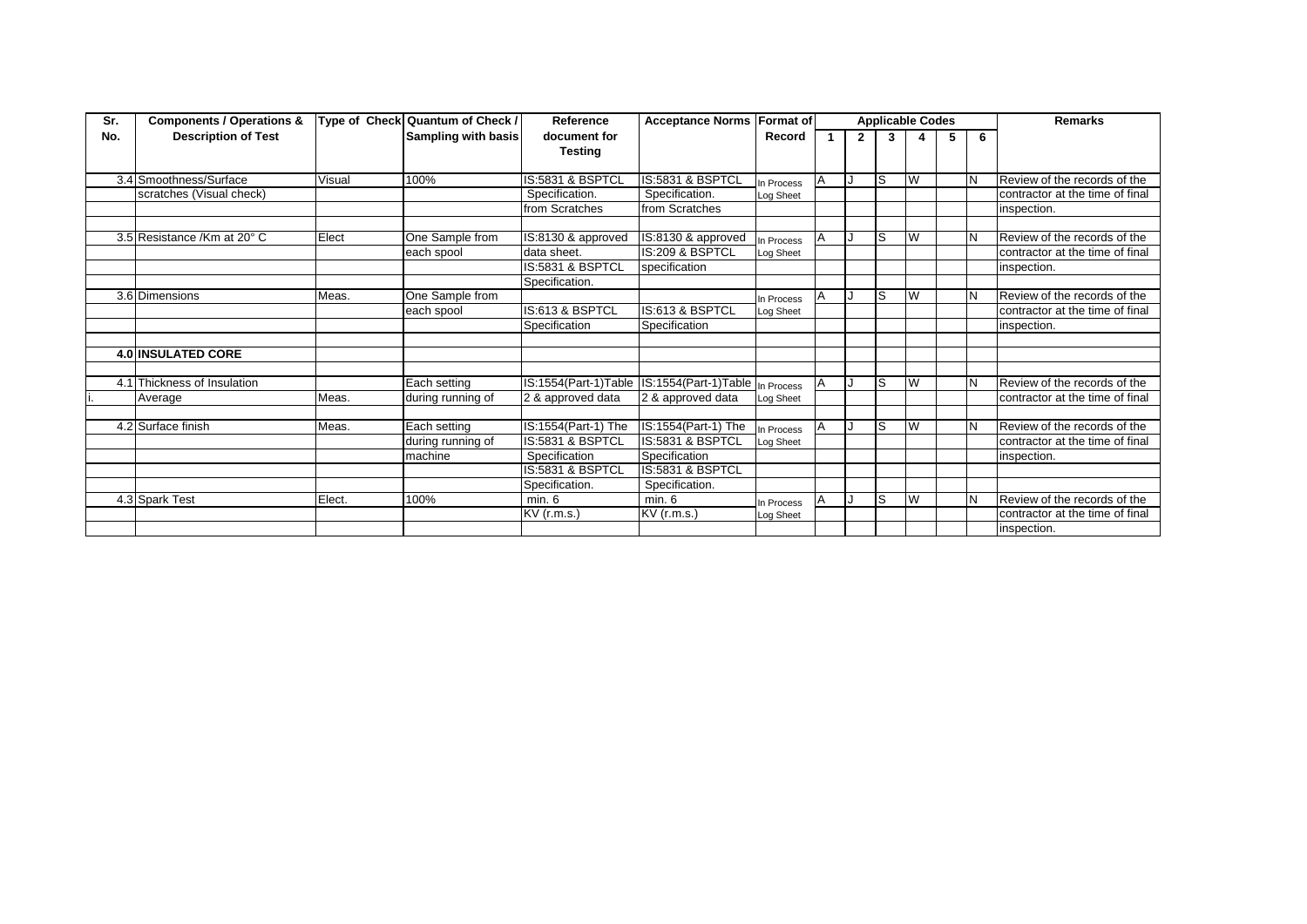| Sr. | <b>Components / Operations &amp;</b> |        | Type of Check Quantum of Check / | Reference                      | <b>Acceptance Norms</b> | <b>Format of</b> |              |   | <b>Applicable Codes</b> |   |   | Remarks                         |
|-----|--------------------------------------|--------|----------------------------------|--------------------------------|-------------------------|------------------|--------------|---|-------------------------|---|---|---------------------------------|
| No. | <b>Description of Test</b>           |        | <b>Sampling with basis</b>       | document for<br><b>Testing</b> |                         | Record           | $\mathbf{2}$ | 3 |                         | 5 | 6 |                                 |
|     | 3.4 Smoothness/Surface               | Visual | 100%                             | IS:5831 & BSPTCL               | IS:5831 & BSPTCL        | In Process       |              | S | W                       |   | N | Review of the records of the    |
|     | scratches (Visual check)             |        |                                  | Specification.                 | Specification.          | Log Sheet        |              |   |                         |   |   | contractor at the time of final |
|     |                                      |        |                                  | from Scratches                 | from Scratches          |                  |              |   |                         |   |   | inspection.                     |
|     | 3.5 Resistance /Km at 20° C          | Elect  | One Sample from                  | IS:8130 & approved             | IS:8130 & approved      | In Process       |              | S | W                       |   |   | Review of the records of the    |
|     |                                      |        | each spool                       | data sheet.                    | IS:209 & BSPTCL         | Log Sheet        |              |   |                         |   |   | contractor at the time of final |
|     |                                      |        |                                  | IS:5831 & BSPTCL               | specification           |                  |              |   |                         |   |   | inspection.                     |
|     |                                      |        |                                  | Specification.                 |                         |                  |              |   |                         |   |   |                                 |
|     | 3.6 Dimensions                       | Meas.  | One Sample from                  |                                |                         | n Process        |              | S | W                       |   |   | Review of the records of the    |
|     |                                      |        | each spool                       | IS:613 & BSPTCL                | IS:613 & BSPTCL         | Log Sheet        |              |   |                         |   |   | contractor at the time of final |
|     |                                      |        |                                  | Specification                  | Specification           |                  |              |   |                         |   |   | inspection.                     |
|     | <b>4.0 INSULATED CORE</b>            |        |                                  |                                |                         |                  |              |   |                         |   |   |                                 |
| 4.1 | Thickness of Insulation              |        | Each setting                     | IS:1554(Part-1)Table           | IS:1554(Part-1)Table    | In Process       |              | S | W                       |   |   | Review of the records of the    |
|     | Average                              | Meas.  | during running of                | 2 & approved data              | 2 & approved data       | Log Sheet        |              |   |                         |   |   | contractor at the time of final |
|     | 4.2 Surface finish                   | Meas.  | Each setting                     | IS:1554(Part-1) The            | IS:1554(Part-1) The     | In Process       |              | S | W                       |   |   | Review of the records of the    |
|     |                                      |        | during running of                | IS:5831 & BSPTCL               | IS:5831 & BSPTCL        | Log Sheet        |              |   |                         |   |   | contractor at the time of final |
|     |                                      |        | machine                          | Specification                  | Specification           |                  |              |   |                         |   |   | inspection.                     |
|     |                                      |        |                                  | IS:5831 & BSPTCL               | IS:5831 & BSPTCL        |                  |              |   |                         |   |   |                                 |
|     |                                      |        |                                  | Specification.                 | Specification.          |                  |              |   |                         |   |   |                                 |
|     | 4.3 Spark Test                       | Elect. | 100%                             | min. 6                         | min. 6                  | In Process       |              | S | W                       |   |   | Review of the records of the    |
|     |                                      |        |                                  | KV (r.m.s.)                    | KV (r.m.s.)             | Log Sheet        |              |   |                         |   |   | contractor at the time of final |
|     |                                      |        |                                  |                                |                         |                  |              |   |                         |   |   | inspection.                     |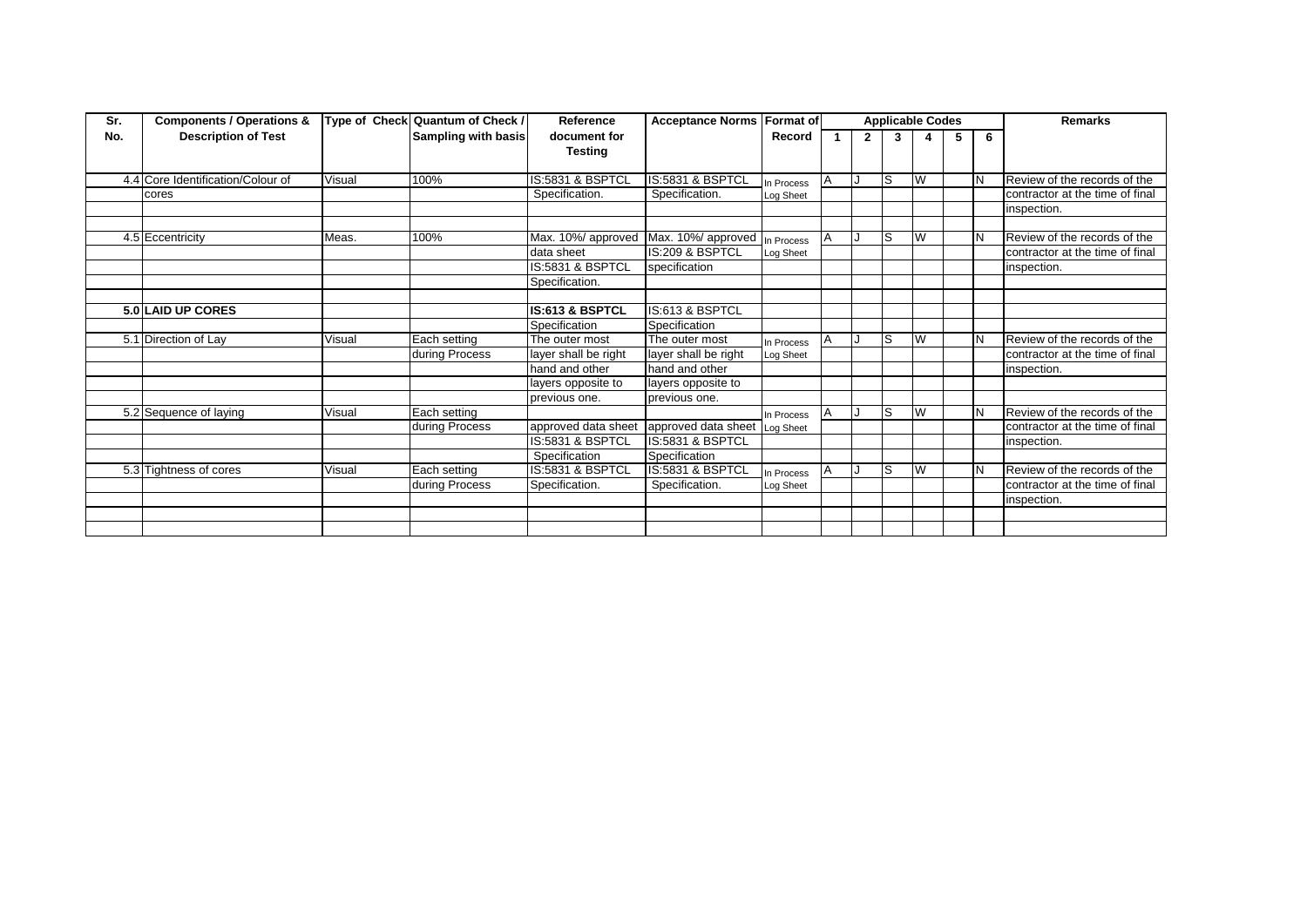| Sr. | <b>Components / Operations &amp;</b> |        | Type of Check Quantum of Check / | Reference            | <b>Acceptance Norms</b> | <b>Format of</b> |                | <b>Applicable Codes</b> |   |   |   | <b>Remarks</b>                  |
|-----|--------------------------------------|--------|----------------------------------|----------------------|-------------------------|------------------|----------------|-------------------------|---|---|---|---------------------------------|
| No. | <b>Description of Test</b>           |        | <b>Sampling with basis</b>       | document for         |                         | Record           | $\overline{2}$ | 3                       |   | 5 | 6 |                                 |
|     |                                      |        |                                  | <b>Testing</b>       |                         |                  |                |                         |   |   |   |                                 |
|     |                                      |        |                                  |                      |                         |                  |                |                         |   |   |   |                                 |
|     | 4.4 Core Identification/Colour of    | Visual | 100%                             | IS:5831 & BSPTCL     | IS:5831 & BSPTCL        | In Process       |                | lS                      | W |   | N | Review of the records of the    |
|     | cores                                |        |                                  | Specification.       | Specification.          | Log Sheet        |                |                         |   |   |   | contractor at the time of final |
|     |                                      |        |                                  |                      |                         |                  |                |                         |   |   |   | inspection.                     |
|     |                                      |        |                                  |                      |                         |                  |                |                         |   |   |   |                                 |
|     | 4.5 Eccentricity                     | Meas.  | 100%                             | Max. 10%/ approved   | Max. 10%/ approved      | n Process        |                | ls                      | W |   | N | Review of the records of the    |
|     |                                      |        |                                  | data sheet           | IS:209 & BSPTCL         | Log Sheet        |                |                         |   |   |   | contractor at the time of final |
|     |                                      |        |                                  | IS:5831 & BSPTCL     | specification           |                  |                |                         |   |   |   | inspection.                     |
|     |                                      |        |                                  | Specification.       |                         |                  |                |                         |   |   |   |                                 |
|     |                                      |        |                                  |                      |                         |                  |                |                         |   |   |   |                                 |
|     | 5.0 LAID UP CORES                    |        |                                  | IS:613 & BSPTCL      | IS:613 & BSPTCL         |                  |                |                         |   |   |   |                                 |
|     |                                      |        |                                  | Specification        | Specification           |                  |                |                         |   |   |   |                                 |
|     | 5.1 Direction of Lay                 | Visual | Each setting                     | The outer most       | The outer most          | In Process       |                | ls                      | W |   | N | Review of the records of the    |
|     |                                      |        | during Process                   | layer shall be right | layer shall be right    | Log Sheet        |                |                         |   |   |   | contractor at the time of final |
|     |                                      |        |                                  | hand and other       | hand and other          |                  |                |                         |   |   |   | inspection.                     |
|     |                                      |        |                                  | layers opposite to   | layers opposite to      |                  |                |                         |   |   |   |                                 |
|     |                                      |        |                                  | previous one.        | previous one.           |                  |                |                         |   |   |   |                                 |
|     | 5.2 Sequence of laying               | Visual | Each setting                     |                      |                         | In Process       |                | ls                      | W |   | N | Review of the records of the    |
|     |                                      |        | during Process                   | approved data sheet  | approved data sheet     | Log Sheet        |                |                         |   |   |   | contractor at the time of final |
|     |                                      |        |                                  | IS:5831 & BSPTCL     | IS:5831 & BSPTCL        |                  |                |                         |   |   |   | inspection.                     |
|     |                                      |        |                                  | Specification        | Specification           |                  |                |                         |   |   |   |                                 |
|     | 5.3 Tightness of cores               | Visual | Each setting                     | IS:5831 & BSPTCL     | IS:5831 & BSPTCL        | In Process       |                | ls                      | W |   | N | Review of the records of the    |
|     |                                      |        | during Process                   | Specification.       | Specification.          | Log Sheet        |                |                         |   |   |   | contractor at the time of final |
|     |                                      |        |                                  |                      |                         |                  |                |                         |   |   |   | inspection.                     |
|     |                                      |        |                                  |                      |                         |                  |                |                         |   |   |   |                                 |
|     |                                      |        |                                  |                      |                         |                  |                |                         |   |   |   |                                 |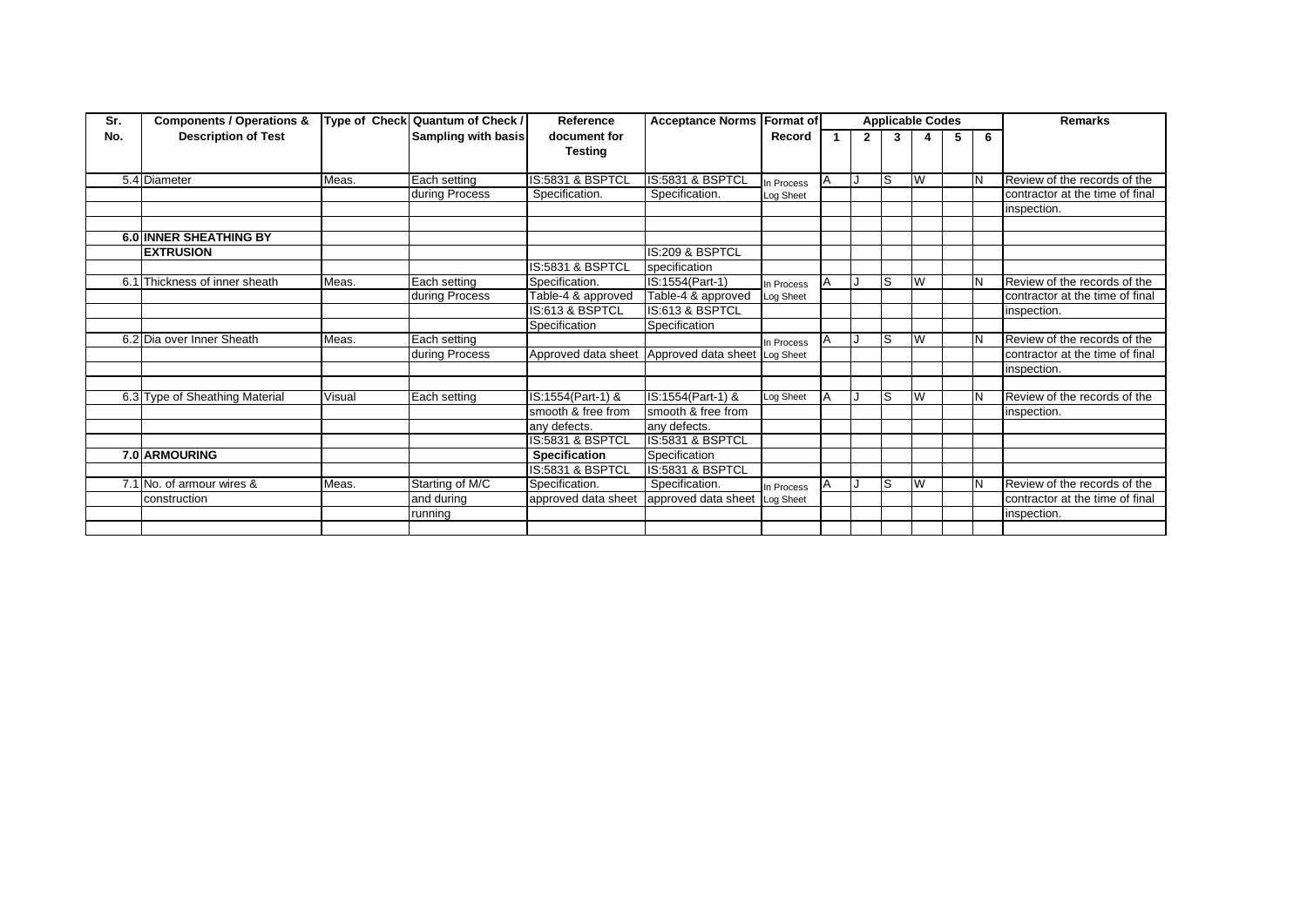| Sr. | <b>Components / Operations &amp;</b> |        | Type of Check Quantum of Check / | Reference                               | <b>Acceptance Norms Format of</b> |            |          |              | <b>Applicable Codes</b> |    |   |   | <b>Remarks</b>                  |
|-----|--------------------------------------|--------|----------------------------------|-----------------------------------------|-----------------------------------|------------|----------|--------------|-------------------------|----|---|---|---------------------------------|
| No. | <b>Description of Test</b>           |        | Sampling with basis              | document for                            |                                   | Record     |          | $\mathbf{2}$ | 3                       |    | 5 | 6 |                                 |
|     |                                      |        |                                  | <b>Testing</b>                          |                                   |            |          |              |                         |    |   |   |                                 |
|     |                                      |        |                                  |                                         |                                   |            |          |              |                         |    |   |   |                                 |
|     | 5.4 Diameter                         | Meas.  | Each setting                     | IS:5831 & BSPTCL                        | IS:5831 & BSPTCL                  | In Process | A        |              | S                       | W  |   |   | Review of the records of the    |
|     |                                      |        | during Process                   | Specification.                          | Specification.                    | Log Sheet  |          |              |                         |    |   |   | contractor at the time of final |
|     |                                      |        |                                  |                                         |                                   |            |          |              |                         |    |   |   | inspection.                     |
|     |                                      |        |                                  |                                         |                                   |            |          |              |                         |    |   |   |                                 |
|     | 6.0 INNER SHEATHING BY               |        |                                  |                                         |                                   |            |          |              |                         |    |   |   |                                 |
|     | <b>EXTRUSION</b>                     |        |                                  |                                         | IS:209 & BSPTCL                   |            |          |              |                         |    |   |   |                                 |
|     |                                      |        |                                  | <b>IS:5831 &amp; BSPTCL</b>             | specification                     |            |          |              |                         |    |   |   |                                 |
|     | 6.1 Thickness of inner sheath        | Meas.  | Each setting                     | Specification.                          | IS:1554(Part-1)                   | In Process | Α        |              | ls                      | W  |   | N | Review of the records of the    |
|     |                                      |        | during Process                   | Table-4 & approved                      | Table-4 & approved                | Log Sheet  |          |              |                         |    |   |   | contractor at the time of final |
|     |                                      |        |                                  | IS:613 & BSPTCL                         | IS:613 & BSPTCL                   |            |          |              |                         |    |   |   | inspection.                     |
|     |                                      |        |                                  | Specification                           | Specification                     |            |          |              |                         |    |   |   |                                 |
|     | 6.2 Dia over Inner Sheath            | Meas.  | Each setting                     |                                         |                                   | In Process |          |              | S                       | W  |   | N | Review of the records of the    |
|     |                                      |        | during Process                   | Approved data sheet Approved data sheet |                                   | Log Sheet  |          |              |                         |    |   |   | contractor at the time of final |
|     |                                      |        |                                  |                                         |                                   |            |          |              |                         |    |   |   | inspection.                     |
|     |                                      |        |                                  |                                         |                                   |            |          |              |                         |    |   |   |                                 |
|     | 6.3 Type of Sheathing Material       | Visual | Each setting                     | IS:1554(Part-1) &                       | IS:1554(Part-1) &                 | Log Sheet  | <b>A</b> |              | ls                      | İW |   |   | Review of the records of the    |
|     |                                      |        |                                  | smooth & free from                      | smooth & free from                |            |          |              |                         |    |   |   | inspection.                     |
|     |                                      |        |                                  | any defects.                            | any defects.                      |            |          |              |                         |    |   |   |                                 |
|     |                                      |        |                                  | IS:5831 & BSPTCL                        | IS:5831 & BSPTCL                  |            |          |              |                         |    |   |   |                                 |
|     | 7.0 ARMOURING                        |        |                                  | <b>Specification</b>                    | Specification                     |            |          |              |                         |    |   |   |                                 |
|     |                                      |        |                                  | IS:5831 & BSPTCL                        | IS:5831 & BSPTCL                  |            |          |              |                         |    |   |   |                                 |
|     | 7.1 No. of armour wires &            | Meas.  | Starting of M/C                  | Specification.                          | Specification.                    | In Process | A        |              | S                       | W  |   | N | Review of the records of the    |
|     | construction                         |        | and during                       | approved data sheet                     | approved data sheet               | Log Sheet  |          |              |                         |    |   |   | contractor at the time of final |
|     |                                      |        | running                          |                                         |                                   |            |          |              |                         |    |   |   | inspection.                     |
|     |                                      |        |                                  |                                         |                                   |            |          |              |                         |    |   |   |                                 |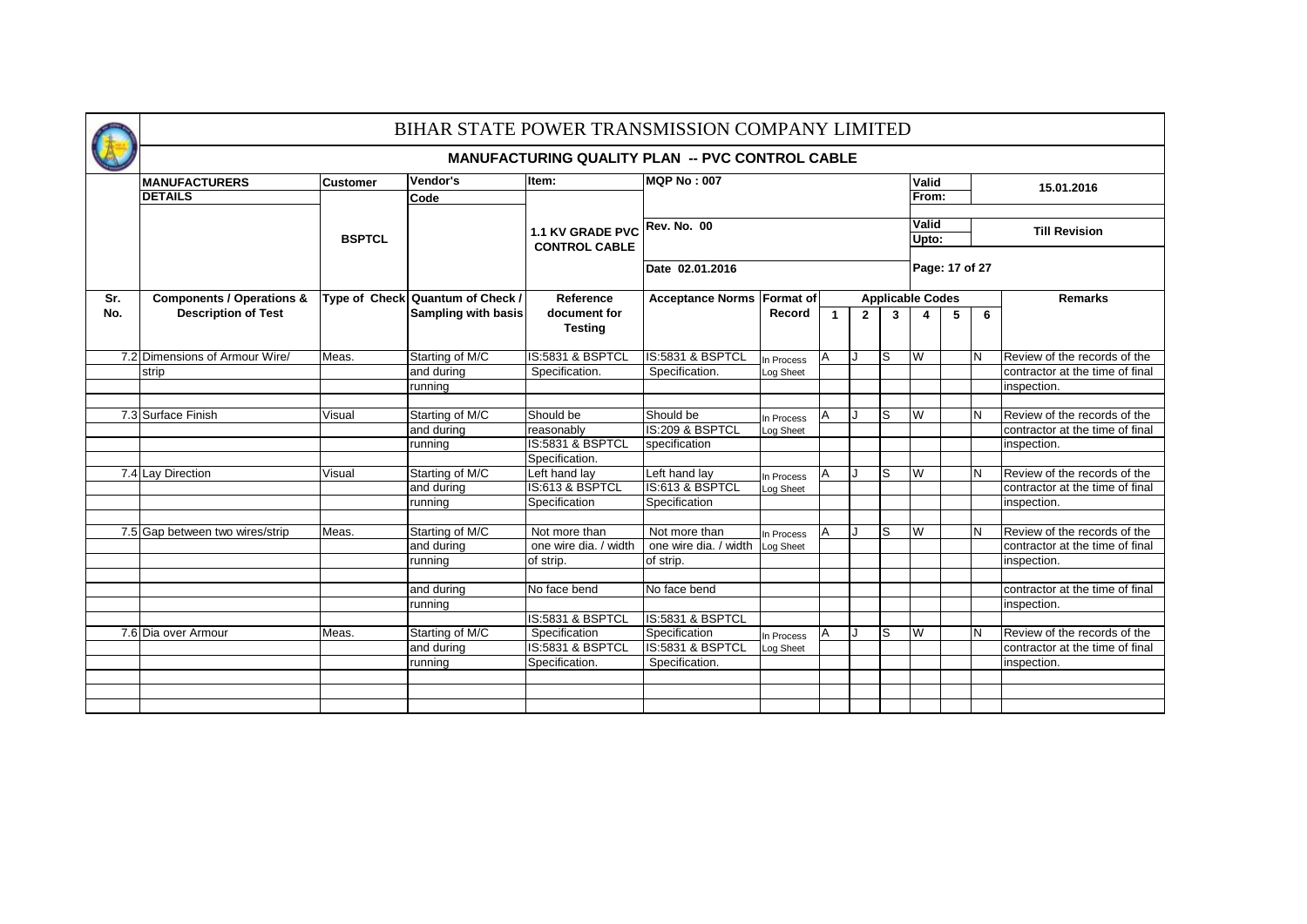|     |                                      |               | BIHAR STATE POWER TRANSMISSION COMPANY LIMITED |                                                        |                            |                         |                |              |   |                         |                |     |                                 |
|-----|--------------------------------------|---------------|------------------------------------------------|--------------------------------------------------------|----------------------------|-------------------------|----------------|--------------|---|-------------------------|----------------|-----|---------------------------------|
|     |                                      |               |                                                | <b>MANUFACTURING QUALITY PLAN -- PVC CONTROL CABLE</b> |                            |                         |                |              |   |                         |                |     |                                 |
|     | <b>MANUFACTURERS</b>                 | Customer      | Vendor's                                       | Item:                                                  | <b>MQP No: 007</b>         |                         |                |              |   | Valid                   |                |     | 15.01.2016                      |
|     | <b>DETAILS</b>                       |               | Code                                           |                                                        |                            |                         |                |              |   | From:                   |                |     |                                 |
|     |                                      |               |                                                |                                                        |                            |                         |                |              |   | Valid                   |                |     |                                 |
|     |                                      | <b>BSPTCL</b> |                                                | 1.1 KV GRADE PVC Rev. No. 00<br><b>CONTROL CABLE</b>   |                            |                         |                |              |   | Upto:                   |                |     | <b>Till Revision</b>            |
|     |                                      |               |                                                |                                                        | Date 02.01.2016            |                         |                |              |   |                         | Page: 17 of 27 |     |                                 |
| Sr. | <b>Components / Operations &amp;</b> |               | Type of Check Quantum of Check /               | Reference                                              | Acceptance Norms Format of |                         |                |              |   | <b>Applicable Codes</b> |                |     | <b>Remarks</b>                  |
| No. | <b>Description of Test</b>           |               | Sampling with basis                            | document for<br><b>Testing</b>                         |                            | Record                  | $\mathbf{1}$   | $\mathbf{2}$ | 3 | 4                       | 5              | 6   |                                 |
|     | 7.2 Dimensions of Armour Wire/       | Meas.         | Starting of M/C                                | IS:5831 & BSPTCL                                       | IS:5831 & BSPTCL           | In Process              | IA.            | J            | S | W                       |                | IN. | Review of the records of the    |
|     | strip                                |               | and during                                     | Specification.                                         | Specification.             | Log Sheet               |                |              |   |                         |                |     | contractor at the time of final |
|     |                                      |               | running                                        |                                                        |                            |                         |                |              |   |                         |                |     | inspection.                     |
|     |                                      |               |                                                |                                                        |                            |                         |                |              |   |                         |                |     |                                 |
|     | 7.3 Surface Finish                   | Visual        | Starting of M/C                                | Should be                                              | Should be                  | In Process              | A              |              | S | W                       |                | N   | Review of the records of the    |
|     |                                      |               | and during                                     | reasonably                                             | IS:209 & BSPTCL            | Log Sheet               |                |              |   |                         |                |     | contractor at the time of final |
|     |                                      |               | running                                        | IS:5831 & BSPTCL                                       | specification              |                         |                |              |   |                         |                |     | inspection.                     |
|     |                                      |               |                                                | Specification.                                         |                            |                         |                |              |   |                         |                |     |                                 |
|     | 7.4 Lay Direction                    | Visual        | Starting of M/C                                | Left hand lay                                          | Left hand lay              | In Process              | $\overline{A}$ |              | S | W                       |                | IN. | Review of the records of the    |
|     |                                      |               | and during                                     | IS:613 & BSPTCL                                        | IS:613 & BSPTCL            | Log Sheet               |                |              |   |                         |                |     | contractor at the time of final |
|     |                                      |               | running                                        | Specification                                          | Specification              |                         |                |              |   |                         |                |     | inspection.                     |
|     |                                      |               |                                                |                                                        |                            |                         |                |              |   |                         |                |     |                                 |
|     | 7.5 Gap between two wires/strip      | Meas.         | Starting of M/C                                | Not more than                                          | Not more than              | In Process              | IA.            |              | S | W                       |                | IN. | Review of the records of the    |
|     |                                      |               | and during                                     | one wire dia. / width                                  | one wire dia. / width      | Log Sheet               |                |              |   |                         |                |     | contractor at the time of final |
|     |                                      |               | running                                        | of strip.                                              | of strip.                  |                         |                |              |   |                         |                |     | inspection.                     |
|     |                                      |               |                                                |                                                        |                            |                         |                |              |   |                         |                |     |                                 |
|     |                                      |               | and during                                     | No face bend                                           | No face bend               |                         |                |              |   |                         |                |     | contractor at the time of final |
|     |                                      |               | running                                        | IS:5831 & BSPTCL                                       | IS:5831 & BSPTCL           |                         |                |              |   |                         |                |     | inspection.                     |
|     | 7.6 Dia over Armour                  | Meas.         | Starting of M/C                                | Specification                                          | Specification              |                         |                |              | S | W                       |                | N   | Review of the records of the    |
|     |                                      |               | and during                                     | IS:5831 & BSPTCL                                       | IS:5831 & BSPTCL           | In Process<br>Log Sheet | A              |              |   |                         |                |     | contractor at the time of final |
|     |                                      |               | running                                        | Specification.                                         | Specification.             |                         |                |              |   |                         |                |     | inspection.                     |
|     |                                      |               |                                                |                                                        |                            |                         |                |              |   |                         |                |     |                                 |
|     |                                      |               |                                                |                                                        |                            |                         |                |              |   |                         |                |     |                                 |
|     |                                      |               |                                                |                                                        |                            |                         |                |              |   |                         |                |     |                                 |
|     |                                      |               |                                                |                                                        |                            |                         |                |              |   |                         |                |     |                                 |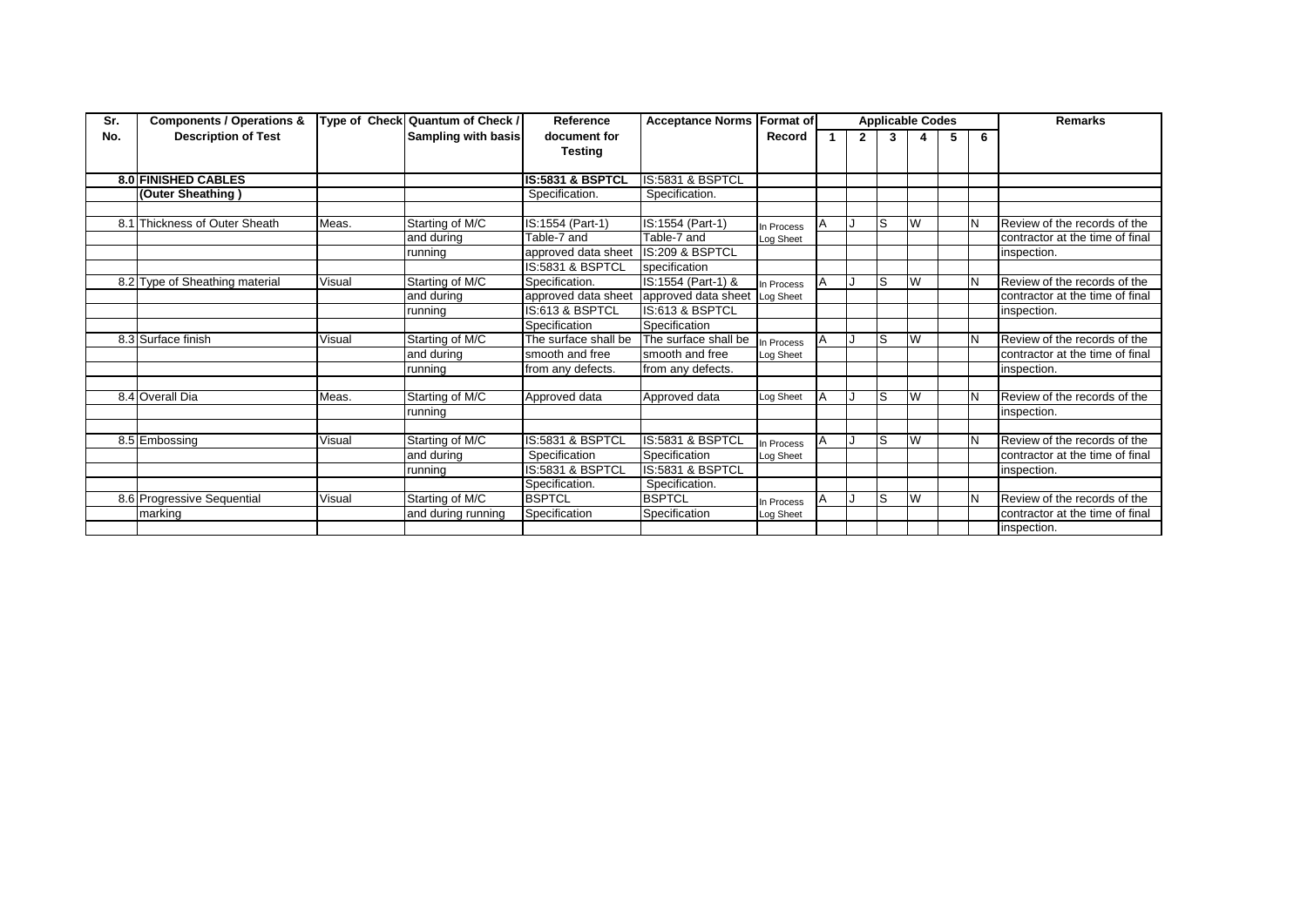| Sr. | <b>Components / Operations &amp;</b> |        | Type of Check Quantum of Check / | Reference                   | <b>Acceptance Norms Format of</b> |            |   |              |     | <b>Applicable Codes</b> |   |   | <b>Remarks</b>                  |
|-----|--------------------------------------|--------|----------------------------------|-----------------------------|-----------------------------------|------------|---|--------------|-----|-------------------------|---|---|---------------------------------|
| No. | <b>Description of Test</b>           |        | Sampling with basis              | document for                |                                   | Record     |   | $\mathbf{2}$ | 3   |                         | 5 | 6 |                                 |
|     |                                      |        |                                  | <b>Testing</b>              |                                   |            |   |              |     |                         |   |   |                                 |
|     |                                      |        |                                  |                             |                                   |            |   |              |     |                         |   |   |                                 |
|     | <b>8.0 FINISHED CABLES</b>           |        |                                  | <b>IS:5831 &amp; BSPTCL</b> | IS:5831 & BSPTCL                  |            |   |              |     |                         |   |   |                                 |
|     | (Outer Sheathing)                    |        |                                  | Specification.              | Specification.                    |            |   |              |     |                         |   |   |                                 |
|     |                                      |        |                                  |                             |                                   |            |   |              |     |                         |   |   |                                 |
|     | 8.1 Thickness of Outer Sheath        | Meas.  | Starting of M/C                  | IS:1554 (Part-1)            | IS:1554 (Part-1)                  | In Process |   |              | ls  | W                       |   |   | Review of the records of the    |
|     |                                      |        | and during                       | Table-7 and                 | Table-7 and                       | Log Sheet  |   |              |     |                         |   |   | contractor at the time of final |
|     |                                      |        | running                          | approved data sheet         | IS:209 & BSPTCL                   |            |   |              |     |                         |   |   | inspection.                     |
|     |                                      |        |                                  | IS:5831 & BSPTCL            | specification                     |            |   |              |     |                         |   |   |                                 |
|     | 8.2 Type of Sheathing material       | Visual | Starting of M/C                  | Specification.              | IS:1554 (Part-1) &                | In Process |   |              | ls  | W                       |   |   | Review of the records of the    |
|     |                                      |        | and during                       | approved data sheet         | approved data sheet               | Log Sheet  |   |              |     |                         |   |   | contractor at the time of final |
|     |                                      |        | running                          | IS:613 & BSPTCL             | IS:613 & BSPTCL                   |            |   |              |     |                         |   |   | inspection.                     |
|     |                                      |        |                                  | Specification               | Specification                     |            |   |              |     |                         |   |   |                                 |
|     | 8.3 Surface finish                   | Visual | Starting of M/C                  | The surface shall be        | The surface shall be              | In Process |   |              | ls  | W                       |   |   | Review of the records of the    |
|     |                                      |        | and during                       | smooth and free             | smooth and free                   | Log Sheet  |   |              |     |                         |   |   | contractor at the time of final |
|     |                                      |        | running                          | from any defects.           | from any defects.                 |            |   |              |     |                         |   |   | inspection.                     |
|     |                                      |        |                                  |                             |                                   |            |   |              |     |                         |   |   |                                 |
|     | 8.4 Overall Dia                      | Meas.  | Starting of M/C                  | Approved data               | Approved data                     | Log Sheet  | A |              | lS. | W                       |   |   | Review of the records of the    |
|     |                                      |        | running                          |                             |                                   |            |   |              |     |                         |   |   | inspection.                     |
|     |                                      |        |                                  |                             |                                   |            |   |              |     |                         |   |   |                                 |
|     | 8.5 Embossing                        | Visual | Starting of M/C                  | IS:5831 & BSPTCL            | IS:5831 & BSPTCL                  | In Process |   |              | ls  | W                       |   |   | Review of the records of the    |
|     |                                      |        | and during                       | Specification               | Specification                     | Log Sheet  |   |              |     |                         |   |   | contractor at the time of final |
|     |                                      |        | running                          | IS:5831 & BSPTCL            | IS:5831 & BSPTCL                  |            |   |              |     |                         |   |   | inspection.                     |
|     |                                      |        |                                  | Specification.              | Specification.                    |            |   |              |     |                         |   |   |                                 |
|     | 8.6 Progressive Sequential           | Visual | Starting of M/C                  | <b>BSPTCL</b>               | <b>BSPTCL</b>                     | In Process |   |              | ls  | W                       |   |   | Review of the records of the    |
|     | marking                              |        | and during running               | Specification               | Specification                     | Log Sheet  |   |              |     |                         |   |   | contractor at the time of final |
|     |                                      |        |                                  |                             |                                   |            |   |              |     |                         |   |   | inspection.                     |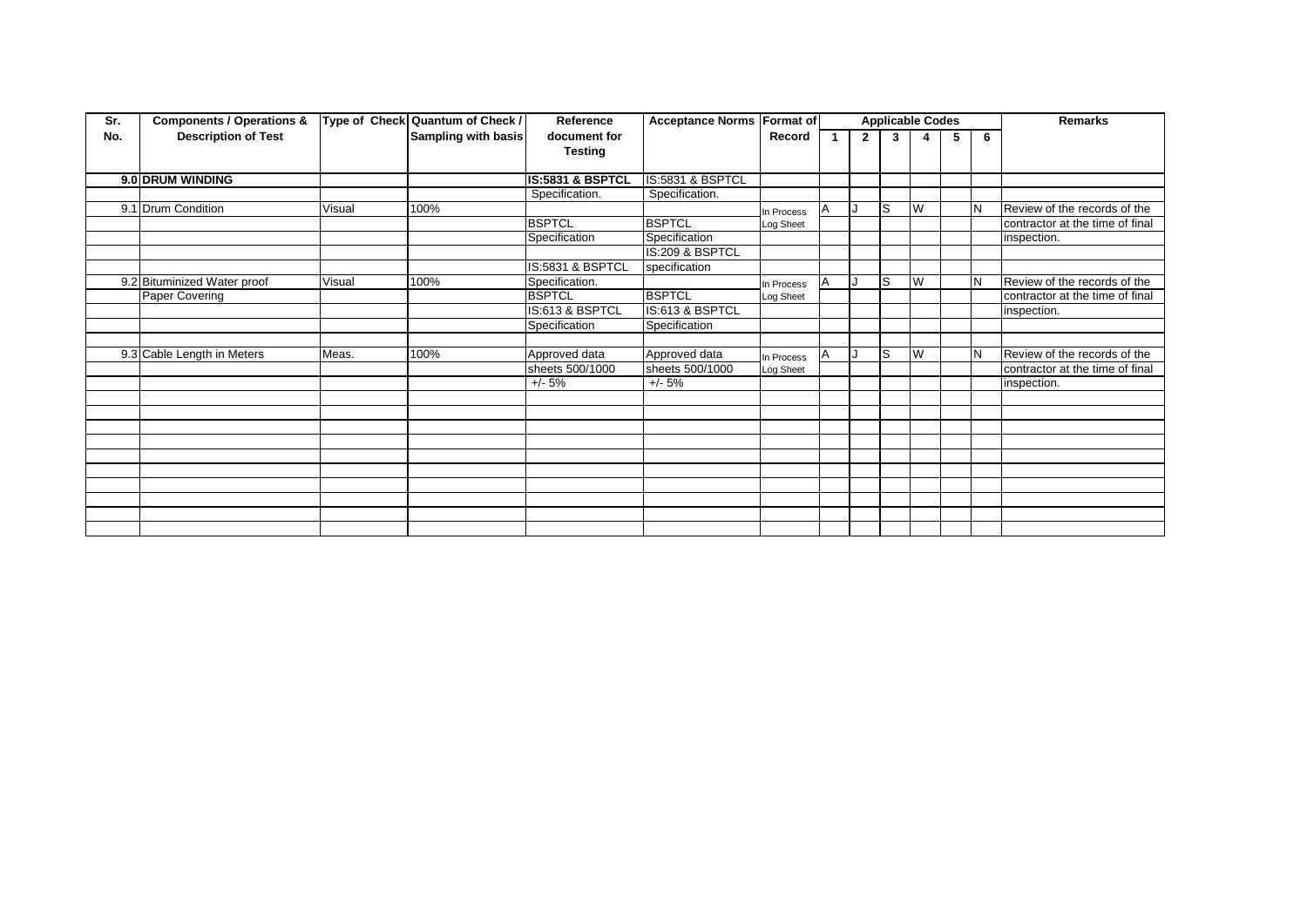| Sr. | <b>Components / Operations &amp;</b> |        | Type of Check Quantum of Check / | Reference                   | <b>Acceptance Norms Format of</b> |            |             |     | <b>Applicable Codes</b> |   |     | <b>Remarks</b>                  |
|-----|--------------------------------------|--------|----------------------------------|-----------------------------|-----------------------------------|------------|-------------|-----|-------------------------|---|-----|---------------------------------|
| No. | <b>Description of Test</b>           |        | Sampling with basis              | document for                |                                   | Record     | $2^{\circ}$ | 3   | 4                       | 5 | 6   |                                 |
|     |                                      |        |                                  | <b>Testing</b>              |                                   |            |             |     |                         |   |     |                                 |
|     |                                      |        |                                  |                             |                                   |            |             |     |                         |   |     |                                 |
|     | 9.0 DRUM WINDING                     |        |                                  | <b>IS:5831 &amp; BSPTCL</b> | IS:5831 & BSPTCL                  |            |             |     |                         |   |     |                                 |
|     |                                      |        |                                  | Specification.              | Specification.                    |            |             |     |                         |   |     |                                 |
|     | 9.1 Drum Condition                   | Visual | 100%                             |                             |                                   | In Process |             | lS. | W                       |   | IN. | Review of the records of the    |
|     |                                      |        |                                  | <b>BSPTCL</b>               | <b>BSPTCL</b>                     | Log Sheet  |             |     |                         |   |     | contractor at the time of final |
|     |                                      |        |                                  | Specification               | Specification                     |            |             |     |                         |   |     | inspection.                     |
|     |                                      |        |                                  |                             | IS:209 & BSPTCL                   |            |             |     |                         |   |     |                                 |
|     |                                      |        |                                  | IS:5831 & BSPTCL            | specification                     |            |             |     |                         |   |     |                                 |
|     | 9.2 Bituminized Water proof          | Visual | 100%                             | Specification.              |                                   | In Process |             | lS. | W                       |   | IN. | Review of the records of the    |
|     | Paper Covering                       |        |                                  | <b>BSPTCL</b>               | <b>BSPTCL</b>                     | Log Sheet  |             |     |                         |   |     | contractor at the time of final |
|     |                                      |        |                                  | IS:613 & BSPTCL             | IS:613 & BSPTCL                   |            |             |     |                         |   |     | inspection.                     |
|     |                                      |        |                                  | Specification               | Specification                     |            |             |     |                         |   |     |                                 |
|     |                                      |        |                                  |                             |                                   |            |             |     |                         |   |     |                                 |
|     | 9.3 Cable Length in Meters           | Meas.  | 100%                             | Approved data               | Approved data                     | In Process |             | ls  | W                       |   | IN. | Review of the records of the    |
|     |                                      |        |                                  | sheets 500/1000             | sheets 500/1000                   | Log Sheet  |             |     |                         |   |     | contractor at the time of final |
|     |                                      |        |                                  | $+/- 5%$                    | $+/- 5%$                          |            |             |     |                         |   |     | inspection.                     |
|     |                                      |        |                                  |                             |                                   |            |             |     |                         |   |     |                                 |
|     |                                      |        |                                  |                             |                                   |            |             |     |                         |   |     |                                 |
|     |                                      |        |                                  |                             |                                   |            |             |     |                         |   |     |                                 |
|     |                                      |        |                                  |                             |                                   |            |             |     |                         |   |     |                                 |
|     |                                      |        |                                  |                             |                                   |            |             |     |                         |   |     |                                 |
|     |                                      |        |                                  |                             |                                   |            |             |     |                         |   |     |                                 |
|     |                                      |        |                                  |                             |                                   |            |             |     |                         |   |     |                                 |
|     |                                      |        |                                  |                             |                                   |            |             |     |                         |   |     |                                 |
|     |                                      |        |                                  |                             |                                   |            |             |     |                         |   |     |                                 |
|     |                                      |        |                                  |                             |                                   |            |             |     |                         |   |     |                                 |
|     |                                      |        |                                  |                             |                                   |            |             |     |                         |   |     |                                 |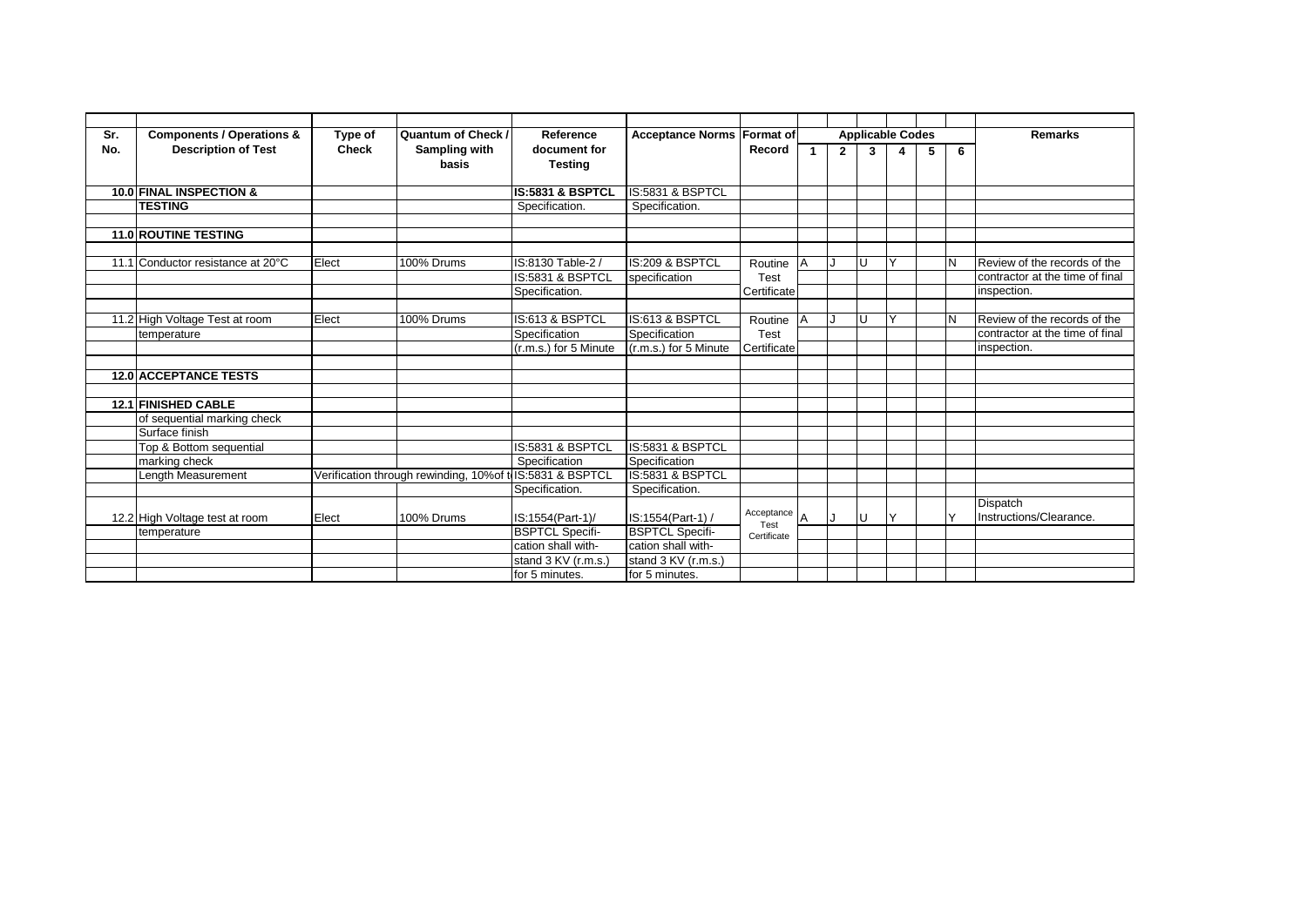| Sr. | <b>Components / Operations &amp;</b> | Type of      | Quantum of Check /                                        | Reference                   | <b>Acceptance Norms Format of</b> |                      |           |                |    | <b>Applicable Codes</b> |   |   | <b>Remarks</b>                  |
|-----|--------------------------------------|--------------|-----------------------------------------------------------|-----------------------------|-----------------------------------|----------------------|-----------|----------------|----|-------------------------|---|---|---------------------------------|
| No. | <b>Description of Test</b>           | <b>Check</b> | Sampling with                                             | document for                |                                   | Record               |           | $\overline{2}$ | 3  | 4                       | 5 | 6 |                                 |
|     |                                      |              | basis                                                     | <b>Testing</b>              |                                   |                      |           |                |    |                         |   |   |                                 |
|     |                                      |              |                                                           |                             |                                   |                      |           |                |    |                         |   |   |                                 |
|     | 10.0 FINAL INSPECTION &              |              |                                                           | IS:5831 & BSPTCL            | IS:5831 & BSPTCL                  |                      |           |                |    |                         |   |   |                                 |
|     | <b>TESTING</b>                       |              |                                                           | Specification.              | Specification.                    |                      |           |                |    |                         |   |   |                                 |
|     |                                      |              |                                                           |                             |                                   |                      |           |                |    |                         |   |   |                                 |
|     | <b>11.0 ROUTINE TESTING</b>          |              |                                                           |                             |                                   |                      |           |                |    |                         |   |   |                                 |
|     |                                      |              |                                                           |                             |                                   |                      |           |                |    |                         |   |   |                                 |
|     | 11.1 Conductor resistance at 20°C    | Elect        | 100% Drums                                                | IS:8130 Table-2 /           | IS:209 & BSPTCL                   | Routine              | <b>IA</b> |                | lU |                         |   |   | Review of the records of the    |
|     |                                      |              |                                                           | <b>IS:5831 &amp; BSPTCL</b> | specification                     | Test                 |           |                |    |                         |   |   | contractor at the time of final |
|     |                                      |              |                                                           | Specification.              |                                   | Certificate          |           |                |    |                         |   |   | inspection.                     |
|     |                                      |              |                                                           |                             |                                   |                      |           |                |    |                         |   |   |                                 |
|     | 11.2 High Voltage Test at room       | Elect        | 100% Drums                                                | IS:613 & BSPTCL             | IS:613 & BSPTCL                   | Routine              | <b>IA</b> |                | U  | $\checkmark$            |   |   | Review of the records of the    |
|     | temperature                          |              |                                                           | Specification               | Specification                     | <b>Test</b>          |           |                |    |                         |   |   | contractor at the time of final |
|     |                                      |              |                                                           | (r.m.s.) for 5 Minute       | (r.m.s.) for 5 Minute             | Certificate          |           |                |    |                         |   |   | inspection.                     |
|     |                                      |              |                                                           |                             |                                   |                      |           |                |    |                         |   |   |                                 |
|     | <b>12.0 ACCEPTANCE TESTS</b>         |              |                                                           |                             |                                   |                      |           |                |    |                         |   |   |                                 |
|     |                                      |              |                                                           |                             |                                   |                      |           |                |    |                         |   |   |                                 |
|     | <b>12.1 FINISHED CABLE</b>           |              |                                                           |                             |                                   |                      |           |                |    |                         |   |   |                                 |
|     | of sequential marking check          |              |                                                           |                             |                                   |                      |           |                |    |                         |   |   |                                 |
|     | Surface finish                       |              |                                                           |                             |                                   |                      |           |                |    |                         |   |   |                                 |
|     | Top & Bottom sequential              |              |                                                           | IS:5831 & BSPTCL            | IS:5831 & BSPTCL                  |                      |           |                |    |                         |   |   |                                 |
|     | marking check                        |              |                                                           | Specification               | Specification                     |                      |           |                |    |                         |   |   |                                 |
|     | Length Measurement                   |              | Verification through rewinding, 10%of to IS:5831 & BSPTCL |                             | IS:5831 & BSPTCL                  |                      |           |                |    |                         |   |   |                                 |
|     |                                      |              |                                                           | Specification.              | Specification.                    |                      |           |                |    |                         |   |   |                                 |
|     |                                      |              |                                                           |                             |                                   |                      |           |                |    |                         |   |   | Dispatch                        |
|     | 12.2 High Voltage test at room       | Elect        | 100% Drums                                                | IS:1554(Part-1)/            | IS:1554(Part-1) /                 | Acceptance A<br>Test |           |                | U  | v                       |   |   | Instructions/Clearance.         |
|     | temperature                          |              |                                                           | <b>BSPTCL Specifi-</b>      | <b>BSPTCL Specifi-</b>            | Certificate          |           |                |    |                         |   |   |                                 |
|     |                                      |              |                                                           | cation shall with-          | cation shall with-                |                      |           |                |    |                         |   |   |                                 |
|     |                                      |              |                                                           | stand 3 KV (r.m.s.)         | stand 3 KV (r.m.s.)               |                      |           |                |    |                         |   |   |                                 |
|     |                                      |              |                                                           | for 5 minutes.              | for 5 minutes.                    |                      |           |                |    |                         |   |   |                                 |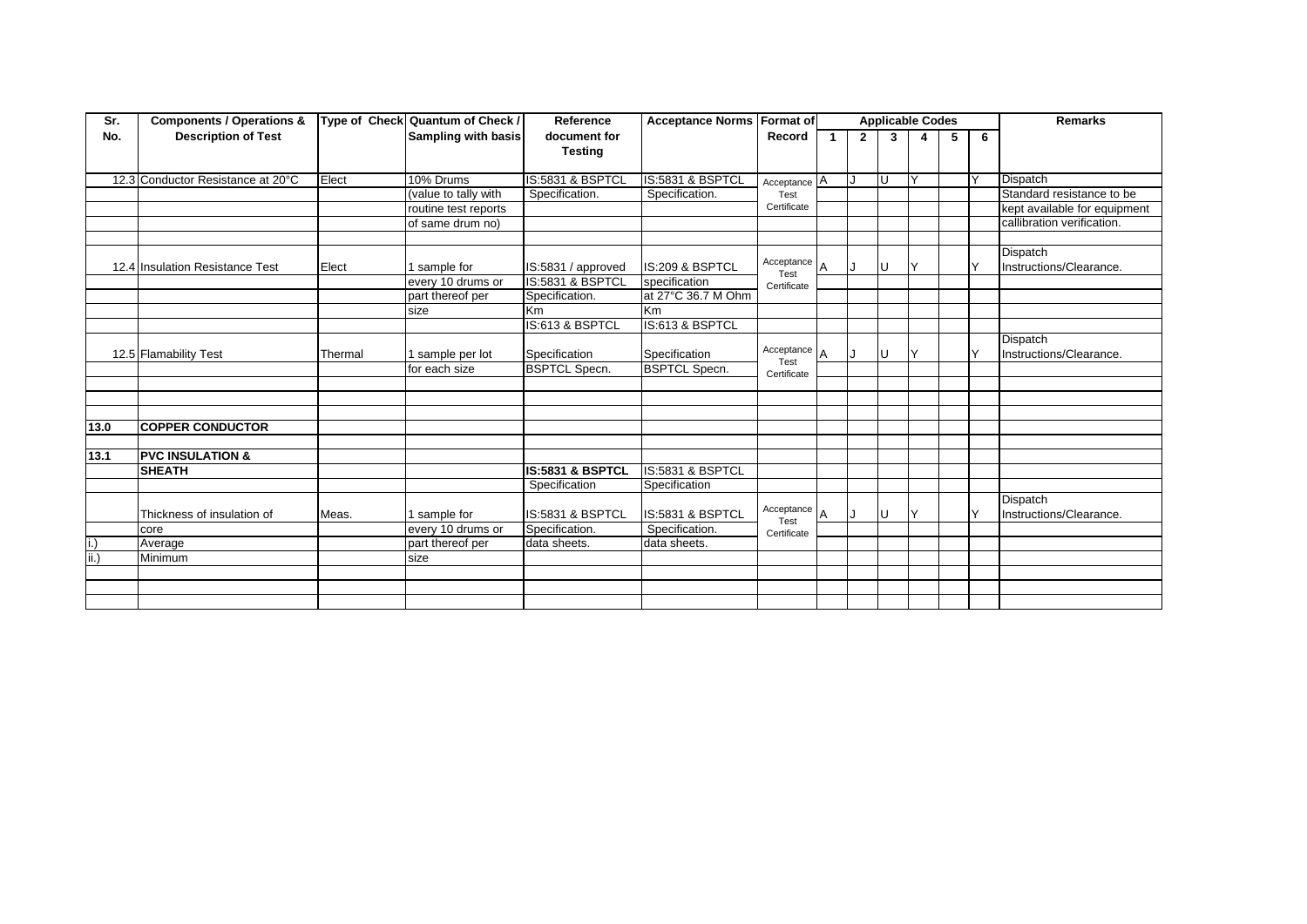| Sr.                         | <b>Components / Operations &amp;</b> |         | Type of Check Quantum of Check / | Reference            | <b>Acceptance Norms Format of</b> |                           |              |                |   | <b>Applicable Codes</b> |   |              | <b>Remarks</b>               |
|-----------------------------|--------------------------------------|---------|----------------------------------|----------------------|-----------------------------------|---------------------------|--------------|----------------|---|-------------------------|---|--------------|------------------------------|
| No.                         | <b>Description of Test</b>           |         | <b>Sampling with basis</b>       | document for         |                                   | Record                    | $\mathbf{1}$ | $\overline{2}$ | 3 | 4                       | 5 | 6            |                              |
|                             |                                      |         |                                  | <b>Testing</b>       |                                   |                           |              |                |   |                         |   |              |                              |
|                             |                                      |         |                                  |                      |                                   |                           |              |                |   |                         |   |              |                              |
|                             | 12.3 Conductor Resistance at 20°C    | Elect   | 10% Drums                        | IS:5831 & BSPTCL     | IS:5831 & BSPTCL                  | Acceptance $\overline{A}$ |              | IJ             | U |                         |   |              | <b>Dispatch</b>              |
|                             |                                      |         | (value to tally with             | Specification.       | Specification.                    | Test<br>Certificate       |              |                |   |                         |   |              | Standard resistance to be    |
|                             |                                      |         | routine test reports             |                      |                                   |                           |              |                |   |                         |   |              | kept available for equipment |
|                             |                                      |         | of same drum no)                 |                      |                                   |                           |              |                |   |                         |   |              | callibration verification.   |
|                             |                                      |         |                                  |                      |                                   |                           |              |                |   |                         |   |              |                              |
|                             |                                      |         |                                  |                      |                                   | Acceptance                |              |                |   |                         |   |              | <b>Dispatch</b>              |
|                             | 12.4 Insulation Resistance Test      | Elect   | sample for                       | IS:5831 / approved   | IS:209 & BSPTCL                   | Test                      | ΙA           |                | U |                         |   | Υ            | Instructions/Clearance.      |
|                             |                                      |         | every 10 drums or                | IS:5831 & BSPTCL     | specification                     | Certificate               |              |                |   |                         |   |              |                              |
|                             |                                      |         | part thereof per                 | Specification.       | at 27°C 36.7 M Ohm                |                           |              |                |   |                         |   |              |                              |
|                             |                                      |         | size                             | Km                   | Km                                |                           |              |                |   |                         |   |              |                              |
|                             |                                      |         |                                  | IS:613 & BSPTCL      | IS:613 & BSPTCL                   |                           |              |                |   |                         |   |              |                              |
|                             |                                      |         |                                  |                      |                                   |                           |              |                |   |                         |   |              | <b>Dispatch</b>              |
|                             | 12.5 Flamability Test                | Thermal | sample per lot                   | Specification        | Specification                     | Acceptance                |              |                | U |                         |   | $\vee$       | Instructions/Clearance.      |
|                             |                                      |         | for each size                    | <b>BSPTCL Specn.</b> | <b>BSPTCL Specn.</b>              | Test<br>Certificate       |              |                |   |                         |   |              |                              |
|                             |                                      |         |                                  |                      |                                   |                           |              |                |   |                         |   |              |                              |
|                             |                                      |         |                                  |                      |                                   |                           |              |                |   |                         |   |              |                              |
|                             |                                      |         |                                  |                      |                                   |                           |              |                |   |                         |   |              |                              |
| 13.0                        | <b>COPPER CONDUCTOR</b>              |         |                                  |                      |                                   |                           |              |                |   |                         |   |              |                              |
|                             |                                      |         |                                  |                      |                                   |                           |              |                |   |                         |   |              |                              |
| 13.1                        | <b>PVC INSULATION &amp;</b>          |         |                                  |                      |                                   |                           |              |                |   |                         |   |              |                              |
|                             | <b>SHEATH</b>                        |         |                                  | IS:5831 & BSPTCL     | <b>IS:5831 &amp; BSPTCL</b>       |                           |              |                |   |                         |   |              |                              |
|                             |                                      |         |                                  | Specification        | Specification                     |                           |              |                |   |                         |   |              |                              |
|                             |                                      |         |                                  |                      |                                   |                           |              |                |   |                         |   |              | <b>Dispatch</b>              |
|                             | Thickness of insulation of           | Meas.   | sample for                       | IS:5831 & BSPTCL     | IS:5831 & BSPTCL                  | Acceptance                |              |                | U |                         |   | $\checkmark$ | Instructions/Clearance.      |
|                             | core                                 |         | every 10 drums or                | Specification.       | Specification.                    | Test                      |              |                |   |                         |   |              |                              |
|                             | Average                              |         | part thereof per                 | data sheets.         | data sheets.                      | Certificate               |              |                |   |                         |   |              |                              |
| $\overline{\mathsf{ii}}$ .) | Minimum                              |         | size                             |                      |                                   |                           |              |                |   |                         |   |              |                              |
|                             |                                      |         |                                  |                      |                                   |                           |              |                |   |                         |   |              |                              |
|                             |                                      |         |                                  |                      |                                   |                           |              |                |   |                         |   |              |                              |
|                             |                                      |         |                                  |                      |                                   |                           |              |                |   |                         |   |              |                              |
|                             |                                      |         |                                  |                      |                                   |                           |              |                |   |                         |   |              |                              |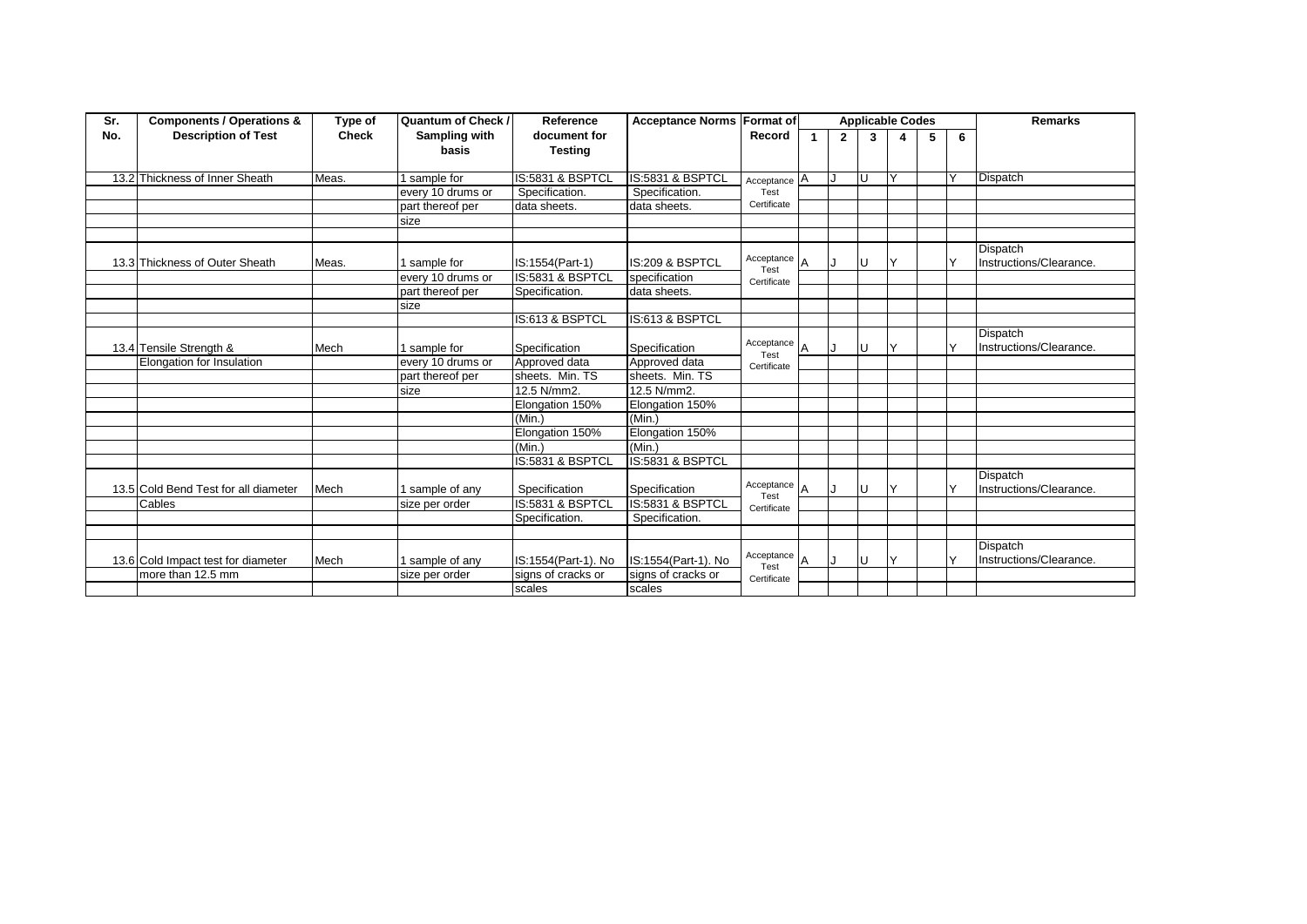| Sr. | <b>Components / Operations &amp;</b> | Type of      | Quantum of Check /     | Reference                      | Acceptance Norms Format of |                           |                |              |    | <b>Applicable Codes</b> |   |   | <b>Remarks</b>                             |
|-----|--------------------------------------|--------------|------------------------|--------------------------------|----------------------------|---------------------------|----------------|--------------|----|-------------------------|---|---|--------------------------------------------|
| No. | <b>Description of Test</b>           | <b>Check</b> | Sampling with<br>basis | document for<br><b>Testing</b> |                            | Record                    |                | $\mathbf{2}$ | 3  |                         | 5 | 6 |                                            |
|     |                                      |              |                        |                                |                            |                           |                |              |    |                         |   |   |                                            |
|     | 13.2 Thickness of Inner Sheath       | Meas.        | 1 sample for           | IS:5831 & BSPTCL               | IS:5831 & BSPTCL           | Acceptance $\overline{A}$ |                |              | ΙU |                         |   |   | <b>Dispatch</b>                            |
|     |                                      |              | every 10 drums or      | Specification.                 | Specification.             | Test                      |                |              |    |                         |   |   |                                            |
|     |                                      |              | part thereof per       | data sheets.                   | data sheets.               | Certificate               |                |              |    |                         |   |   |                                            |
|     |                                      |              | size                   |                                |                            |                           |                |              |    |                         |   |   |                                            |
|     |                                      |              |                        |                                |                            |                           |                |              |    |                         |   |   |                                            |
|     | 13.3 Thickness of Outer Sheath       | Meas.        | 1 sample for           | IS:1554(Part-1)                | IS:209 & BSPTCL            | Acceptance $A$<br>Test    |                |              | U  |                         |   |   | <b>Dispatch</b><br>Instructions/Clearance. |
|     |                                      |              | every 10 drums or      | IS:5831 & BSPTCL               | specification              | Certificate               |                |              |    |                         |   |   |                                            |
|     |                                      |              | part thereof per       | Specification.                 | data sheets.               |                           |                |              |    |                         |   |   |                                            |
|     |                                      |              | size                   |                                |                            |                           |                |              |    |                         |   |   |                                            |
|     |                                      |              |                        | IS:613 & BSPTCL                | IS:613 & BSPTCL            |                           |                |              |    |                         |   |   |                                            |
|     | 13.4 Tensile Strength &              | Mech         | sample for             | Specification                  | Specification              | Acceptance                | $\overline{A}$ |              | U  | $\checkmark$            |   | ν | <b>Dispatch</b><br>Instructions/Clearance. |
|     | Elongation for Insulation            |              | every 10 drums or      | Approved data                  | Approved data              | Test<br>Certificate       |                |              |    |                         |   |   |                                            |
|     |                                      |              | part thereof per       | sheets. Min. TS                | sheets. Min. TS            |                           |                |              |    |                         |   |   |                                            |
|     |                                      |              | size                   | 12.5 N/mm2.                    | 12.5 N/mm2.                |                           |                |              |    |                         |   |   |                                            |
|     |                                      |              |                        | Elongation 150%                | Elongation 150%            |                           |                |              |    |                         |   |   |                                            |
|     |                                      |              |                        | (Min.)                         | (Min.)                     |                           |                |              |    |                         |   |   |                                            |
|     |                                      |              |                        | Elongation 150%                | Elongation 150%            |                           |                |              |    |                         |   |   |                                            |
|     |                                      |              |                        | (Min.)                         | (Min.)                     |                           |                |              |    |                         |   |   |                                            |
|     |                                      |              |                        | IS:5831 & BSPTCL               | IS:5831 & BSPTCL           |                           |                |              |    |                         |   |   |                                            |
|     | 13.5 Cold Bend Test for all diameter | Mech         | 1 sample of any        | Specification                  | Specification              | Acceptance<br>Test        | $\overline{A}$ |              | U  | $\checkmark$            |   |   | <b>Dispatch</b><br>Instructions/Clearance. |
|     | Cables                               |              | size per order         | IS:5831 & BSPTCL               | IS:5831 & BSPTCL           | Certificate               |                |              |    |                         |   |   |                                            |
|     |                                      |              |                        | Specification.                 | Specification.             |                           |                |              |    |                         |   |   |                                            |
|     |                                      |              |                        |                                |                            |                           |                |              |    |                         |   |   |                                            |
|     | 13.6 Cold Impact test for diameter   | Mech         | 1 sample of any        | IS:1554(Part-1). No            | IS:1554(Part-1). No        | Acceptance $A$<br>Test    |                |              | U  | $\checkmark$            |   |   | <b>Dispatch</b><br>Instructions/Clearance. |
|     | more than 12.5 mm                    |              | size per order         | signs of cracks or             | signs of cracks or         | Certificate               |                |              |    |                         |   |   |                                            |
|     |                                      |              |                        | scales                         | scales                     |                           |                |              |    |                         |   |   |                                            |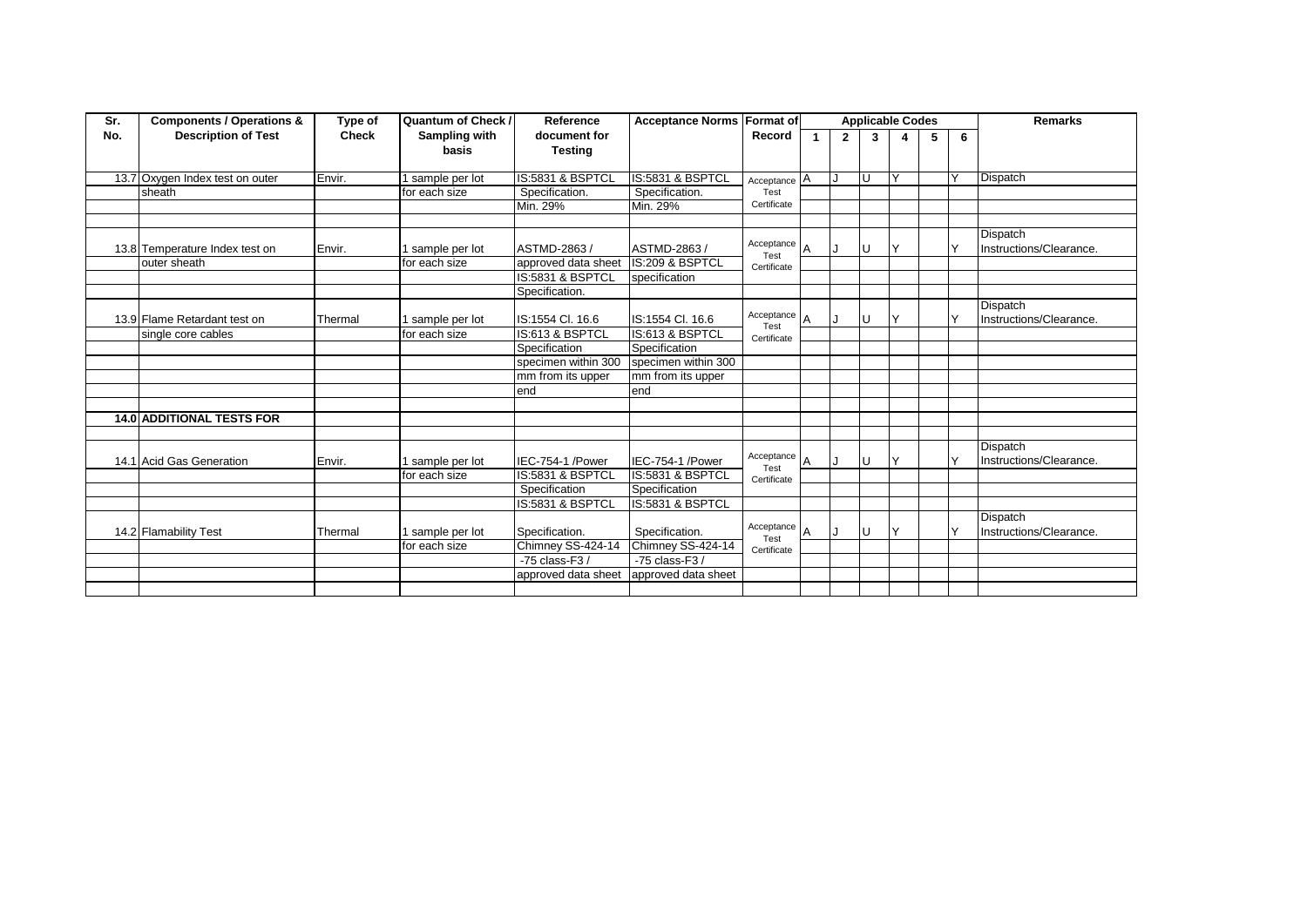| Sr. | <b>Components / Operations &amp;</b> | Type of      | Quantum of Check / | Reference           | <b>Acceptance Norms Format of</b> |                             |              |              |    | <b>Applicable Codes</b> |   |              | <b>Remarks</b>          |
|-----|--------------------------------------|--------------|--------------------|---------------------|-----------------------------------|-----------------------------|--------------|--------------|----|-------------------------|---|--------------|-------------------------|
| No. | <b>Description of Test</b>           | <b>Check</b> | Sampling with      | document for        |                                   | Record                      | $\mathbf{1}$ | $\mathbf{2}$ | 3  | 4                       | 5 | 6            |                         |
|     |                                      |              | basis              | <b>Testing</b>      |                                   |                             |              |              |    |                         |   |              |                         |
|     |                                      |              |                    |                     |                                   |                             |              |              |    |                         |   |              |                         |
|     | 13.7 Oxygen Index test on outer      | Envir.       | sample per lot     | IS:5831 & BSPTCL    | IS:5831 & BSPTCL                  | $Acceptance$ $\overline{A}$ |              | IJ           | U  |                         |   |              | Dispatch                |
|     | sheath                               |              | for each size      | Specification.      | Specification.                    | Test                        |              |              |    |                         |   |              |                         |
|     |                                      |              |                    | Min. 29%            | Min. 29%                          | Certificate                 |              |              |    |                         |   |              |                         |
|     |                                      |              |                    |                     |                                   |                             |              |              |    |                         |   |              |                         |
|     |                                      |              |                    |                     |                                   |                             |              |              |    |                         |   |              | Dispatch                |
|     | 13.8 Temperature Index test on       | Envir.       | sample per lot     | ASTMD-2863/         | ASTMD-2863 /                      | Acceptance $A$<br>Test      |              |              | U  | Y                       |   | $\checkmark$ | Instructions/Clearance. |
|     | outer sheath                         |              | for each size      | approved data sheet | IS:209 & BSPTCL                   | Certificate                 |              |              |    |                         |   |              |                         |
|     |                                      |              |                    | IS:5831 & BSPTCL    | specification                     |                             |              |              |    |                         |   |              |                         |
|     |                                      |              |                    | Specification.      |                                   |                             |              |              |    |                         |   |              |                         |
|     |                                      |              |                    |                     |                                   |                             |              |              |    |                         |   |              | Dispatch                |
|     | 13.9 Flame Retardant test on         | Thermal      | sample per lot     | IS:1554 Cl. 16.6    | IS:1554 Cl. 16.6                  | Acceptance $A$              |              |              | U  | Y                       |   | $\checkmark$ | Instructions/Clearance. |
|     | single core cables                   |              | for each size      | IS:613 & BSPTCL     | IS:613 & BSPTCL                   | Test<br>Certificate         |              |              |    |                         |   |              |                         |
|     |                                      |              |                    | Specification       | Specification                     |                             |              |              |    |                         |   |              |                         |
|     |                                      |              |                    | specimen within 300 | specimen within 300               |                             |              |              |    |                         |   |              |                         |
|     |                                      |              |                    | mm from its upper   | mm from its upper                 |                             |              |              |    |                         |   |              |                         |
|     |                                      |              |                    | end                 | end                               |                             |              |              |    |                         |   |              |                         |
|     |                                      |              |                    |                     |                                   |                             |              |              |    |                         |   |              |                         |
|     | <b>14.0 ADDITIONAL TESTS FOR</b>     |              |                    |                     |                                   |                             |              |              |    |                         |   |              |                         |
|     |                                      |              |                    |                     |                                   |                             |              |              |    |                         |   |              |                         |
|     |                                      |              |                    |                     |                                   |                             |              |              |    |                         |   |              | Dispatch                |
|     | 14.1 Acid Gas Generation             | Envir.       | sample per lot     | IEC-754-1 /Power    | IEC-754-1 /Power                  | Acceptance $A$<br>Test      |              | IJ           | IJ | Y                       |   | $\checkmark$ | Instructions/Clearance. |
|     |                                      |              | for each size      | IS:5831 & BSPTCL    | IS:5831 & BSPTCL                  | Certificate                 |              |              |    |                         |   |              |                         |
|     |                                      |              |                    | Specification       | Specification                     |                             |              |              |    |                         |   |              |                         |
|     |                                      |              |                    | IS:5831 & BSPTCL    | IS:5831 & BSPTCL                  |                             |              |              |    |                         |   |              |                         |
|     |                                      |              |                    |                     |                                   |                             |              |              |    |                         |   |              | <b>Dispatch</b>         |
|     | 14.2 Flamability Test                | Thermal      | sample per lot     | Specification.      | Specification.                    | Acceptance $A$              |              | IJ           | U  | Υ                       |   | $\checkmark$ | Instructions/Clearance. |
|     |                                      |              | for each size      | Chimney SS-424-14   | Chimney SS-424-14                 | Test<br>Certificate         |              |              |    |                         |   |              |                         |
|     |                                      |              |                    | $-75$ class-F3 /    | $-75$ class-F3 /                  |                             |              |              |    |                         |   |              |                         |
|     |                                      |              |                    | approved data sheet | approved data sheet               |                             |              |              |    |                         |   |              |                         |
|     |                                      |              |                    |                     |                                   |                             |              |              |    |                         |   |              |                         |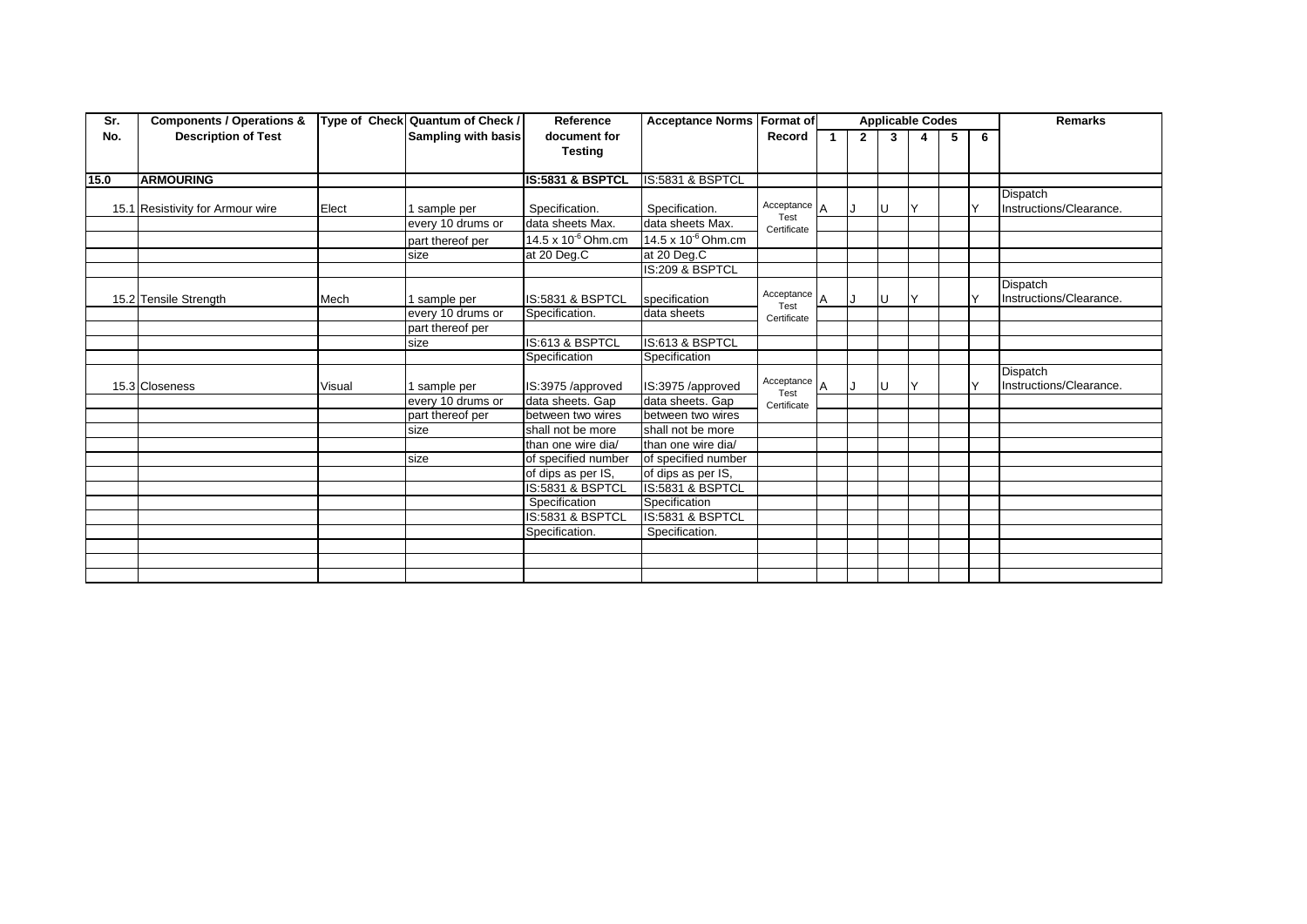| Sr.  | <b>Components / Operations &amp;</b> |        | Type of Check Quantum of Check / | Reference               | <b>Acceptance Norms Format of</b> |                        |   |              |   | <b>Applicable Codes</b> |   |   | <b>Remarks</b>          |
|------|--------------------------------------|--------|----------------------------------|-------------------------|-----------------------------------|------------------------|---|--------------|---|-------------------------|---|---|-------------------------|
| No.  | <b>Description of Test</b>           |        | <b>Sampling with basis</b>       | document for            |                                   | Record                 |   | $\mathbf{2}$ | 3 | 4                       | 5 | 6 |                         |
|      |                                      |        |                                  | <b>Testing</b>          |                                   |                        |   |              |   |                         |   |   |                         |
|      |                                      |        |                                  |                         |                                   |                        |   |              |   |                         |   |   |                         |
| 15.0 | <b>ARMOURING</b>                     |        |                                  | IS:5831 & BSPTCL        | IS:5831 & BSPTCL                  |                        |   |              |   |                         |   |   |                         |
|      |                                      |        |                                  |                         |                                   |                        |   |              |   |                         |   |   | Dispatch                |
|      | 15.1 Resistivity for Armour wire     | Elect  | sample per                       | Specification.          | Specification.                    | Acceptance $A$<br>Test |   | IJ           | U |                         |   |   | Instructions/Clearance. |
|      |                                      |        | every 10 drums or                | data sheets Max.        | data sheets Max.                  | Certificate            |   |              |   |                         |   |   |                         |
|      |                                      |        | part thereof per                 | 14.5 x $10^{-6}$ Ohm.cm | 14.5 x $10^{-6}$ Ohm.cm           |                        |   |              |   |                         |   |   |                         |
|      |                                      |        | size                             | at 20 Deg.C             | at 20 Deg.C                       |                        |   |              |   |                         |   |   |                         |
|      |                                      |        |                                  |                         | IS:209 & BSPTCL                   |                        |   |              |   |                         |   |   |                         |
|      |                                      |        |                                  |                         |                                   |                        |   |              |   |                         |   |   | <b>Dispatch</b>         |
|      | 15.2 Tensile Strength                | Mech   | sample per                       | IS:5831 & BSPTCL        | specification                     | Acceptance<br>Test     | A | IJ           | U |                         |   | ٧ | Instructions/Clearance. |
|      |                                      |        | every 10 drums or                | Specification.          | data sheets                       | Certificate            |   |              |   |                         |   |   |                         |
|      |                                      |        | part thereof per                 |                         |                                   |                        |   |              |   |                         |   |   |                         |
|      |                                      |        | size                             | IS:613 & BSPTCL         | IS:613 & BSPTCL                   |                        |   |              |   |                         |   |   |                         |
|      |                                      |        |                                  | Specification           | Specification                     |                        |   |              |   |                         |   |   |                         |
|      |                                      |        |                                  |                         |                                   |                        |   |              |   |                         |   |   | <b>Dispatch</b>         |
|      | 15.3 Closeness                       | Visual | 1 sample per                     | IS:3975 /approved       | IS:3975 /approved                 | Acceptance $A$<br>Test |   | IJ           | U |                         |   |   | Instructions/Clearance. |
|      |                                      |        | every 10 drums or                | data sheets. Gap        | data sheets. Gap                  | Certificate            |   |              |   |                         |   |   |                         |
|      |                                      |        | part thereof per                 | between two wires       | between two wires                 |                        |   |              |   |                         |   |   |                         |
|      |                                      |        | size                             | shall not be more       | shall not be more                 |                        |   |              |   |                         |   |   |                         |
|      |                                      |        |                                  | than one wire dia/      | than one wire dia/                |                        |   |              |   |                         |   |   |                         |
|      |                                      |        | size                             | of specified number     | of specified number               |                        |   |              |   |                         |   |   |                         |
|      |                                      |        |                                  | of dips as per IS,      | of dips as per IS,                |                        |   |              |   |                         |   |   |                         |
|      |                                      |        |                                  | IS:5831 & BSPTCL        | IS:5831 & BSPTCL                  |                        |   |              |   |                         |   |   |                         |
|      |                                      |        |                                  | Specification           | Specification                     |                        |   |              |   |                         |   |   |                         |
|      |                                      |        |                                  | IS:5831 & BSPTCL        | <b>IS:5831 &amp; BSPTCL</b>       |                        |   |              |   |                         |   |   |                         |
|      |                                      |        |                                  | Specification.          | Specification.                    |                        |   |              |   |                         |   |   |                         |
|      |                                      |        |                                  |                         |                                   |                        |   |              |   |                         |   |   |                         |
|      |                                      |        |                                  |                         |                                   |                        |   |              |   |                         |   |   |                         |
|      |                                      |        |                                  |                         |                                   |                        |   |              |   |                         |   |   |                         |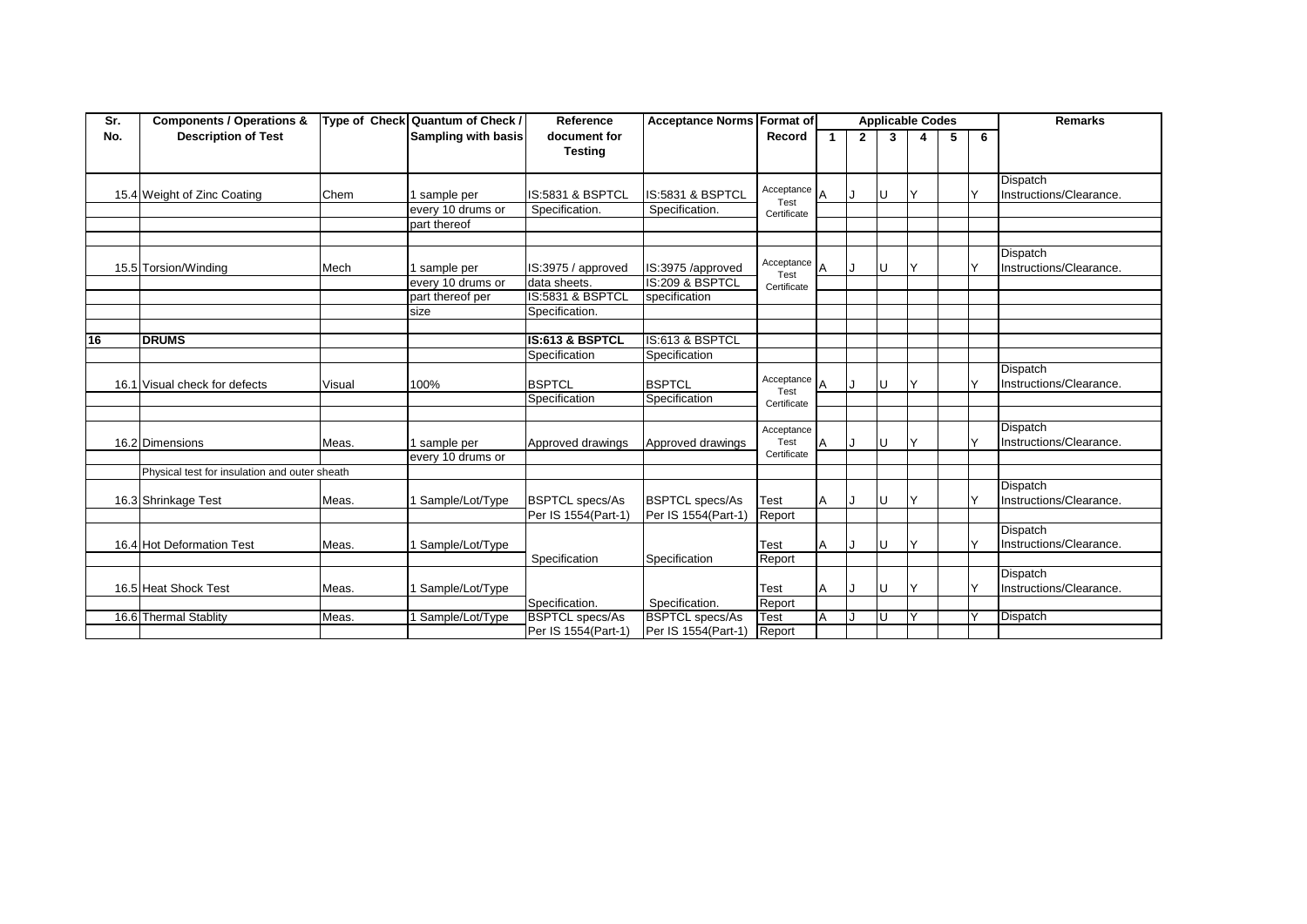| Sr. | <b>Components / Operations &amp;</b>          |        | Type of Check Quantum of Check / | Reference                      | <b>Acceptance Norms Format of</b> |                    | <b>Applicable Codes</b> |              |     |              |   | <b>Remarks</b> |                         |
|-----|-----------------------------------------------|--------|----------------------------------|--------------------------------|-----------------------------------|--------------------|-------------------------|--------------|-----|--------------|---|----------------|-------------------------|
| No. | <b>Description of Test</b>                    |        | <b>Sampling with basis</b>       | document for<br><b>Testing</b> |                                   | Record             |                         | $\mathbf{2}$ | 3   | 4            | 5 | 6              |                         |
|     |                                               |        |                                  |                                |                                   |                    |                         |              |     |              |   |                |                         |
|     |                                               |        |                                  |                                |                                   |                    |                         |              |     |              |   |                | Dispatch                |
|     | 15.4 Weight of Zinc Coating                   | Chem   | sample per                       | IS:5831 & BSPTCL               | IS:5831 & BSPTCL                  | Acceptance<br>Test | A                       |              | U   |              |   |                | Instructions/Clearance. |
|     |                                               |        | every 10 drums or                | Specification.                 | Specification.                    | Certificate        |                         |              |     |              |   |                |                         |
|     |                                               |        | part thereof                     |                                |                                   |                    |                         |              |     |              |   |                |                         |
|     |                                               |        |                                  |                                |                                   |                    |                         |              |     |              |   |                |                         |
|     |                                               |        |                                  |                                |                                   |                    |                         |              |     |              |   |                | Dispatch                |
|     | 15.5 Torsion/Winding                          | Mech   | sample per                       | IS:3975 / approved             | IS:3975 /approved                 | Acceptance<br>Test | A                       |              | U   |              |   |                | Instructions/Clearance. |
|     |                                               |        | every 10 drums or                | data sheets.                   | IS:209 & BSPTCL                   | Certificate        |                         |              |     |              |   |                |                         |
|     |                                               |        | part thereof per                 | IS:5831 & BSPTCL               | specification                     |                    |                         |              |     |              |   |                |                         |
|     |                                               |        | size                             | Specification.                 |                                   |                    |                         |              |     |              |   |                |                         |
|     |                                               |        |                                  |                                |                                   |                    |                         |              |     |              |   |                |                         |
| 16  | <b>DRUMS</b>                                  |        |                                  | IS:613 & BSPTCL                | IS:613 & BSPTCL                   |                    |                         |              |     |              |   |                |                         |
|     |                                               |        |                                  | Specification                  | Specification                     |                    |                         |              |     |              |   |                |                         |
|     |                                               |        |                                  |                                |                                   |                    |                         |              |     |              |   |                | Dispatch                |
|     | 16.1 Visual check for defects                 | Visual | 100%                             | <b>BSPTCL</b>                  | <b>BSPTCL</b>                     | Acceptance<br>Test |                         |              | IU. | $\checkmark$ |   |                | Instructions/Clearance. |
|     |                                               |        |                                  | Specification                  | Specification                     | Certificate        |                         |              |     |              |   |                |                         |
|     |                                               |        |                                  |                                |                                   |                    |                         |              |     |              |   |                |                         |
|     |                                               |        |                                  |                                |                                   | Acceptance         |                         |              |     |              |   |                | Dispatch                |
|     | 16.2 Dimensions                               | Meas.  | sample per                       | Approved drawings              | Approved drawings                 | Test               | $\overline{A}$          |              | U   | $\checkmark$ |   |                | Instructions/Clearance. |
|     |                                               |        | every 10 drums or                |                                |                                   | Certificate        |                         |              |     |              |   |                |                         |
|     | Physical test for insulation and outer sheath |        |                                  |                                |                                   |                    |                         |              |     |              |   |                |                         |
|     |                                               |        |                                  |                                |                                   |                    |                         |              |     |              |   |                | <b>Dispatch</b>         |
|     | 16.3 Shrinkage Test                           | Meas.  | Sample/Lot/Type                  | <b>BSPTCL specs/As</b>         | <b>BSPTCL specs/As</b>            | Test               | A                       |              | U   |              |   |                | Instructions/Clearance. |
|     |                                               |        |                                  | Per IS 1554(Part-1)            | Per IS 1554(Part-1)               | Report             |                         |              |     |              |   |                |                         |
|     |                                               |        |                                  |                                |                                   |                    |                         |              |     |              |   |                | <b>Dispatch</b>         |
|     | 16.4 Hot Deformation Test                     | Meas.  | Sample/Lot/Type                  |                                |                                   | Test               | A                       |              | U   |              |   |                | Instructions/Clearance. |
|     |                                               |        |                                  | Specification                  | Specification                     | Report             |                         |              |     |              |   |                |                         |
|     |                                               |        |                                  |                                |                                   |                    |                         |              |     |              |   |                | <b>Dispatch</b>         |
|     | 16.5 Heat Shock Test                          | Meas.  | Sample/Lot/Type                  |                                |                                   | Test               | A                       |              | IU. | v            |   |                | Instructions/Clearance. |
|     |                                               |        |                                  | Specification.                 | Specification.                    | Report             |                         |              |     |              |   |                |                         |
|     | 16.6 Thermal Stablity                         | Meas.  | Sample/Lot/Type                  | <b>BSPTCL specs/As</b>         | <b>BSPTCL specs/As</b>            | Test               | $\overline{A}$          |              | IJ  |              |   |                | Dispatch                |
|     |                                               |        |                                  | Per IS 1554(Part-1)            | Per IS 1554(Part-1)               | Report             |                         |              |     |              |   |                |                         |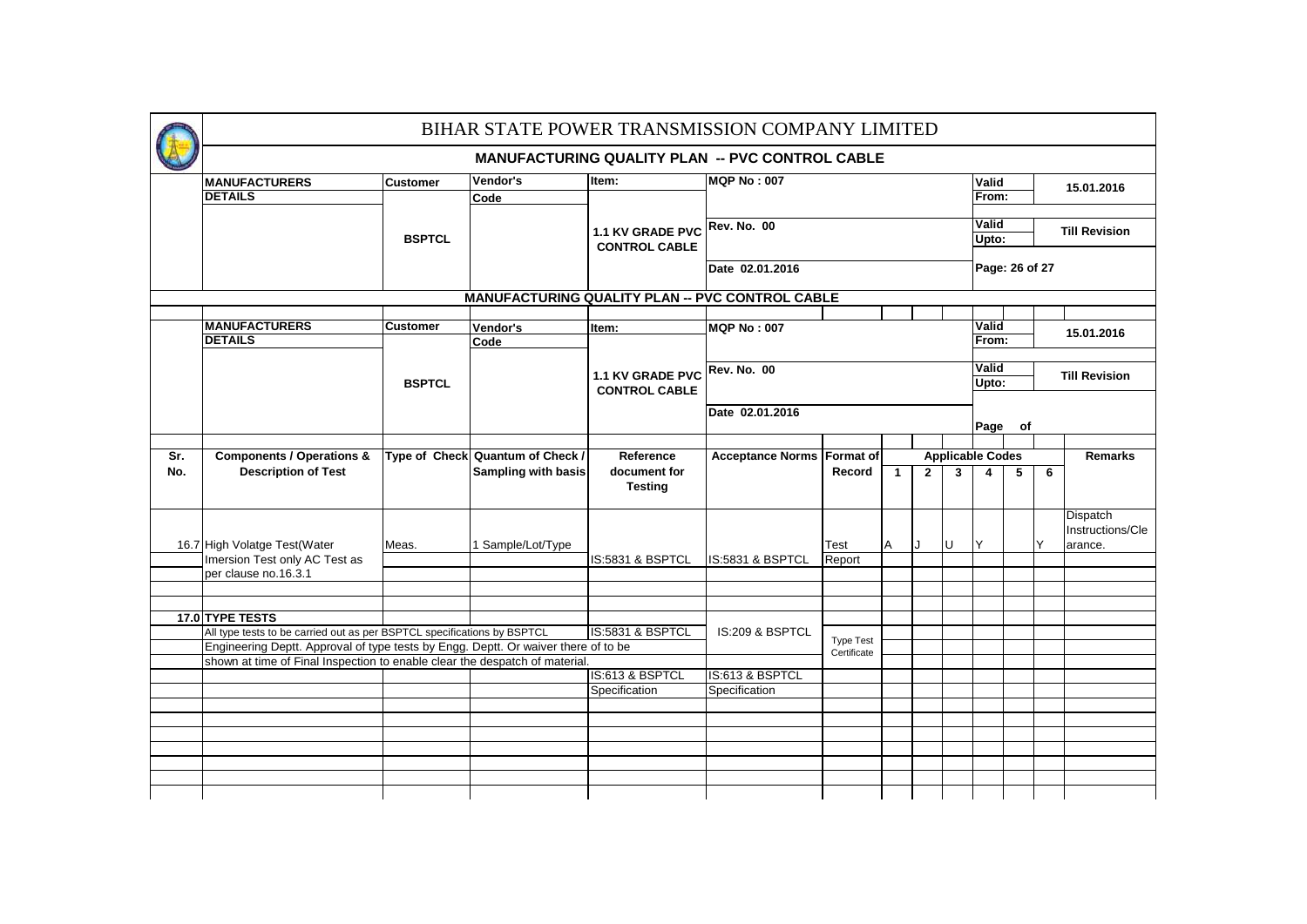| BIHAR STATE POWER TRANSMISSION COMPANY LIMITED |                                                                                    |                                     |                                  |                                          |                                                        |                                                       |                      |                |              |                               |                               |   |                  |  |
|------------------------------------------------|------------------------------------------------------------------------------------|-------------------------------------|----------------------------------|------------------------------------------|--------------------------------------------------------|-------------------------------------------------------|----------------------|----------------|--------------|-------------------------------|-------------------------------|---|------------------|--|
|                                                | <b>MANUFACTURING QUALITY PLAN -- PVC CONTROL CABLE</b>                             |                                     |                                  |                                          |                                                        |                                                       |                      |                |              |                               |                               |   |                  |  |
|                                                | <b>MANUFACTURERS</b>                                                               | <b>Customer</b>                     | Vendor's                         | Item:                                    | <b>MQP No: 007</b>                                     |                                                       |                      |                |              | Valid<br>15.01.2016           |                               |   |                  |  |
|                                                | <b>DETAILS</b>                                                                     |                                     | Code                             | 1.1 KV GRADE PVC<br><b>CONTROL CABLE</b> |                                                        |                                                       |                      |                |              |                               | From:                         |   |                  |  |
|                                                |                                                                                    |                                     |                                  |                                          |                                                        |                                                       |                      |                |              | <b>Valid</b>                  |                               |   |                  |  |
|                                                |                                                                                    | <b>BSPTCL</b>                       |                                  |                                          | <b>Rev. No. 00</b>                                     |                                                       |                      |                |              |                               | <b>Till Revision</b><br>Upto: |   |                  |  |
|                                                |                                                                                    |                                     |                                  |                                          |                                                        |                                                       |                      |                |              |                               |                               |   |                  |  |
|                                                |                                                                                    |                                     |                                  |                                          | Date 02.01.2016                                        |                                                       |                      | Page: 26 of 27 |              |                               |                               |   |                  |  |
|                                                |                                                                                    |                                     |                                  |                                          | <b>MANUFACTURING QUALITY PLAN -- PVC CONTROL CABLE</b> |                                                       |                      |                |              |                               |                               |   |                  |  |
|                                                |                                                                                    |                                     |                                  |                                          |                                                        |                                                       |                      |                |              |                               |                               |   |                  |  |
|                                                | <b>MANUFACTURERS</b>                                                               | <b>Customer</b>                     | Vendor's                         | Item:                                    | <b>MQP No: 007</b>                                     |                                                       |                      |                |              | Valid                         | 15.01.2016                    |   |                  |  |
|                                                | <b>DETAILS</b><br><b>BSPTCL</b>                                                    |                                     | Code                             | 1.1 KV GRADE PVC<br><b>CONTROL CABLE</b> |                                                        |                                                       |                      |                |              |                               | From:                         |   |                  |  |
|                                                |                                                                                    |                                     |                                  |                                          | <b>Rev. No. 00</b>                                     |                                                       |                      |                |              | Valid                         |                               |   |                  |  |
|                                                |                                                                                    |                                     |                                  |                                          |                                                        |                                                       |                      |                |              | <b>Till Revision</b><br>Upto: |                               |   |                  |  |
|                                                |                                                                                    |                                     |                                  | Date 02.01.2016                          |                                                        |                                                       |                      |                |              |                               |                               |   |                  |  |
|                                                |                                                                                    |                                     |                                  |                                          |                                                        |                                                       | Page<br>of           |                |              |                               |                               |   |                  |  |
|                                                |                                                                                    |                                     |                                  |                                          |                                                        |                                                       |                      |                |              |                               |                               |   |                  |  |
| Sr.                                            | <b>Components / Operations &amp;</b>                                               |                                     | Type of Check Quantum of Check / | Reference                                |                                                        | Acceptance Norms Format of<br><b>Applicable Codes</b> |                      |                |              |                               |                               |   | <b>Remarks</b>   |  |
| No.                                            | <b>Description of Test</b>                                                         |                                     | <b>Sampling with basis</b>       | document for<br><b>Testing</b>           |                                                        | Record                                                | $\blacktriangleleft$ | 2 <sup>1</sup> | $\mathbf{3}$ | 5<br>6<br>$\overline{4}$      |                               |   |                  |  |
|                                                |                                                                                    |                                     |                                  |                                          |                                                        |                                                       |                      |                |              |                               |                               |   | <b>Dispatch</b>  |  |
|                                                |                                                                                    |                                     |                                  |                                          |                                                        |                                                       |                      |                |              |                               |                               |   | Instructions/Cle |  |
|                                                | 16.7 High Volatge Test(Water                                                       | Meas.                               | 1 Sample/Lot/Type                |                                          |                                                        | Test                                                  | A                    | Τ.             | U            | Y                             |                               | Y | arance.          |  |
|                                                | Imersion Test only AC Test as<br>per clause no.16.3.1                              |                                     |                                  | IS:5831 & BSPTCL                         | IS:5831 & BSPTCL                                       | Report                                                |                      |                |              |                               |                               |   |                  |  |
|                                                |                                                                                    |                                     |                                  |                                          |                                                        |                                                       |                      |                |              |                               |                               |   |                  |  |
|                                                |                                                                                    |                                     |                                  |                                          |                                                        |                                                       |                      |                |              |                               |                               |   |                  |  |
|                                                | 17.0 TYPE TESTS                                                                    |                                     |                                  |                                          |                                                        |                                                       |                      |                |              |                               |                               |   |                  |  |
|                                                | All type tests to be carried out as per BSPTCL specifications by BSPTCL            | IS:5831 & BSPTCL<br>IS:209 & BSPTCL |                                  | <b>Type Test</b>                         |                                                        |                                                       |                      |                |              |                               |                               |   |                  |  |
|                                                | Engineering Deptt. Approval of type tests by Engg. Deptt. Or waiver there of to be |                                     |                                  |                                          |                                                        | Certificate                                           |                      |                |              |                               |                               |   |                  |  |
|                                                | shown at time of Final Inspection to enable clear the despatch of material.        |                                     |                                  |                                          |                                                        |                                                       |                      |                |              |                               |                               |   |                  |  |
|                                                |                                                                                    |                                     |                                  | IS:613 & BSPTCL<br>Specification         | IS:613 & BSPTCL<br>Specification                       |                                                       |                      |                |              |                               |                               |   |                  |  |
|                                                |                                                                                    |                                     |                                  |                                          |                                                        |                                                       |                      |                |              |                               |                               |   |                  |  |
|                                                |                                                                                    |                                     |                                  |                                          |                                                        |                                                       |                      |                |              |                               |                               |   |                  |  |
|                                                |                                                                                    |                                     |                                  |                                          |                                                        |                                                       |                      |                |              |                               |                               |   |                  |  |
|                                                |                                                                                    |                                     |                                  |                                          |                                                        |                                                       |                      |                |              |                               |                               |   |                  |  |
|                                                |                                                                                    |                                     |                                  |                                          |                                                        |                                                       |                      |                |              |                               |                               |   |                  |  |
|                                                |                                                                                    |                                     |                                  |                                          |                                                        |                                                       |                      |                |              |                               |                               |   |                  |  |
|                                                |                                                                                    |                                     |                                  |                                          |                                                        |                                                       |                      |                |              |                               |                               |   |                  |  |